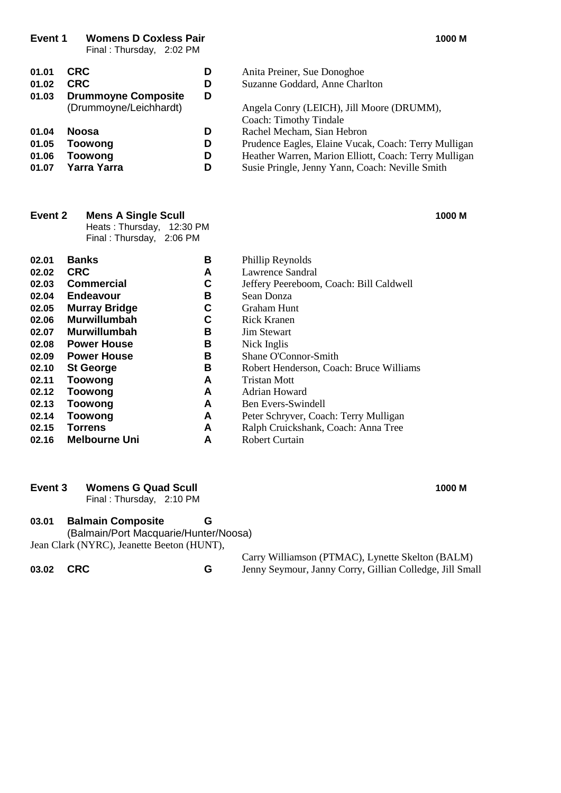**Event 1 Womens D Coxless Pair 1000 M**

Final : Thursday, 2:02 PM

| 01.01<br>01.02 | <b>CRC</b><br><b>CRC</b>   | D<br>D | Anita Preiner, Sue Donoghoe<br>Suzanne Goddard, Anne Charlton |
|----------------|----------------------------|--------|---------------------------------------------------------------|
| 01.03          | <b>Drummoyne Composite</b> | D      |                                                               |
|                | (Drummoyne/Leichhardt)     |        | Angela Conry (LEICH), Jill Moore (DRUMM),                     |
|                |                            |        | Coach: Timothy Tindale                                        |
| 01.04          | <b>Noosa</b>               | D      | Rachel Mecham, Sian Hebron                                    |
| 01.05          | <b>Toowong</b>             | D      | Prudence Eagles, Elaine Vucak, Coach: Terry Mulligan          |
| 01.06          | <b>Toowong</b>             | D      | Heather Warren, Marion Elliott, Coach: Terry Mulligan         |
| 01.07          | <b>Yarra Yarra</b>         | D      | Susie Pringle, Jenny Yann, Coach: Neville Smith               |

| Event 2              | <b>Mens A Single Scull</b> | 1000 M |                                 |  |  |
|----------------------|----------------------------|--------|---------------------------------|--|--|
|                      | Heats: Thursday, 12:30 PM  |        |                                 |  |  |
|                      | Final: Thursday, 2:06 PM   |        |                                 |  |  |
| $\sim$ $\sim$ $\sim$ |                            | -      | $\mathbf{D1}$ '11' $\mathbf{D}$ |  |  |

| 02.01 | <b>Banks</b>         | в | Phillip Reynolds                        |
|-------|----------------------|---|-----------------------------------------|
| 02.02 | <b>CRC</b>           | A | Lawrence Sandral                        |
| 02.03 | <b>Commercial</b>    | С | Jeffery Peereboom, Coach: Bill Caldwell |
| 02.04 | Endeavour            | в | Sean Donza                              |
| 02.05 | <b>Murray Bridge</b> | С | Graham Hunt                             |
| 02.06 | <b>Murwillumbah</b>  | С | Rick Kranen                             |
| 02.07 | Murwillumbah         | в | <b>Jim Stewart</b>                      |
| 02.08 | <b>Power House</b>   | В | Nick Inglis                             |
| 02.09 | <b>Power House</b>   | в | Shane O'Connor-Smith                    |
| 02.10 | <b>St George</b>     | В | Robert Henderson, Coach: Bruce Williams |
| 02.11 | <b>Toowong</b>       | A | Tristan Mott                            |
| 02.12 | <b>Toowong</b>       | A | Adrian Howard                           |
| 02.13 | <b>Toowong</b>       | A | Ben Evers-Swindell                      |
| 02.14 | <b>Toowong</b>       | A | Peter Schryver, Coach: Terry Mulligan   |
| 02.15 | <b>Torrens</b>       | A | Ralph Cruickshank, Coach: Anna Tree     |
| 02.16 | <b>Melbourne Uni</b> | A | <b>Robert Curtain</b>                   |

#### **Event 3 Womens G Quad Scull 1000 M**

Final : Thursday, 2:10 PM

#### **03.01 Balmain Composite G**

(Balmain/Port Macquarie/Hunter/Noosa) Jean Clark (NYRC), Jeanette Beeton (HUNT),

Carry Williamson (PTMAC), Lynette Skelton (BALM) **03.02 CRC G** Jenny Seymour, Janny Corry, Gillian Colledge, Jill Small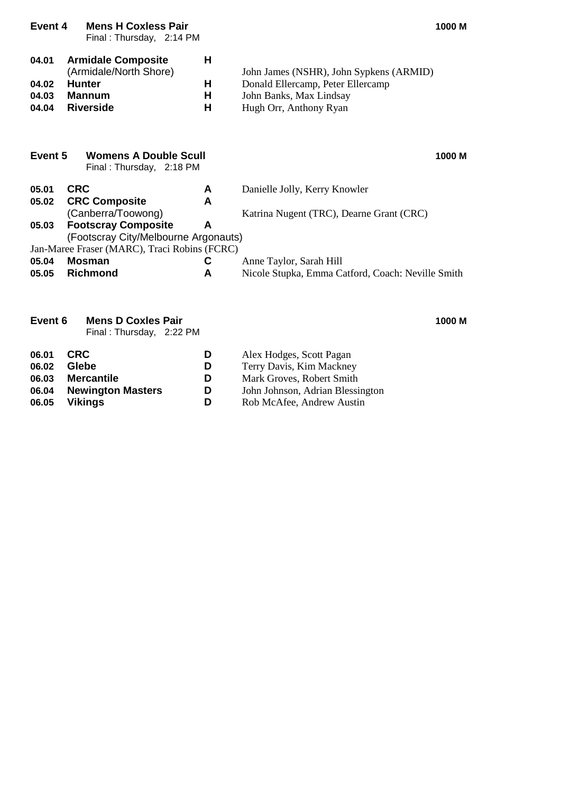| <b>Mens H Coxless Pair</b><br>Event 4           |                                                                                             | 1000 M                                                                                                                                                                                                      |
|-------------------------------------------------|---------------------------------------------------------------------------------------------|-------------------------------------------------------------------------------------------------------------------------------------------------------------------------------------------------------------|
| <b>Armidale Composite</b>                       | H                                                                                           |                                                                                                                                                                                                             |
|                                                 |                                                                                             | John James (NSHR), John Sypkens (ARMID)<br>Donald Ellercamp, Peter Ellercamp                                                                                                                                |
| <b>Mannum</b>                                   | Н                                                                                           | John Banks, Max Lindsay                                                                                                                                                                                     |
| <b>Riverside</b>                                | н                                                                                           | Hugh Orr, Anthony Ryan                                                                                                                                                                                      |
| Event 5                                         |                                                                                             | 1000 M                                                                                                                                                                                                      |
| <b>CRC</b>                                      | A                                                                                           | Danielle Jolly, Kerry Knowler                                                                                                                                                                               |
| <b>CRC Composite</b>                            | A                                                                                           |                                                                                                                                                                                                             |
|                                                 |                                                                                             | Katrina Nugent (TRC), Dearne Grant (CRC)                                                                                                                                                                    |
|                                                 |                                                                                             |                                                                                                                                                                                                             |
|                                                 |                                                                                             |                                                                                                                                                                                                             |
| <b>Mosman</b>                                   | С                                                                                           | Anne Taylor, Sarah Hill                                                                                                                                                                                     |
| <b>Richmond</b>                                 | A                                                                                           | Nicole Stupka, Emma Catford, Coach: Neville Smith                                                                                                                                                           |
| Event <sub>6</sub><br><b>Mens D Coxles Pair</b> |                                                                                             | 1000 M                                                                                                                                                                                                      |
|                                                 | (Armidale/North Shore)<br><b>Hunter</b><br>(Canberra/Toowong)<br><b>Footscray Composite</b> | Final: Thursday, 2:14 PM<br>H<br>Womens A Double Scull<br>Final: Thursday, 2:18 PM<br>A<br>(Footscray City/Melbourne Argonauts)<br>Jan-Maree Fraser (MARC), Traci Robins (FCRC)<br>Final: Thursday, 2:22 PM |

| 06.01 | <b>CRC</b>               | D | Alex Hodges, Scott Pagan         |
|-------|--------------------------|---|----------------------------------|
| 06.02 | Glebe                    | D | Terry Davis, Kim Mackney         |
| 06.03 | <b>Mercantile</b>        | D | Mark Groves, Robert Smith        |
| 06.04 | <b>Newington Masters</b> | D | John Johnson, Adrian Blessington |
| 06.05 | <b>Vikings</b>           | D | Rob McAfee, Andrew Austin        |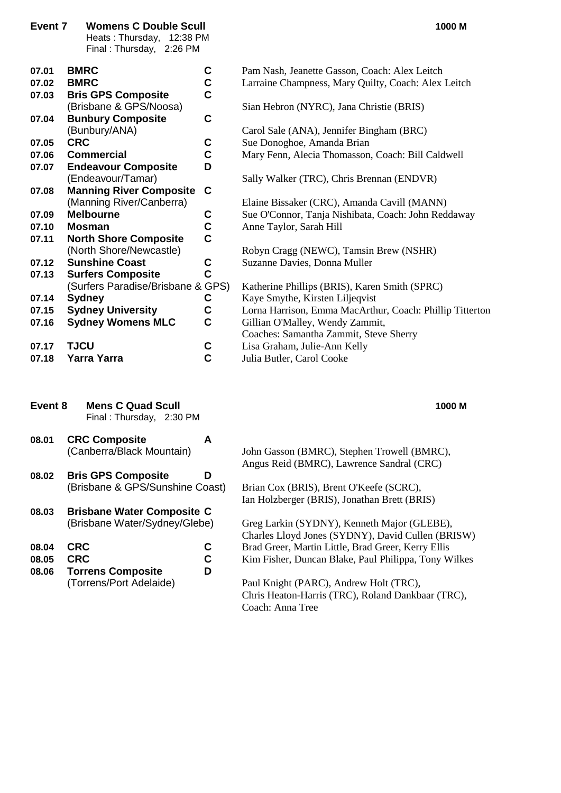| Event 7 | <b>Womens C Double Scull</b><br>Heats: Thursday, 12:38 PM<br>Final: Thursday, 2:26 PM | 1000 M                                                   |
|---------|---------------------------------------------------------------------------------------|----------------------------------------------------------|
| 07.01   | <b>BMRC</b><br>C                                                                      | Pam Nash, Jeanette Gasson, Coach: Alex Leitch            |
| 07.02   | C<br><b>BMRC</b>                                                                      | Larraine Champness, Mary Quilty, Coach: Alex Leitch      |
| 07.03   | Ć<br><b>Bris GPS Composite</b>                                                        |                                                          |
|         | (Brisbane & GPS/Noosa)                                                                | Sian Hebron (NYRC), Jana Christie (BRIS)                 |
| 07.04   | C<br><b>Bunbury Composite</b>                                                         |                                                          |
|         | (Bunbury/ANA)                                                                         | Carol Sale (ANA), Jennifer Bingham (BRC)                 |
| 07.05   | <b>CRC</b><br>C                                                                       | Sue Donoghoe, Amanda Brian                               |
| 07.06   | C<br><b>Commercial</b>                                                                | Mary Fenn, Alecia Thomasson, Coach: Bill Caldwell        |
| 07.07   | <b>Endeavour Composite</b><br>D                                                       |                                                          |
|         | (Endeavour/Tamar)                                                                     | Sally Walker (TRC), Chris Brennan (ENDVR)                |
| 07.08   | <b>Manning River Composite</b><br>C                                                   |                                                          |
|         | (Manning River/Canberra)                                                              | Elaine Bissaker (CRC), Amanda Cavill (MANN)              |
| 07.09   | <b>Melbourne</b><br>C                                                                 | Sue O'Connor, Tanja Nishibata, Coach: John Reddaway      |
| 07.10   | C<br>Mosman                                                                           | Anne Taylor, Sarah Hill                                  |
| 07.11   | C<br><b>North Shore Composite</b>                                                     |                                                          |
|         | (North Shore/Newcastle)                                                               | Robyn Cragg (NEWC), Tamsin Brew (NSHR)                   |
| 07.12   | C<br><b>Sunshine Coast</b>                                                            | Suzanne Davies, Donna Muller                             |
| 07.13   | C<br><b>Surfers Composite</b>                                                         |                                                          |
|         | (Surfers Paradise/Brisbane & GPS)                                                     | Katherine Phillips (BRIS), Karen Smith (SPRC)            |
| 07.14   | <b>Sydney</b><br>C                                                                    | Kaye Smythe, Kirsten Liljeqvist                          |
| 07.15   | <b>Sydney University</b><br>C                                                         | Lorna Harrison, Emma MacArthur, Coach: Phillip Titterton |
| 07.16   | C<br><b>Sydney Womens MLC</b>                                                         | Gillian O'Malley, Wendy Zammit,                          |
|         |                                                                                       | Coaches: Samantha Zammit, Steve Sherry                   |
| 07.17   | <b>TJCU</b><br>C                                                                      | Lisa Graham, Julie-Ann Kelly                             |
| 07.18   | C<br>Yarra Yarra                                                                      | Julia Butler, Carol Cooke                                |

- **Event 8 Mens C Quad Scull 1000 M** Final : Thursday, 2:30 PM
- **08.01 CRC Composite A**
- **08.02 Bris GPS Composite D**
- **08.03 Brisbane Water Composite C**

| 08.04 CRC |  |
|-----------|--|
| 08.05 CRC |  |

**08.06 Torrens Composite D**

#### (Canberra/Black Mountain) John Gasson (BMRC), Stephen Trowell (BMRC), Angus Reid (BMRC), Lawrence Sandral (CRC)

(Brisbane & GPS/Sunshine Coast) Brian Cox (BRIS), Brent O'Keefe (SCRC), Ian Holzberger (BRIS), Jonathan Brett (BRIS)

(Brisbane Water/Sydney/Glebe) Greg Larkin (SYDNY), Kenneth Major (GLEBE), Charles Lloyd Jones (SYDNY), David Cullen (BRISW) **C** Brad Greer, Martin Little, Brad Greer, Kerry Ellis **2 Calca C** Kim Fisher, Duncan Blake, Paul Philippa, Tony Wilkes

(Torrens/Port Adelaide) Paul Knight (PARC), Andrew Holt (TRC), Chris Heaton-Harris (TRC), Roland Dankbaar (TRC), Coach: Anna Tree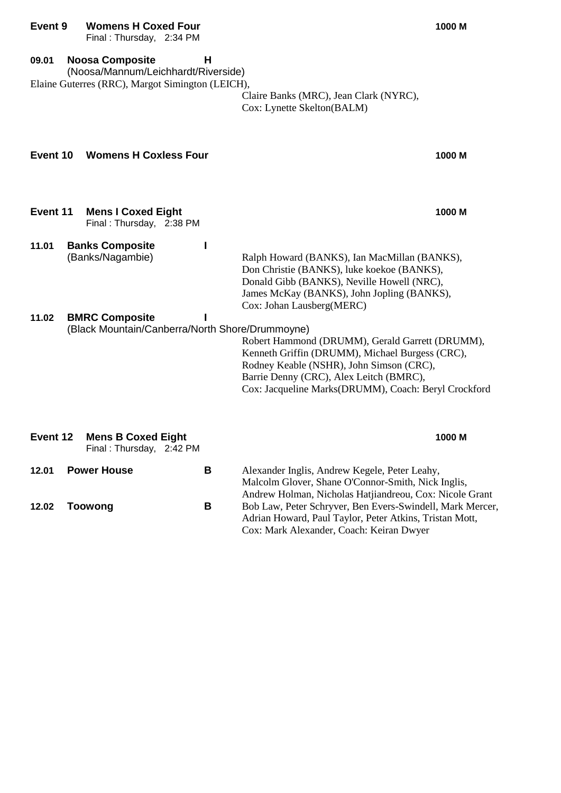#### **Event 9 Womens H Coxed Four 1000 M**

**09.01 Noosa Composite H**

Final : Thursday, 2:34 PM

|                | (Noosa/Mannum/Leichhardt/Riverside)<br>Elaine Guterres (RRC), Margot Simington (LEICH), |        | Claire Banks (MRC), Jean Clark (NYRC),<br>Cox: Lynette Skelton(BALM)                                                                                                                                                                              |
|----------------|-----------------------------------------------------------------------------------------|--------|---------------------------------------------------------------------------------------------------------------------------------------------------------------------------------------------------------------------------------------------------|
| Event 10       | <b>Womens H Coxless Four</b>                                                            |        | 1000 M                                                                                                                                                                                                                                            |
| Event 11       | <b>Mens I Coxed Eight</b><br>Final: Thursday, 2:38 PM                                   |        | 1000 M                                                                                                                                                                                                                                            |
| 11.01<br>11.02 | <b>Banks Composite</b><br>(Banks/Nagambie)<br><b>BMRC Composite</b>                     | I<br>I | Ralph Howard (BANKS), Ian MacMillan (BANKS),<br>Don Christie (BANKS), luke koekoe (BANKS),<br>Donald Gibb (BANKS), Neville Howell (NRC),<br>James McKay (BANKS), John Jopling (BANKS),<br>Cox: Johan Lausberg(MERC)                               |
|                | (Black Mountain/Canberra/North Shore/Drummoyne)                                         |        | Robert Hammond (DRUMM), Gerald Garrett (DRUMM),<br>Kenneth Griffin (DRUMM), Michael Burgess (CRC),<br>Rodney Keable (NSHR), John Simson (CRC),<br>Barrie Denny (CRC), Alex Leitch (BMRC),<br>Cox: Jacqueline Marks(DRUMM), Coach: Beryl Crockford |
| Event 12       | <b>Mens B Coxed Eight</b><br>Final: Thursday, 2:42 PM                                   |        | 1000 M                                                                                                                                                                                                                                            |
| 12.01          | <b>Power House</b>                                                                      | В      | Alexander Inglis, Andrew Kegele, Peter Leahy,<br>Malcolm Glover, Shane O'Connor-Smith, Nick Inglis,                                                                                                                                               |

**12.02 Toowong B** Bob Law, Peter Schryver, Ben Evers-Swindell, Mark Mercer,

Andrew Holman, Nicholas Hatjiandreou, Cox: Nicole Grant

Adrian Howard, Paul Taylor, Peter Atkins, Tristan Mott,

Cox: Mark Alexander, Coach: Keiran Dwyer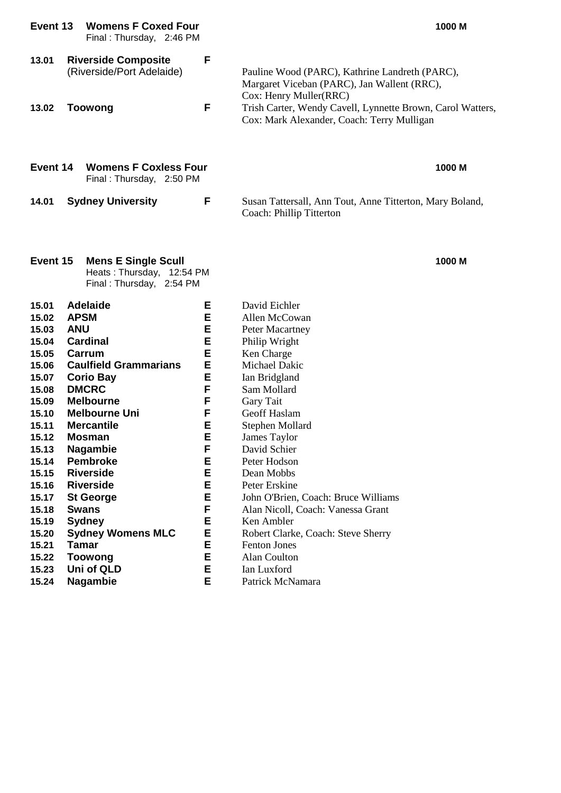| F<br><b>Riverside Composite</b><br>13.01<br>(Riverside/Port Adelaide)<br>Pauline Wood (PARC), Kathrine Landreth (PARC),<br>Margaret Viceban (PARC), Jan Wallent (RRC),<br>Cox: Henry Muller(RRC)<br>F<br>Trish Carter, Wendy Cavell, Lynnette Brown, Carol Watters,<br><b>Toowong</b><br>13.02<br>Cox: Mark Alexander, Coach: Terry Mulligan<br>Event 14<br><b>Womens F Coxless Four</b><br>Final: Thursday, 2:50 PM<br><b>Sydney University</b><br>F<br>14.01<br>Susan Tattersall, Ann Tout, Anne Titterton, Mary Boland,<br>Coach: Phillip Titterton                                                                                                                                                                                                                                                                                                                                                                                                                                                                                                                                                                                                                                                                                                                                          | 1000 M |
|-------------------------------------------------------------------------------------------------------------------------------------------------------------------------------------------------------------------------------------------------------------------------------------------------------------------------------------------------------------------------------------------------------------------------------------------------------------------------------------------------------------------------------------------------------------------------------------------------------------------------------------------------------------------------------------------------------------------------------------------------------------------------------------------------------------------------------------------------------------------------------------------------------------------------------------------------------------------------------------------------------------------------------------------------------------------------------------------------------------------------------------------------------------------------------------------------------------------------------------------------------------------------------------------------|--------|
|                                                                                                                                                                                                                                                                                                                                                                                                                                                                                                                                                                                                                                                                                                                                                                                                                                                                                                                                                                                                                                                                                                                                                                                                                                                                                                 |        |
|                                                                                                                                                                                                                                                                                                                                                                                                                                                                                                                                                                                                                                                                                                                                                                                                                                                                                                                                                                                                                                                                                                                                                                                                                                                                                                 |        |
|                                                                                                                                                                                                                                                                                                                                                                                                                                                                                                                                                                                                                                                                                                                                                                                                                                                                                                                                                                                                                                                                                                                                                                                                                                                                                                 |        |
|                                                                                                                                                                                                                                                                                                                                                                                                                                                                                                                                                                                                                                                                                                                                                                                                                                                                                                                                                                                                                                                                                                                                                                                                                                                                                                 |        |
| Event 15<br><b>Mens E Single Scull</b><br>Heats: Thursday, 12:54 PM<br>Final: Thursday, 2:54 PM                                                                                                                                                                                                                                                                                                                                                                                                                                                                                                                                                                                                                                                                                                                                                                                                                                                                                                                                                                                                                                                                                                                                                                                                 | 1000 M |
| 15.01<br><b>Adelaide</b><br>Е<br>David Eichler<br><b>APSM</b><br>Е<br>Allen McCowan<br>15.02<br><b>ANU</b><br>Е<br>15.03<br>Peter Macartney<br><b>Cardinal</b><br>Е<br>15.04<br>Philip Wright<br>Е<br>15.05<br>Carrum<br>Ken Charge<br>Е<br><b>Caulfield Grammarians</b><br>Michael Dakic<br>15.06<br>Е<br><b>Corio Bay</b><br>15.07<br>Ian Bridgland<br>F<br><b>DMCRC</b><br>15.08<br>Sam Mollard<br>F<br><b>Melbourne</b><br>Gary Tait<br>15.09<br>F<br>15.10<br><b>Melbourne Uni</b><br>Geoff Haslam<br>Е<br><b>Mercantile</b><br>15.11<br>Stephen Mollard<br>E<br>15.12<br><b>Mosman</b><br>James Taylor<br>15.13<br><b>Nagambie</b><br>David Schier<br>F<br><b>Pembroke</b><br>E<br>15.14<br>Peter Hodson<br><b>Riverside</b><br>E<br>15.15<br>Dean Mobbs<br>E<br><b>Riverside</b><br>Peter Erskine<br>15.16<br>E<br>15.17<br><b>St George</b><br>John O'Brien, Coach: Bruce Williams<br><b>Swans</b><br>F<br>15.18<br>Alan Nicoll, Coach: Vanessa Grant<br>E<br>Ken Ambler<br>15.19<br><b>Sydney</b><br>E<br><b>Sydney Womens MLC</b><br>15.20<br>Robert Clarke, Coach: Steve Sherry<br>E<br><b>Tamar</b><br>15.21<br><b>Fenton Jones</b><br><b>Toowong</b><br>Е<br>Alan Coulton<br>15.22<br>Uni of QLD<br>Е<br>Ian Luxford<br>15.23<br>E<br>15.24<br><b>Nagambie</b><br>Patrick McNamara |        |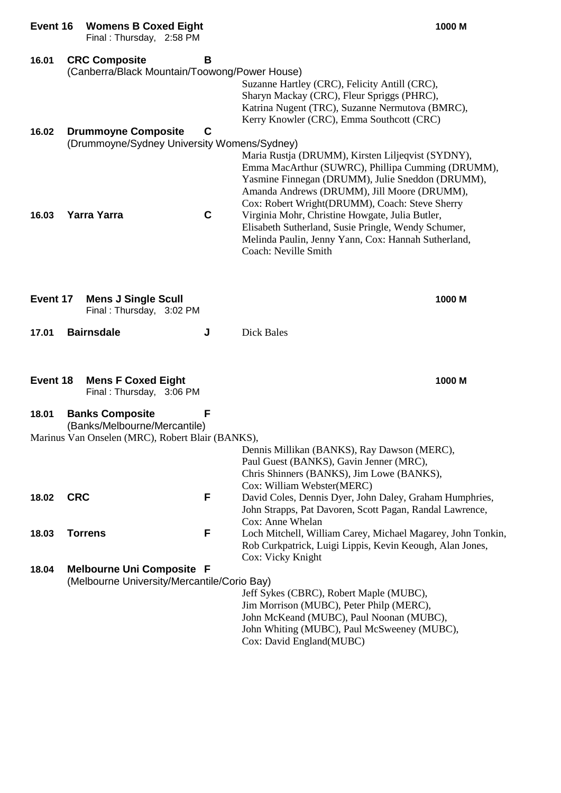| Event 16 | <b>Womens B Coxed Eight</b><br>Final: Thursday, 2:58 PM               |             | 1000 M                                                                                                                                                                                                                                                                                                         |
|----------|-----------------------------------------------------------------------|-------------|----------------------------------------------------------------------------------------------------------------------------------------------------------------------------------------------------------------------------------------------------------------------------------------------------------------|
| 16.01    | <b>CRC Composite</b><br>(Canberra/Black Mountain/Toowong/Power House) | В           |                                                                                                                                                                                                                                                                                                                |
|          |                                                                       |             | Suzanne Hartley (CRC), Felicity Antill (CRC),<br>Sharyn Mackay (CRC), Fleur Spriggs (PHRC),<br>Katrina Nugent (TRC), Suzanne Nermutova (BMRC),<br>Kerry Knowler (CRC), Emma Southcott (CRC)                                                                                                                    |
| 16.02    | <b>Drummoyne Composite</b>                                            | C           |                                                                                                                                                                                                                                                                                                                |
| 16.03    | (Drummoyne/Sydney University Womens/Sydney)<br><b>Yarra Yarra</b>     | $\mathbf c$ | Maria Rustja (DRUMM), Kirsten Liljeqvist (SYDNY),<br>Emma MacArthur (SUWRC), Phillipa Cumming (DRUMM),<br>Yasmine Finnegan (DRUMM), Julie Sneddon (DRUMM),<br>Amanda Andrews (DRUMM), Jill Moore (DRUMM),<br>Cox: Robert Wright(DRUMM), Coach: Steve Sherry<br>Virginia Mohr, Christine Howgate, Julia Butler, |
|          |                                                                       |             | Elisabeth Sutherland, Susie Pringle, Wendy Schumer,<br>Melinda Paulin, Jenny Yann, Cox: Hannah Sutherland,<br>Coach: Neville Smith                                                                                                                                                                             |
| Event 17 | <b>Mens J Single Scull</b><br>Final: Thursday, 3:02 PM                |             | 1000 M                                                                                                                                                                                                                                                                                                         |
| 17.01    | <b>Bairnsdale</b>                                                     | J           | Dick Bales                                                                                                                                                                                                                                                                                                     |
| Event 18 | <b>Mens F Coxed Eight</b><br>Final: Thursday, 3:06 PM                 |             | 1000 M                                                                                                                                                                                                                                                                                                         |
| 18.01    | <b>Banks Composite</b><br>(Banks/Melbourne/Mercantile)                | F           |                                                                                                                                                                                                                                                                                                                |
|          | Marinus Van Onselen (MRC), Robert Blair (BANKS),                      |             |                                                                                                                                                                                                                                                                                                                |
|          |                                                                       |             | Dennis Millikan (BANKS), Ray Dawson (MERC),<br>Paul Guest (BANKS), Gavin Jenner (MRC),<br>Chris Shinners (BANKS), Jim Lowe (BANKS),<br>Cox: William Webster(MERC)                                                                                                                                              |
| 18.02    | <b>CRC</b>                                                            | F           | David Coles, Dennis Dyer, John Daley, Graham Humphries,<br>John Strapps, Pat Davoren, Scott Pagan, Randal Lawrence,<br>Cox: Anne Whelan                                                                                                                                                                        |
| 18.03    | <b>Torrens</b>                                                        | F           | Loch Mitchell, William Carey, Michael Magarey, John Tonkin,<br>Rob Curkpatrick, Luigi Lippis, Kevin Keough, Alan Jones,<br>Cox: Vicky Knight                                                                                                                                                                   |
| 18.04    | <b>Melbourne Uni Composite F</b>                                      |             |                                                                                                                                                                                                                                                                                                                |
|          | (Melbourne University/Mercantile/Corio Bay)                           |             | Jeff Sykes (CBRC), Robert Maple (MUBC),<br>Jim Morrison (MUBC), Peter Philp (MERC),<br>John McKeand (MUBC), Paul Noonan (MUBC),<br>John Whiting (MUBC), Paul McSweeney (MUBC),                                                                                                                                 |

Cox: David England(MUBC)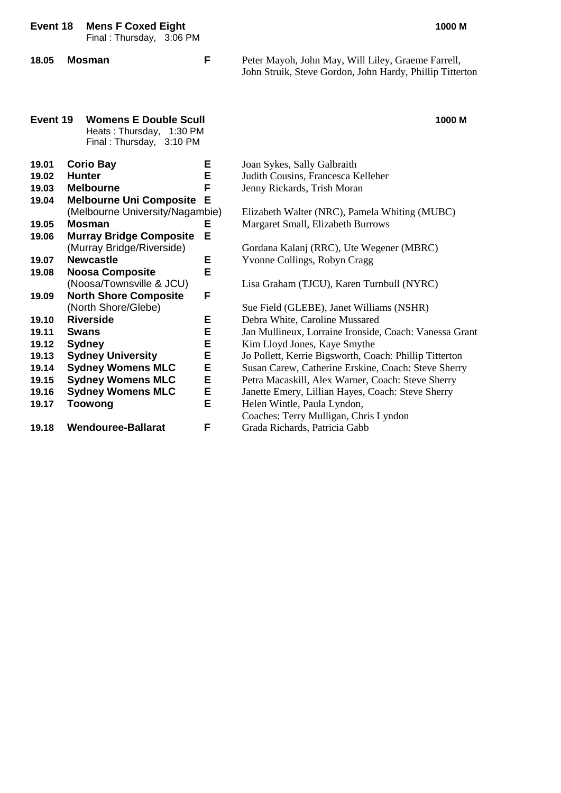| Event 18                                     |  | <b>Mens F Coxed Eight</b><br>Final: Thursday, 3:06 PM                                   |   | 1000 M                                                                                                         |
|----------------------------------------------|--|-----------------------------------------------------------------------------------------|---|----------------------------------------------------------------------------------------------------------------|
| 18.05                                        |  | <b>Mosman</b>                                                                           | F | Peter Mayoh, John May, Will Liley, Graeme Farrell,<br>John Struik, Steve Gordon, John Hardy, Phillip Titterton |
| Event 19                                     |  | <b>Womens E Double Scull</b><br>Heats: Thursday,<br>1:30 PM<br>Final: Thursday, 3:10 PM |   | 1000 M                                                                                                         |
| 19.01                                        |  | <b>Corio Bay</b>                                                                        | Е | Joan Sykes, Sally Galbraith                                                                                    |
| 19.02                                        |  | <b>Hunter</b>                                                                           | E | Judith Cousins, Francesca Kelleher                                                                             |
| 19.03                                        |  | <b>Melbourne</b>                                                                        | F | Jenny Rickards, Trish Moran                                                                                    |
| <b>Melbourne Uni Composite</b><br>Е<br>19.04 |  |                                                                                         |   |                                                                                                                |
|                                              |  | (Melbourne University/Nagambie)                                                         |   | Elizabeth Walter (NRC), Pamela Whiting (MUBC)                                                                  |
| 19.05                                        |  | <b>Mosman</b>                                                                           | Е | Margaret Small, Elizabeth Burrows                                                                              |
| 19.06                                        |  | <b>Murray Bridge Composite</b>                                                          | E |                                                                                                                |
|                                              |  | (Murray Bridge/Riverside)                                                               |   | Gordana Kalanj (RRC), Ute Wegener (MBRC)                                                                       |
| 19.07                                        |  | <b>Newcastle</b>                                                                        | Е | Yvonne Collings, Robyn Cragg                                                                                   |
| 19.08                                        |  | <b>Noosa Composite</b>                                                                  | E |                                                                                                                |
|                                              |  | (Noosa/Townsville & JCU)                                                                |   | Lisa Graham (TJCU), Karen Turnbull (NYRC)                                                                      |
| 19.09                                        |  | <b>North Shore Composite</b>                                                            | F |                                                                                                                |
|                                              |  | (North Shore/Glebe)                                                                     |   | Sue Field (GLEBE), Janet Williams (NSHR)                                                                       |
| 19.10                                        |  | <b>Riverside</b>                                                                        | Е | Debra White, Caroline Mussared                                                                                 |
| 19.11                                        |  | <b>Swans</b>                                                                            | E | Jan Mullineux, Lorraine Ironside, Coach: Vanessa Grant                                                         |
| 19.12                                        |  | <b>Sydney</b>                                                                           | E | Kim Lloyd Jones, Kaye Smythe                                                                                   |
| 19.13                                        |  | <b>Sydney University</b>                                                                | E | Jo Pollett, Kerrie Bigsworth, Coach: Phillip Titterton                                                         |
| 19.14                                        |  | <b>Sydney Womens MLC</b>                                                                | E | Susan Carew, Catherine Erskine, Coach: Steve Sherry                                                            |
| 19.15                                        |  | <b>Sydney Womens MLC</b>                                                                | E | Petra Macaskill, Alex Warner, Coach: Steve Sherry                                                              |
| 19.16                                        |  | <b>Sydney Womens MLC</b>                                                                | E | Janette Emery, Lillian Hayes, Coach: Steve Sherry                                                              |
| 19.17                                        |  | <b>Toowong</b>                                                                          | E | Helen Wintle, Paula Lyndon,                                                                                    |
|                                              |  |                                                                                         |   | Coaches: Terry Mulligan, Chris Lyndon                                                                          |
| 19.18                                        |  | <b>Wendouree-Ballarat</b>                                                               | F | Grada Richards, Patricia Gabb                                                                                  |
|                                              |  |                                                                                         |   |                                                                                                                |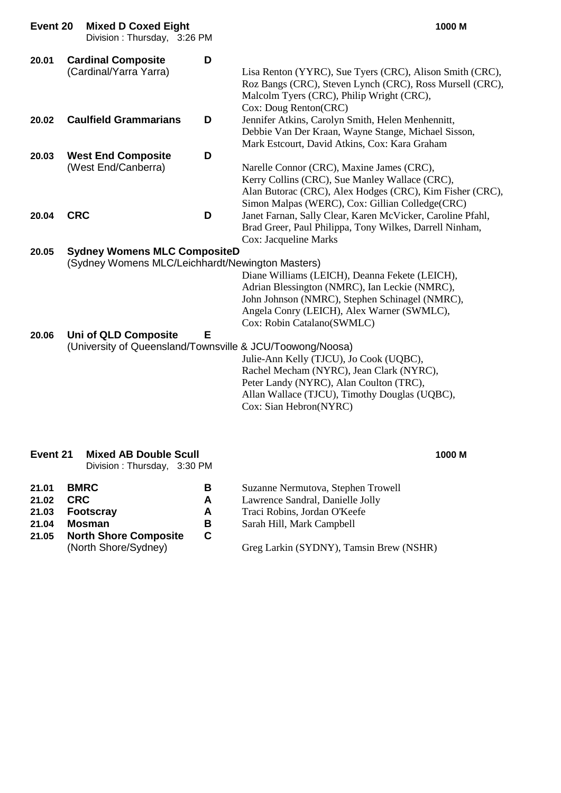| Event 20                | <b>Mixed D Coxed Eight</b><br>Division: Thursday, 3:26 PM                               |                  | 1000 M                                                                                                                                                                                                                        |
|-------------------------|-----------------------------------------------------------------------------------------|------------------|-------------------------------------------------------------------------------------------------------------------------------------------------------------------------------------------------------------------------------|
| 20.01                   | <b>Cardinal Composite</b><br>(Cardinal/Yarra Yarra)                                     | D                | Lisa Renton (YYRC), Sue Tyers (CRC), Alison Smith (CRC),<br>Roz Bangs (CRC), Steven Lynch (CRC), Ross Mursell (CRC),<br>Malcolm Tyers (CRC), Philip Wright (CRC),<br>Cox: Doug Renton(CRC)                                    |
| 20.02                   | <b>Caulfield Grammarians</b>                                                            | D                | Jennifer Atkins, Carolyn Smith, Helen Menhennitt,<br>Debbie Van Der Kraan, Wayne Stange, Michael Sisson,<br>Mark Estcourt, David Atkins, Cox: Kara Graham                                                                     |
| 20.03                   | <b>West End Composite</b><br>(West End/Canberra)                                        | D                | Narelle Connor (CRC), Maxine James (CRC),<br>Kerry Collins (CRC), Sue Manley Wallace (CRC),<br>Alan Butorac (CRC), Alex Hodges (CRC), Kim Fisher (CRC),<br>Simon Malpas (WERC), Cox: Gillian Colledge(CRC)                    |
| 20.04                   | <b>CRC</b>                                                                              | D                | Janet Farnan, Sally Clear, Karen McVicker, Caroline Pfahl,<br>Brad Greer, Paul Philippa, Tony Wilkes, Darrell Ninham,<br>Cox: Jacqueline Marks                                                                                |
| 20.05                   | <b>Sydney Womens MLC CompositeD</b><br>(Sydney Womens MLC/Leichhardt/Newington Masters) |                  | Diane Williams (LEICH), Deanna Fekete (LEICH),<br>Adrian Blessington (NMRC), Ian Leckie (NMRC),<br>John Johnson (NMRC), Stephen Schinagel (NMRC),<br>Angela Conry (LEICH), Alex Warner (SWMLC),<br>Cox: Robin Catalano(SWMLC) |
| 20.06                   | Uni of QLD Composite<br>(University of Queensland/Townsville & JCU/Toowong/Noosa)       | Е                | Julie-Ann Kelly (TJCU), Jo Cook (UQBC),<br>Rachel Mecham (NYRC), Jean Clark (NYRC),<br>Peter Landy (NYRC), Alan Coulton (TRC),<br>Allan Wallace (TJCU), Timothy Douglas (UQBC),<br>Cox: Sian Hebron(NYRC)                     |
| Event 21                | <b>Mixed AB Double Scull</b><br>Division: Thursday, 3:30 PM                             |                  | 1000 M                                                                                                                                                                                                                        |
| 21.01<br>21.02<br>21.03 | <b>BMRC</b><br><b>CRC</b><br><b>Footscray</b>                                           | В<br>A<br>A<br>D | Suzanne Nermutova, Stephen Trowell<br>Lawrence Sandral, Danielle Jolly<br>Traci Robins, Jordan O'Keefe                                                                                                                        |

- **21.04 Mosman B** Sarah Hill, Mark Campbell
- **21.05 North Shore Composite**<br>
(North Shore/Sydney)

Greg Larkin (SYDNY), Tamsin Brew (NSHR)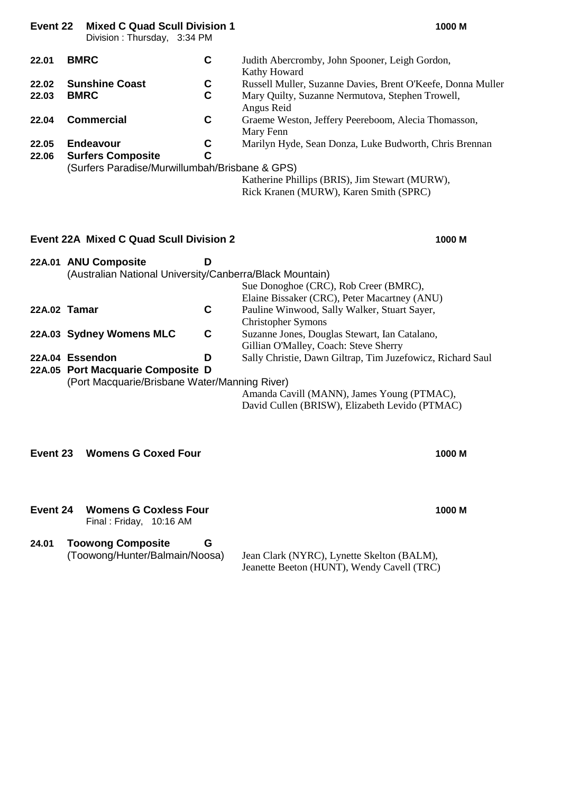| Event 22       | <b>Mixed C Quad Scull Division 1</b><br>Division: Thursday, 3:34 PM                                   |        | 1000 M                                                                                                                                                     |
|----------------|-------------------------------------------------------------------------------------------------------|--------|------------------------------------------------------------------------------------------------------------------------------------------------------------|
| 22.01          | <b>BMRC</b>                                                                                           | C      | Judith Abercromby, John Spooner, Leigh Gordon,<br>Kathy Howard                                                                                             |
| 22.02<br>22.03 | <b>Sunshine Coast</b><br><b>BMRC</b>                                                                  | C<br>C | Russell Muller, Suzanne Davies, Brent O'Keefe, Donna Muller<br>Mary Quilty, Suzanne Nermutova, Stephen Trowell,<br>Angus Reid                              |
| 22.04          | <b>Commercial</b>                                                                                     | C      | Graeme Weston, Jeffery Peereboom, Alecia Thomasson,<br>Mary Fenn                                                                                           |
| 22.05<br>22.06 | <b>Endeavour</b><br><b>Surfers Composite</b><br>(Surfers Paradise/Murwillumbah/Brisbane & GPS)        | C<br>C | Marilyn Hyde, Sean Donza, Luke Budworth, Chris Brennan<br>Katherine Phillips (BRIS), Jim Stewart (MURW),<br>Rick Kranen (MURW), Karen Smith (SPRC)         |
|                | <b>Event 22A Mixed C Quad Scull Division 2</b>                                                        |        | 1000 M                                                                                                                                                     |
|                | 22A.01 ANU Composite<br>(Australian National University/Canberra/Black Mountain)                      | D      | Sue Donoghoe (CRC), Rob Creer (BMRC),<br>Elaine Bissaker (CRC), Peter Macartney (ANU)                                                                      |
| 22A.02 Tamar   |                                                                                                       | C      | Pauline Winwood, Sally Walker, Stuart Sayer,<br><b>Christopher Symons</b>                                                                                  |
|                | 22A.03 Sydney Womens MLC                                                                              | C      | Suzanne Jones, Douglas Stewart, Ian Catalano,<br>Gillian O'Malley, Coach: Steve Sherry                                                                     |
|                | 22A.04 Essendon<br>22A.05 Port Macquarie Composite D<br>(Port Macquarie/Brisbane Water/Manning River) | D      | Sally Christie, Dawn Giltrap, Tim Juzefowicz, Richard Saul<br>Amanda Cavill (MANN), James Young (PTMAC),<br>David Cullen (BRISW), Elizabeth Levido (PTMAC) |
| Event 23       | <b>Womens G Coxed Four</b>                                                                            |        | 1000 M                                                                                                                                                     |
| Event 24       | <b>Womens G Coxless Four</b><br>Final: Friday, 10:16 AM                                               |        | 1000 M                                                                                                                                                     |
| 24.01          | <b>Toowong Composite</b><br>(Toowong/Hunter/Balmain/Noosa)                                            | G      | Jean Clark (NYRC), Lynette Skelton (BALM),<br>Jeanette Beeton (HUNT), Wendy Cavell (TRC)                                                                   |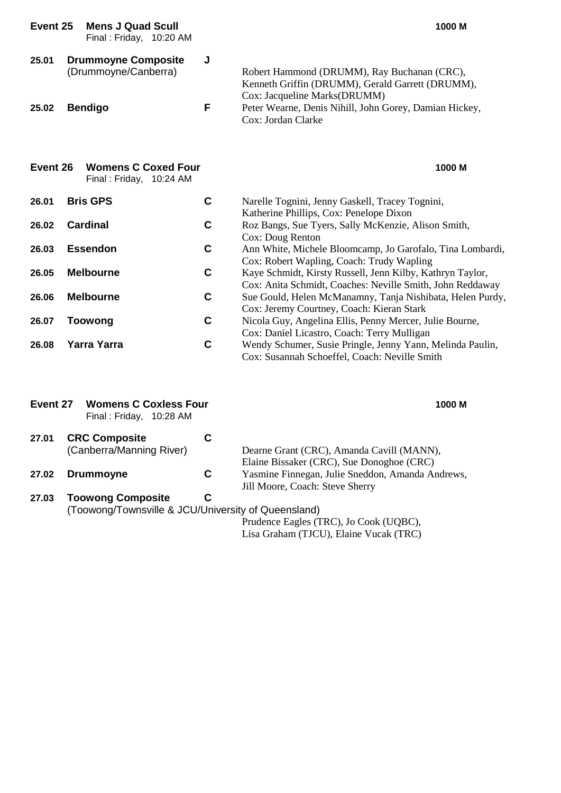| Event 25 | <b>Mens J Quad Scull</b><br>Final: Friday, 10:20 AM   |             | 1000 M                                                                                                                          |
|----------|-------------------------------------------------------|-------------|---------------------------------------------------------------------------------------------------------------------------------|
| 25.01    | <b>Drummoyne Composite</b><br>(Drummoyne/Canberra)    | J<br>F      | Robert Hammond (DRUMM), Ray Buchanan (CRC),<br>Kenneth Griffin (DRUMM), Gerald Garrett (DRUMM),<br>Cox: Jacqueline Marks(DRUMM) |
| 25.02    | <b>Bendigo</b>                                        |             | Peter Wearne, Denis Nihill, John Gorey, Damian Hickey,<br>Cox: Jordan Clarke                                                    |
| Event 26 | <b>Womens C Coxed Four</b><br>Final: Friday, 10:24 AM |             | 1000 M                                                                                                                          |
| 26.01    | <b>Bris GPS</b>                                       | C           | Narelle Tognini, Jenny Gaskell, Tracey Tognini,<br>Katherine Phillips, Cox: Penelope Dixon                                      |
| 26.02    | <b>Cardinal</b>                                       | C           | Roz Bangs, Sue Tyers, Sally McKenzie, Alison Smith,<br>Cox: Doug Renton                                                         |
| 26.03    | <b>Essendon</b>                                       | C           | Ann White, Michele Bloomcamp, Jo Garofalo, Tina Lombardi,<br>Cox: Robert Wapling, Coach: Trudy Wapling                          |
| 26.05    | <b>Melbourne</b>                                      | C           | Kaye Schmidt, Kirsty Russell, Jenn Kilby, Kathryn Taylor,<br>Cox: Anita Schmidt, Coaches: Neville Smith, John Reddaway          |
| 26.06    | <b>Melbourne</b>                                      | $\mathbf c$ | Sue Gould, Helen McManamny, Tanja Nishibata, Helen Purdy,<br>Cox: Jeremy Courtney, Coach: Kieran Stark                          |
| 26.07    | <b>Toowong</b>                                        | C           | Nicola Guy, Angelina Ellis, Penny Mercer, Julie Bourne,<br>Cox: Daniel Licastro, Coach: Terry Mulligan                          |
| 26.08    | <b>Yarra Yarra</b>                                    | C           | Wendy Schumer, Susie Pringle, Jenny Yann, Melinda Paulin,<br>Cox: Susannah Schoeffel, Coach: Neville Smith                      |
| Euant 27 | Wamana C Cavlora Eque                                 |             | <b>AOOO MA</b>                                                                                                                  |

**Event 27 Womens C Coxless Four 1000 M** Final : Friday, 10:28 AM **27.01 CRC Composite C** (Canberra/Manning River) Dearne Grant (CRC), Amanda Cavill (MANN), Elaine Bissaker (CRC), Sue Donoghoe (CRC) **27.02 Drummoyne C** Yasmine Finnegan, Julie Sneddon, Amanda Andrews, Jill Moore, Coach: Steve Sherry **27.03 Toowong Composite C**

(Toowong/Townsville & JCU/University of Queensland)

Prudence Eagles (TRC), Jo Cook (UQBC), Lisa Graham (TJCU), Elaine Vucak (TRC)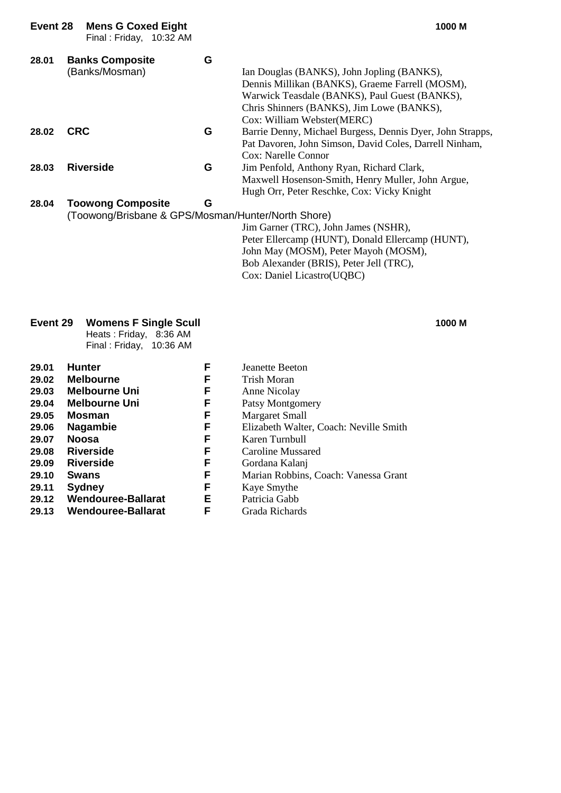| Event 28 | <b>Mens G Coxed Eight</b><br>Final: Friday, 10:32 AM                           |   | 1000 M                                                                                                                                                                                                                    |
|----------|--------------------------------------------------------------------------------|---|---------------------------------------------------------------------------------------------------------------------------------------------------------------------------------------------------------------------------|
| 28.01    | <b>Banks Composite</b><br>(Banks/Mosman)                                       | G | Ian Douglas (BANKS), John Jopling (BANKS),<br>Dennis Millikan (BANKS), Graeme Farrell (MOSM),<br>Warwick Teasdale (BANKS), Paul Guest (BANKS),<br>Chris Shinners (BANKS), Jim Lowe (BANKS),<br>Cox: William Webster(MERC) |
| 28.02    | <b>CRC</b>                                                                     | G | Barrie Denny, Michael Burgess, Dennis Dyer, John Strapps,<br>Pat Davoren, John Simson, David Coles, Darrell Ninham,<br>Cox: Narelle Connor                                                                                |
| 28.03    | <b>Riverside</b>                                                               | G | Jim Penfold, Anthony Ryan, Richard Clark,<br>Maxwell Hosenson-Smith, Henry Muller, John Argue,<br>Hugh Orr, Peter Reschke, Cox: Vicky Knight                                                                              |
| 28.04    | <b>Toowong Composite</b><br>(Toowong/Brisbane & GPS/Mosman/Hunter/North Shore) | G |                                                                                                                                                                                                                           |

Jim Garner (TRC), John James (NSHR), Peter Ellercamp (HUNT), Donald Ellercamp (HUNT), John May (MOSM), Peter Mayoh (MOSM), Bob Alexander (BRIS), Peter Jell (TRC), Cox: Daniel Licastro(UQBC)

#### **Event 29 Womens F Single Scull 1000 M**

Heats : Friday, 8:36 AM Final : Friday, 10:36 AM

| 29.01        | <b>Hunter</b>             | F | Jeanette Beeton                        |
|--------------|---------------------------|---|----------------------------------------|
| 29.02        | <b>Melbourne</b>          | F | Trish Moran                            |
| 29.03        | <b>Melbourne Uni</b>      | F | Anne Nicolay                           |
| 29.04        | <b>Melbourne Uni</b>      | F | Patsy Montgomery                       |
| 29.05        | Mosman                    | F | <b>Margaret Small</b>                  |
| 29.06        | <b>Nagambie</b>           | F | Elizabeth Walter, Coach: Neville Smith |
| 29.07        | <b>Noosa</b>              | F | Karen Turnbull                         |
| 29.08        | <b>Riverside</b>          | F | Caroline Mussared                      |
| 29.09        | <b>Riverside</b>          | F | Gordana Kalanj                         |
| 29.10        | <b>Swans</b>              | F | Marian Robbins, Coach: Vanessa Grant   |
| 29.11        | <b>Sydney</b>             | F | Kaye Smythe                            |
| 29.12        | <b>Wendouree-Ballarat</b> | Е | Patricia Gabb                          |
| <b>OD 49</b> | Wandouroo Dollarat        | Е | $C_{\text{model}}$ Disherds            |

#### **29.13 Wendouree-Ballarat F** Grada Richards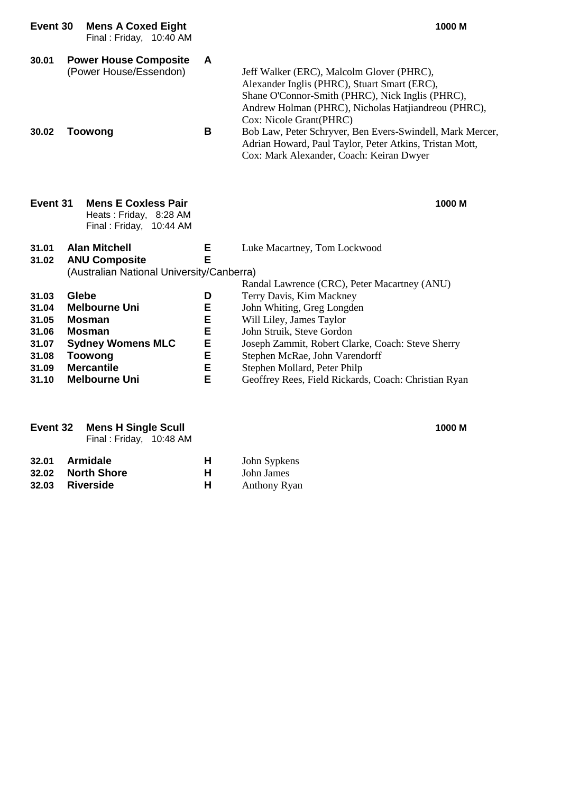| Event 30                                                             | <b>Mens A Coxed Eight</b><br>Final: Friday, 10:40 AM                                                                                                       |                                      | 1000 M                                                                                                                                                                                                                                                                                         |
|----------------------------------------------------------------------|------------------------------------------------------------------------------------------------------------------------------------------------------------|--------------------------------------|------------------------------------------------------------------------------------------------------------------------------------------------------------------------------------------------------------------------------------------------------------------------------------------------|
| 30.01                                                                | <b>Power House Composite</b><br>(Power House/Essendon)                                                                                                     | A                                    | Jeff Walker (ERC), Malcolm Glover (PHRC),<br>Alexander Inglis (PHRC), Stuart Smart (ERC),<br>Shane O'Connor-Smith (PHRC), Nick Inglis (PHRC),<br>Andrew Holman (PHRC), Nicholas Hatjiandreou (PHRC),<br>Cox: Nicole Grant(PHRC)                                                                |
| 30.02                                                                | <b>Toowong</b>                                                                                                                                             | B                                    | Bob Law, Peter Schryver, Ben Evers-Swindell, Mark Mercer,<br>Adrian Howard, Paul Taylor, Peter Atkins, Tristan Mott,<br>Cox: Mark Alexander, Coach: Keiran Dwyer                                                                                                                               |
| Event 31                                                             | <b>Mens E Coxless Pair</b><br>Heats: Friday, 8:28 AM<br>Final: Friday, 10:44 AM                                                                            |                                      | 1000 M                                                                                                                                                                                                                                                                                         |
| 31.01<br>31.02                                                       | <b>Alan Mitchell</b><br><b>ANU Composite</b><br>(Australian National University/Canberra)                                                                  | Е<br>E                               | Luke Macartney, Tom Lockwood<br>Randal Lawrence (CRC), Peter Macartney (ANU)                                                                                                                                                                                                                   |
| 31.03<br>31.04<br>31.05<br>31.06<br>31.07<br>31.08<br>31.09<br>31.10 | <b>Glebe</b><br><b>Melbourne Uni</b><br><b>Mosman</b><br>Mosman<br><b>Sydney Womens MLC</b><br><b>Toowong</b><br><b>Mercantile</b><br><b>Melbourne Uni</b> | D<br>Е<br>E<br>E<br>E<br>Е<br>E<br>E | Terry Davis, Kim Mackney<br>John Whiting, Greg Longden<br>Will Liley, James Taylor<br>John Struik, Steve Gordon<br>Joseph Zammit, Robert Clarke, Coach: Steve Sherry<br>Stephen McRae, John Varendorff<br>Stephen Mollard, Peter Philp<br>Geoffrey Rees, Field Rickards, Coach: Christian Ryan |
|                                                                      |                                                                                                                                                            |                                      |                                                                                                                                                                                                                                                                                                |

|      | <b>Event 32 Mens H Single Scull</b> | 1000 M |                                     |  |
|------|-------------------------------------|--------|-------------------------------------|--|
|      | Final: Friday, 10:48 AM             |        |                                     |  |
| 0.04 |                                     |        | $\mathbf{T}$ . 1. . $\mathbf{C}$ 1. |  |

| 32.01 Armidale    | н | John Sypkens |
|-------------------|---|--------------|
| 32.02 North Shore | н | John James   |
| 32.03 Riverside   | н | Anthony Ryan |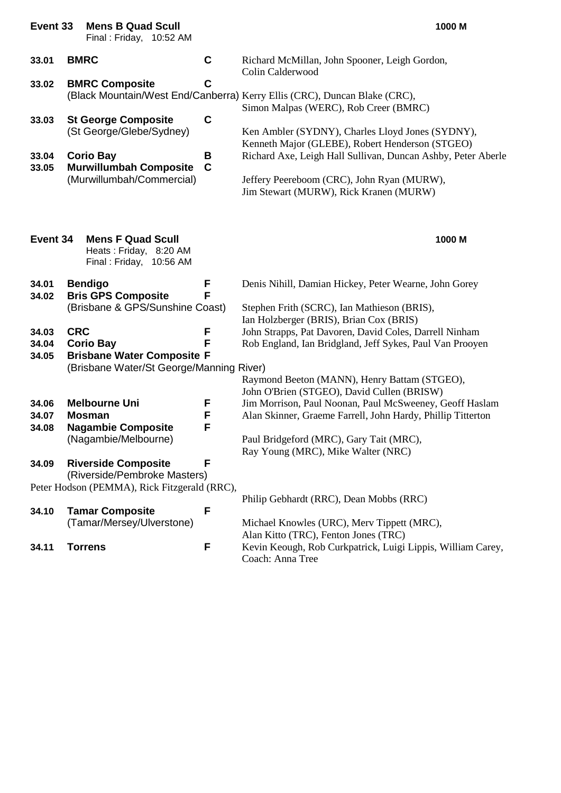| Event 33                         |                | <b>Mens B Quad Scull</b><br>Final: Friday, 10:52 AM                                                                                                               |                                      | 1000 M                                                                                                                                                                                                                                                                                                                                                                            |
|----------------------------------|----------------|-------------------------------------------------------------------------------------------------------------------------------------------------------------------|--------------------------------------|-----------------------------------------------------------------------------------------------------------------------------------------------------------------------------------------------------------------------------------------------------------------------------------------------------------------------------------------------------------------------------------|
| 33.01                            | <b>BMRC</b>    |                                                                                                                                                                   | $\mathbf c$                          | Richard McMillan, John Spooner, Leigh Gordon,<br>Colin Calderwood                                                                                                                                                                                                                                                                                                                 |
| 33.02<br>33.03<br>33.04<br>33.05 |                | <b>BMRC Composite</b><br><b>St George Composite</b><br>(St George/Glebe/Sydney)<br><b>Corio Bay</b><br><b>Murwillumbah Composite</b><br>(Murwillumbah/Commercial) | C<br>$\mathbf c$<br>В<br>$\mathbf C$ | (Black Mountain/West End/Canberra) Kerry Ellis (CRC), Duncan Blake (CRC),<br>Simon Malpas (WERC), Rob Creer (BMRC)<br>Ken Ambler (SYDNY), Charles Lloyd Jones (SYDNY),<br>Kenneth Major (GLEBE), Robert Henderson (STGEO)<br>Richard Axe, Leigh Hall Sullivan, Duncan Ashby, Peter Aberle<br>Jeffery Peereboom (CRC), John Ryan (MURW),<br>Jim Stewart (MURW), Rick Kranen (MURW) |
| Event 34                         |                | <b>Mens F Quad Scull</b><br>Heats: Friday, 8:20 AM<br>Final: Friday, 10:56 AM                                                                                     |                                      | 1000 M                                                                                                                                                                                                                                                                                                                                                                            |
| 34.01<br>34.02                   |                | <b>Bendigo</b><br><b>Bris GPS Composite</b><br>(Brisbane & GPS/Sunshine Coast)                                                                                    | F<br>F                               | Denis Nihill, Damian Hickey, Peter Wearne, John Gorey<br>Stephen Frith (SCRC), Ian Mathieson (BRIS),                                                                                                                                                                                                                                                                              |
| 34.03<br>34.04<br>34.05          | <b>CRC</b>     | <b>Corio Bay</b><br><b>Brisbane Water Composite F</b><br>(Brisbane Water/St George/Manning River)                                                                 | F<br>F                               | Ian Holzberger (BRIS), Brian Cox (BRIS)<br>John Strapps, Pat Davoren, David Coles, Darrell Ninham<br>Rob England, Ian Bridgland, Jeff Sykes, Paul Van Prooyen<br>Raymond Beeton (MANN), Henry Battam (STGEO),                                                                                                                                                                     |
| 34.06<br>34.07<br>34.08<br>34.09 |                | <b>Melbourne Uni</b><br><b>Mosman</b><br><b>Nagambie Composite</b><br>(Nagambie/Melbourne)<br><b>Riverside Composite</b><br>(Riverside/Pembroke Masters)          | F<br>F<br>F<br>F                     | John O'Brien (STGEO), David Cullen (BRISW)<br>Jim Morrison, Paul Noonan, Paul McSweeney, Geoff Haslam<br>Alan Skinner, Graeme Farrell, John Hardy, Phillip Titterton<br>Paul Bridgeford (MRC), Gary Tait (MRC),<br>Ray Young (MRC), Mike Walter (NRC)                                                                                                                             |
|                                  |                | Peter Hodson (PEMMA), Rick Fitzgerald (RRC),                                                                                                                      |                                      | Philip Gebhardt (RRC), Dean Mobbs (RRC)                                                                                                                                                                                                                                                                                                                                           |
| 34.10                            |                | <b>Tamar Composite</b><br>(Tamar/Mersey/Ulverstone)                                                                                                               | F                                    | Michael Knowles (URC), Merv Tippett (MRC),<br>Alan Kitto (TRC), Fenton Jones (TRC)                                                                                                                                                                                                                                                                                                |
| 34.11                            | <b>Torrens</b> |                                                                                                                                                                   | F                                    | Kevin Keough, Rob Curkpatrick, Luigi Lippis, William Carey,<br>Coach: Anna Tree                                                                                                                                                                                                                                                                                                   |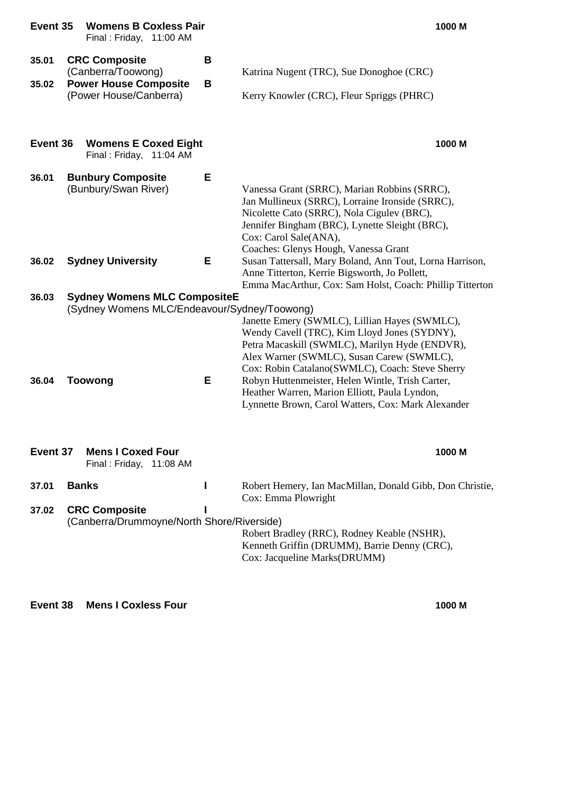| Event 35 | <b>Womens B Coxless Pair</b><br>Final: Friday, 11:00 AM                             |   | 1000 M                                                                                                                                                                                                                                                           |
|----------|-------------------------------------------------------------------------------------|---|------------------------------------------------------------------------------------------------------------------------------------------------------------------------------------------------------------------------------------------------------------------|
| 35.01    | <b>CRC Composite</b><br>(Canberra/Toowong)                                          | B | Katrina Nugent (TRC), Sue Donoghoe (CRC)                                                                                                                                                                                                                         |
| 35.02    | <b>Power House Composite</b><br>(Power House/Canberra)                              | В | Kerry Knowler (CRC), Fleur Spriggs (PHRC)                                                                                                                                                                                                                        |
| Event 36 | <b>Womens E Coxed Eight</b><br>Final: Friday, 11:04 AM                              |   | 1000 M                                                                                                                                                                                                                                                           |
| 36.01    | <b>Bunbury Composite</b><br>(Bunbury/Swan River)                                    | Е | Vanessa Grant (SRRC), Marian Robbins (SRRC),<br>Jan Mullineux (SRRC), Lorraine Ironside (SRRC),<br>Nicolette Cato (SRRC), Nola Cigulev (BRC),<br>Jennifer Bingham (BRC), Lynette Sleight (BRC),<br>Cox: Carol Sale(ANA),<br>Coaches: Glenys Hough, Vanessa Grant |
| 36.02    | <b>Sydney University</b>                                                            | Е | Susan Tattersall, Mary Boland, Ann Tout, Lorna Harrison,<br>Anne Titterton, Kerrie Bigsworth, Jo Pollett,<br>Emma MacArthur, Cox: Sam Holst, Coach: Phillip Titterton                                                                                            |
| 36.03    | <b>Sydney Womens MLC CompositeE</b><br>(Sydney Womens MLC/Endeavour/Sydney/Toowong) |   | Janette Emery (SWMLC), Lillian Hayes (SWMLC),<br>Wendy Cavell (TRC), Kim Lloyd Jones (SYDNY),<br>Petra Macaskill (SWMLC), Marilyn Hyde (ENDVR),<br>Alex Warner (SWMLC), Susan Carew (SWMLC),<br>Cox: Robin Catalano(SWMLC), Coach: Steve Sherry                  |
| 36.04    | <b>Toowong</b>                                                                      | E | Robyn Huttenmeister, Helen Wintle, Trish Carter,<br>Heather Warren, Marion Elliott, Paula Lyndon,<br>Lynnette Brown, Carol Watters, Cox: Mark Alexander                                                                                                          |
| Event 37 | <b>Mens I Coxed Four</b><br>Final: Friday, 11:08 AM                                 |   | 1000 M                                                                                                                                                                                                                                                           |
| 37.01    | <b>Banks</b>                                                                        | I | Robert Hemery, Ian MacMillan, Donald Gibb, Don Christie,<br>Cox: Emma Plowright                                                                                                                                                                                  |
| 37.02    | <b>CRC Composite</b><br>(Canberra/Drummoyne/North Shore/Riverside)                  |   | Robert Bradley (RRC), Rodney Keable (NSHR),<br>Kenneth Griffin (DRUMM), Barrie Denny (CRC),<br>Cox: Jacqueline Marks(DRUMM)                                                                                                                                      |

**Event 38 Mens I Coxless Four 1000 M**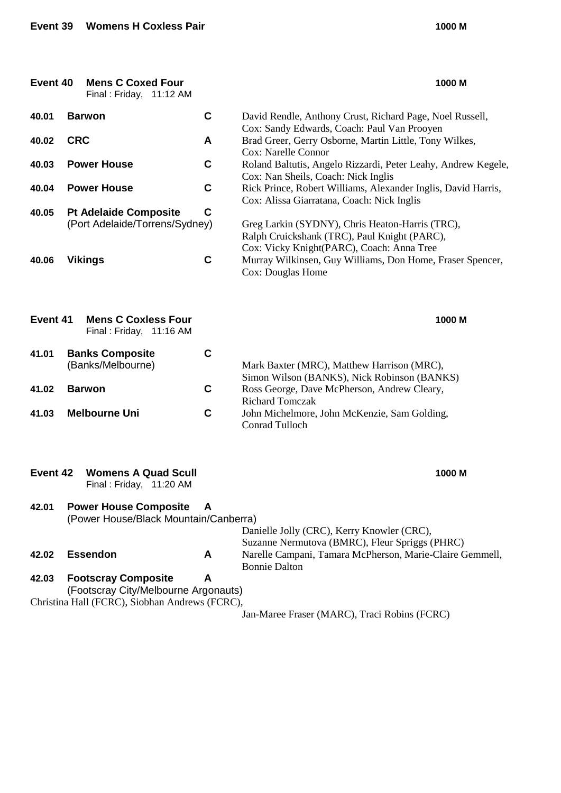| Event 40 | <b>Mens C Coxed Four</b><br>Final: Friday, 11:12 AM                   |        | 1000 M                                                                                                                                       |
|----------|-----------------------------------------------------------------------|--------|----------------------------------------------------------------------------------------------------------------------------------------------|
| 40.01    | <b>Barwon</b>                                                         | C      | David Rendle, Anthony Crust, Richard Page, Noel Russell,                                                                                     |
| 40.02    | <b>CRC</b>                                                            | A      | Cox: Sandy Edwards, Coach: Paul Van Prooyen<br>Brad Greer, Gerry Osborne, Martin Little, Tony Wilkes,                                        |
| 40.03    | <b>Power House</b>                                                    | C      | Cox: Narelle Connor<br>Roland Baltutis, Angelo Rizzardi, Peter Leahy, Andrew Kegele,<br>Cox: Nan Sheils, Coach: Nick Inglis                  |
| 40.04    | <b>Power House</b>                                                    | C      | Rick Prince, Robert Williams, Alexander Inglis, David Harris,<br>Cox: Alissa Giarratana, Coach: Nick Inglis                                  |
| 40.05    | <b>Pt Adelaide Composite</b><br>(Port Adelaide/Torrens/Sydney)        | C<br>C | Greg Larkin (SYDNY), Chris Heaton-Harris (TRC),<br>Ralph Cruickshank (TRC), Paul Knight (PARC),<br>Cox: Vicky Knight(PARC), Coach: Anna Tree |
| 40.06    | <b>Vikings</b>                                                        |        | Murray Wilkinsen, Guy Williams, Don Home, Fraser Spencer,<br>Cox: Douglas Home                                                               |
| Event 41 | <b>Mens C Coxless Four</b><br>Final: Friday, 11:16 AM                 |        | 1000 M                                                                                                                                       |
| 41.01    | <b>Banks Composite</b><br>(Banks/Melbourne)                           | C      | Mark Baxter (MRC), Matthew Harrison (MRC),<br>Simon Wilson (BANKS), Nick Robinson (BANKS)                                                    |
| 41.02    | <b>Barwon</b>                                                         | C      | Ross George, Dave McPherson, Andrew Cleary,<br><b>Richard Tomczak</b>                                                                        |
| 41.03    | <b>Melbourne Uni</b>                                                  | C      | John Michelmore, John McKenzie, Sam Golding,<br><b>Conrad Tulloch</b>                                                                        |
| Event 42 | <b>Womens A Quad Scull</b><br>Final: Friday, 11:20 AM                 |        | 1000 M                                                                                                                                       |
| 42.01    | <b>Power House Composite</b><br>(Power House/Black Mountain/Canberra) | A      | Danielle Jolly (CRC), Kerry Knowler (CRC),                                                                                                   |
| 42.02    | <b>Essendon</b>                                                       | A      | Suzanne Nermutova (BMRC), Fleur Spriggs (PHRC)<br>Narelle Campani, Tamara McPherson, Marie-Claire Gemmell,<br><b>Bonnie Dalton</b>           |
| 42.03    | <b>Footscray Composite</b><br>(Footscray City/Melbourne Argonauts)    | A      |                                                                                                                                              |
|          | Christina Hall (FCRC), Siobhan Andrews (FCRC),                        |        | Jan-Maree Fraser (MARC), Traci Robins (FCRC)                                                                                                 |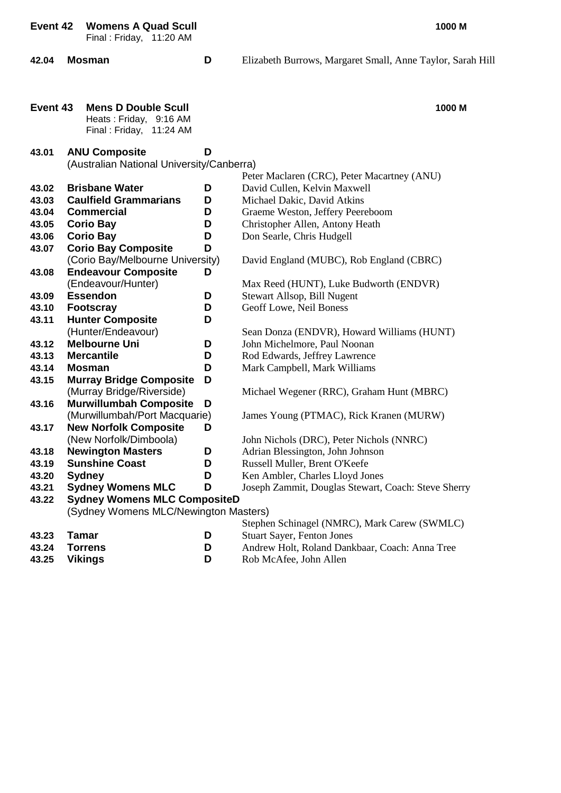**Event 42 Womens A Quad Scull 1000 M**

Final : Friday, 11:20 AM

- 
- **42.04 Mosman D** Elizabeth Burrows, Margaret Small, Anne Taylor, Sarah Hill

| Event 43 | <b>Mens D Double Scull</b>                |   | 1000 M                                              |
|----------|-------------------------------------------|---|-----------------------------------------------------|
|          | Heats: Friday, 9:16 AM                    |   |                                                     |
|          | Final: Friday, 11:24 AM                   |   |                                                     |
| 43.01    | <b>ANU Composite</b>                      | D |                                                     |
|          | (Australian National University/Canberra) |   |                                                     |
|          |                                           |   | Peter Maclaren (CRC), Peter Macartney (ANU)         |
| 43.02    | <b>Brisbane Water</b>                     | D | David Cullen, Kelvin Maxwell                        |
| 43.03    | <b>Caulfield Grammarians</b>              | D | Michael Dakic, David Atkins                         |
| 43.04    | <b>Commercial</b>                         | D | Graeme Weston, Jeffery Peereboom                    |
| 43.05    | <b>Corio Bay</b>                          | D | Christopher Allen, Antony Heath                     |
| 43.06    | <b>Corio Bay</b>                          | D | Don Searle, Chris Hudgell                           |
| 43.07    | <b>Corio Bay Composite</b>                | D |                                                     |
|          | (Corio Bay/Melbourne University)          |   | David England (MUBC), Rob England (CBRC)            |
| 43.08    | <b>Endeavour Composite</b>                | D |                                                     |
|          | (Endeavour/Hunter)                        |   | Max Reed (HUNT), Luke Budworth (ENDVR)              |
| 43.09    | <b>Essendon</b>                           | D | Stewart Allsop, Bill Nugent                         |
| 43.10    | <b>Footscray</b>                          | D | Geoff Lowe, Neil Boness                             |
| 43.11    | <b>Hunter Composite</b>                   | D |                                                     |
|          | (Hunter/Endeavour)                        |   | Sean Donza (ENDVR), Howard Williams (HUNT)          |
| 43.12    | <b>Melbourne Uni</b>                      | D | John Michelmore, Paul Noonan                        |
| 43.13    | <b>Mercantile</b>                         | D | Rod Edwards, Jeffrey Lawrence                       |
| 43.14    | Mosman                                    | D | Mark Campbell, Mark Williams                        |
| 43.15    | <b>Murray Bridge Composite</b>            | D |                                                     |
|          | (Murray Bridge/Riverside)                 |   | Michael Wegener (RRC), Graham Hunt (MBRC)           |
| 43.16    | <b>Murwillumbah Composite</b>             | D |                                                     |
|          | (Murwillumbah/Port Macquarie)             |   | James Young (PTMAC), Rick Kranen (MURW)             |
| 43.17    | <b>New Norfolk Composite</b>              | D |                                                     |
|          | (New Norfolk/Dimboola)                    |   | John Nichols (DRC), Peter Nichols (NNRC)            |
| 43.18    | <b>Newington Masters</b>                  | D | Adrian Blessington, John Johnson                    |
| 43.19    | <b>Sunshine Coast</b>                     | D | Russell Muller, Brent O'Keefe                       |
| 43.20    | <b>Sydney</b>                             | D | Ken Ambler, Charles Lloyd Jones                     |
| 43.21    | <b>Sydney Womens MLC</b>                  | D | Joseph Zammit, Douglas Stewart, Coach: Steve Sherry |
| 43.22    | <b>Sydney Womens MLC CompositeD</b>       |   |                                                     |
|          | (Sydney Womens MLC/Newington Masters)     |   |                                                     |
|          |                                           |   | Stephen Schinagel (NMRC), Mark Carew (SWMLC)        |
| 43.23    | <b>Tamar</b>                              | D | <b>Stuart Sayer, Fenton Jones</b>                   |
| 43.24    | <b>Torrens</b>                            | D | Andrew Holt, Roland Dankbaar, Coach: Anna Tree      |
| 43.25    | <b>Vikings</b>                            | D | Rob McAfee, John Allen                              |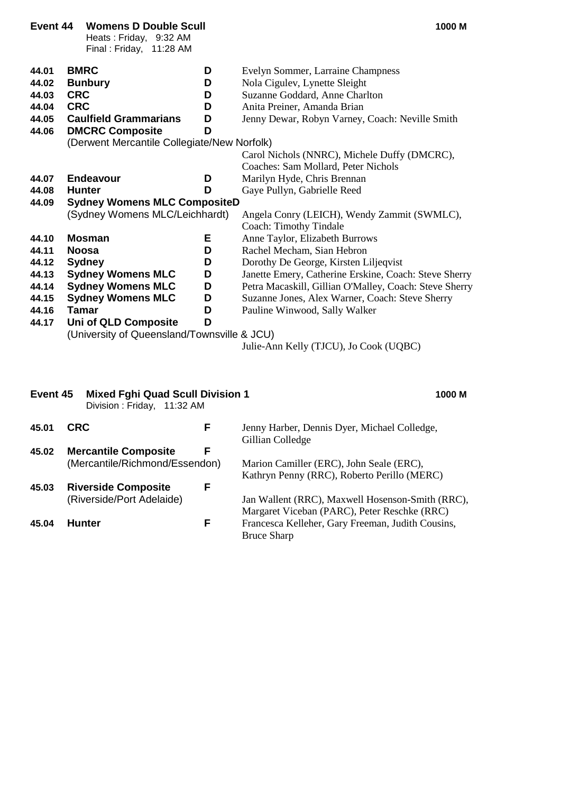| Event 44 | <b>Womens D Double Scull</b><br>Heats: Friday, 9:32 AM<br>Final: Friday, 11:28 AM |   | 1000 M                                                                              |
|----------|-----------------------------------------------------------------------------------|---|-------------------------------------------------------------------------------------|
| 44.01    | <b>BMRC</b>                                                                       | D | Evelyn Sommer, Larraine Champness                                                   |
| 44.02    | <b>Bunbury</b>                                                                    | D | Nola Cigulev, Lynette Sleight                                                       |
| 44.03    | <b>CRC</b>                                                                        | D | Suzanne Goddard, Anne Charlton                                                      |
| 44.04    | <b>CRC</b>                                                                        | D | Anita Preiner, Amanda Brian                                                         |
| 44.05    | <b>Caulfield Grammarians</b>                                                      | D | Jenny Dewar, Robyn Varney, Coach: Neville Smith                                     |
| 44.06    | <b>DMCRC Composite</b>                                                            | D |                                                                                     |
|          | (Derwent Mercantile Collegiate/New Norfolk)                                       |   |                                                                                     |
|          |                                                                                   |   | Carol Nichols (NNRC), Michele Duffy (DMCRC),<br>Coaches: Sam Mollard, Peter Nichols |
| 44.07    | <b>Endeavour</b>                                                                  | D | Marilyn Hyde, Chris Brennan                                                         |
| 44.08    | <b>Hunter</b>                                                                     | D | Gaye Pullyn, Gabrielle Reed                                                         |
| 44.09    | <b>Sydney Womens MLC CompositeD</b>                                               |   |                                                                                     |
|          | (Sydney Womens MLC/Leichhardt)                                                    |   | Angela Conry (LEICH), Wendy Zammit (SWMLC),                                         |
|          |                                                                                   |   | Coach: Timothy Tindale                                                              |
| 44.10    | <b>Mosman</b>                                                                     | Е | Anne Taylor, Elizabeth Burrows                                                      |
| 44.11    | <b>Noosa</b>                                                                      | D | Rachel Mecham, Sian Hebron                                                          |
| 44.12    | <b>Sydney</b>                                                                     | D | Dorothy De George, Kirsten Liljeqvist                                               |
| 44.13    | <b>Sydney Womens MLC</b>                                                          | D | Janette Emery, Catherine Erskine, Coach: Steve Sherry                               |
| 44.14    | <b>Sydney Womens MLC</b>                                                          | D | Petra Macaskill, Gillian O'Malley, Coach: Steve Sherry                              |
| 44.15    | <b>Sydney Womens MLC</b>                                                          | D | Suzanne Jones, Alex Warner, Coach: Steve Sherry                                     |
| 44.16    | <b>Tamar</b>                                                                      | D | Pauline Winwood, Sally Walker                                                       |
| 44.17    | Uni of QLD Composite                                                              | D |                                                                                     |
|          | (University of Queensland/Townsville & JCU)                                       |   |                                                                                     |
|          |                                                                                   |   | Julie-Ann Kelly (TJCU), Jo Cook (UQBC)                                              |
|          |                                                                                   |   |                                                                                     |

|       | Division: Friday,<br>11:32 AM                                 |   |                                                                                                  |
|-------|---------------------------------------------------------------|---|--------------------------------------------------------------------------------------------------|
| 45.01 | <b>CRC</b>                                                    | F | Jenny Harber, Dennis Dyer, Michael Colledge,<br>Gillian Colledge                                 |
| 45.02 | <b>Mercantile Composite</b><br>(Mercantile/Richmond/Essendon) | F | Marion Camiller (ERC), John Seale (ERC),<br>Kathryn Penny (RRC), Roberto Perillo (MERC)          |
| 45.03 | <b>Riverside Composite</b><br>(Riverside/Port Adelaide)       | F | Jan Wallent (RRC), Maxwell Hosenson-Smith (RRC),<br>Margaret Viceban (PARC), Peter Reschke (RRC) |
| 45.04 | <b>Hunter</b>                                                 | F | Francesca Kelleher, Gary Freeman, Judith Cousins,<br><b>Bruce Sharp</b>                          |

**Event 45 Mixed Fghi Quad Scull Division 1 1000 M**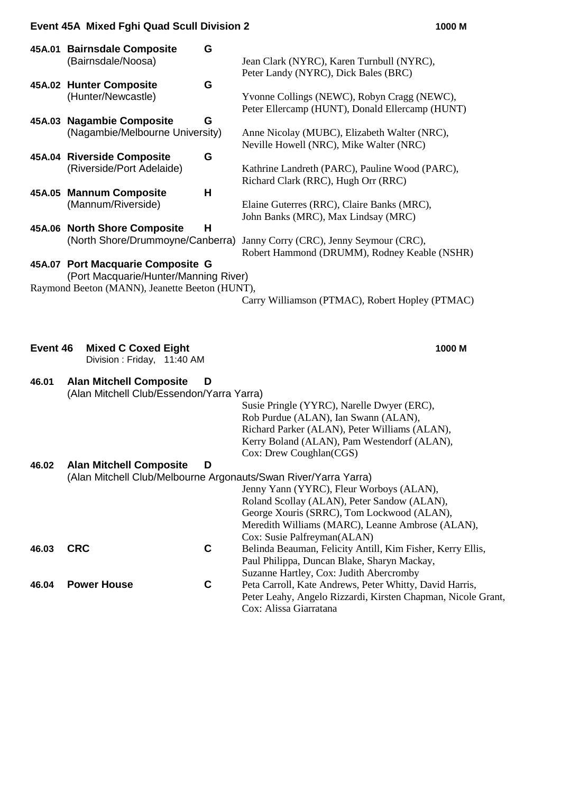#### **Event 45A Mixed Fghi Quad Scull Division 2 1000 M**

| 45A.01 | <b>Bairnsdale Composite</b><br>G<br>(Bairnsdale/Noosa)                     | Jean Clark (NYRC), Karen Turnbull (NYRC),                                                      |
|--------|----------------------------------------------------------------------------|------------------------------------------------------------------------------------------------|
|        |                                                                            | Peter Landy (NYRC), Dick Bales (BRC)                                                           |
|        | 45A.02 Hunter Composite<br>G                                               |                                                                                                |
|        | (Hunter/Newcastle)                                                         | Yvonne Collings (NEWC), Robyn Cragg (NEWC),<br>Peter Ellercamp (HUNT), Donald Ellercamp (HUNT) |
| 45A.03 | <b>Nagambie Composite</b><br>G                                             |                                                                                                |
|        | (Nagambie/Melbourne University)                                            | Anne Nicolay (MUBC), Elizabeth Walter (NRC),                                                   |
|        |                                                                            | Neville Howell (NRC), Mike Walter (NRC)                                                        |
|        | 45A.04 Riverside Composite<br>G                                            |                                                                                                |
|        | (Riverside/Port Adelaide)                                                  | Kathrine Landreth (PARC), Pauline Wood (PARC),                                                 |
|        |                                                                            | Richard Clark (RRC), Hugh Orr (RRC)                                                            |
| 45A.05 | <b>Mannum Composite</b><br>Н                                               |                                                                                                |
|        | (Mannum/Riverside)                                                         | Elaine Guterres (RRC), Claire Banks (MRC),                                                     |
|        |                                                                            | John Banks (MRC), Max Lindsay (MRC)                                                            |
|        | 45A.06 North Shore Composite<br>Н                                          |                                                                                                |
|        | (North Shore/Drummoyne/Canberra)                                           | Janny Corry (CRC), Jenny Seymour (CRC),                                                        |
|        |                                                                            | Robert Hammond (DRUMM), Rodney Keable (NSHR)                                                   |
|        | 45A.07 Port Macquarie Composite G<br>(Port Macquarie/Hunter/Manning River) |                                                                                                |
|        | Raymond Beeton (MANN), Jeanette Beeton (HUNT),                             |                                                                                                |
|        |                                                                            | Carry Williamson (PTMAC), Robert Hopley (PTMAC)                                                |
|        |                                                                            |                                                                                                |
|        |                                                                            |                                                                                                |
|        |                                                                            |                                                                                                |

| Event 46 Mixed C Coxed Eight |  |
|------------------------------|--|
| Division: Friday, 11:40 AM   |  |

### **46.01 Alan Mitchell Composite D** (Alan Mitchell Club/Essendon/Yarra Yarra)

Susie Pringle (YYRC), Narelle Dwyer (ERC), Rob Purdue (ALAN), Ian Swann (ALAN), Richard Parker (ALAN), Peter Williams (ALAN), Kerry Boland (ALAN), Pam Westendorf (ALAN), Cox: Drew Coughlan(CGS)

| 46.02 | <b>Alan Mitchell Composite</b> | D | (Alan Mitchell Club/Melbourne Argonauts/Swan River/Yarra Yarra) |
|-------|--------------------------------|---|-----------------------------------------------------------------|
|       |                                |   |                                                                 |
|       |                                |   | Jenny Yann (YYRC), Fleur Worboys (ALAN),                        |
|       |                                |   | Roland Scollay (ALAN), Peter Sandow (ALAN),                     |
|       |                                |   | George Xouris (SRRC), Tom Lockwood (ALAN),                      |
|       |                                |   | Meredith Williams (MARC), Leanne Ambrose (ALAN),                |
|       |                                |   | Cox: Susie Palfreyman(ALAN)                                     |
| 46.03 | <b>CRC</b>                     | С | Belinda Beauman, Felicity Antill, Kim Fisher, Kerry Ellis,      |
|       |                                |   | Paul Philippa, Duncan Blake, Sharyn Mackay,                     |
|       |                                |   | Suzanne Hartley, Cox: Judith Abercromby                         |
| 46.04 | <b>Power House</b>             | С | Peta Carroll, Kate Andrews, Peter Whitty, David Harris,         |
|       |                                |   | Peter Leahy, Angelo Rizzardi, Kirsten Chapman, Nicole Grant,    |
|       |                                |   | Cox: Alissa Giarratana                                          |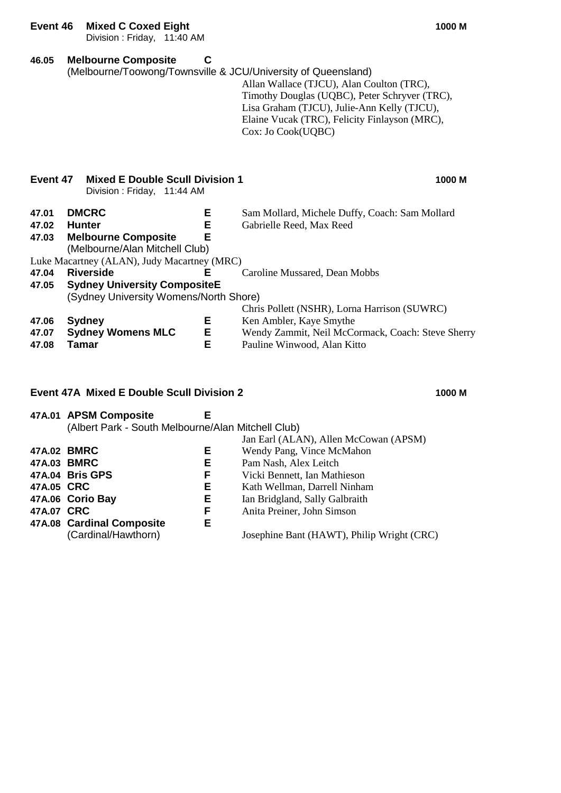**Event 46 Mixed C Coxed Eight 1000 M**

Division : Friday, 11:40 AM

| 46.05                   | <b>Melbourne Composite</b>                                                                                                                   | C           | (Melbourne/Toowong/Townsville & JCU/University of Queensland)<br>Allan Wallace (TJCU), Alan Coulton (TRC),<br>Timothy Douglas (UQBC), Peter Schryver (TRC),<br>Lisa Graham (TJCU), Julie-Ann Kelly (TJCU),<br>Elaine Vucak (TRC), Felicity Finlayson (MRC),<br>Cox: Jo Cook(UQBC) |
|-------------------------|----------------------------------------------------------------------------------------------------------------------------------------------|-------------|-----------------------------------------------------------------------------------------------------------------------------------------------------------------------------------------------------------------------------------------------------------------------------------|
| Event 47                | <b>Mixed E Double Scull Division 1</b><br>Division: Friday, 11:44 AM                                                                         |             | 1000 M                                                                                                                                                                                                                                                                            |
| 47.01<br>47.02<br>47.03 | <b>DMCRC</b><br><b>Hunter</b><br><b>Melbourne Composite</b><br>(Melbourne/Alan Mitchell Club)<br>Luke Macartney (ALAN), Judy Macartney (MRC) | Е<br>Е<br>Е | Sam Mollard, Michele Duffy, Coach: Sam Mollard<br>Gabrielle Reed, Max Reed                                                                                                                                                                                                        |
| 47.04<br>47.05          | <b>Riverside</b><br><b>Sydney University CompositeE</b>                                                                                      | Е           | Caroline Mussared, Dean Mobbs                                                                                                                                                                                                                                                     |
| 47.06<br>47.07<br>47.08 | (Sydney University Womens/North Shore)<br><b>Sydney</b><br><b>Sydney Womens MLC</b><br>Tamar                                                 | Е<br>Е<br>E | Chris Pollett (NSHR), Lorna Harrison (SUWRC)<br>Ken Ambler, Kaye Smythe<br>Wendy Zammit, Neil McCormack, Coach: Steve Sherry<br>Pauline Winwood, Alan Kitto                                                                                                                       |
|                         |                                                                                                                                              |             |                                                                                                                                                                                                                                                                                   |

### **Event 47A Mixed E Double Scull Division 2 1000 M**

**47A.01 APSM Composite E** (Albert Park - South Melbourne/Alan Mitchell Club) Jan Earl (ALAN), Allen McCowan (APSM) **47A.02 BMRC E** Wendy Pang, Vince McMahon **47A.03 BMRC E** Pam Nash, Alex Leitch **47A.04 Bris GPS F F** Vicki Bennett, Ian Mathieson<br>**47A.05 CRC E Kath Wellman**, Darrell Ninhai **47A.05 CRC E** Kath Wellman, Darrell Ninham **47A.06 Corio Bay E** Ian Bridgland, Sally Galbraith **47A.07 CRC F** Anita Preiner, John Simson **47A.08 Cardinal Composite** (Cardinal/Hawthorn) Josephine Bant (HAWT), Philip Wright (CRC)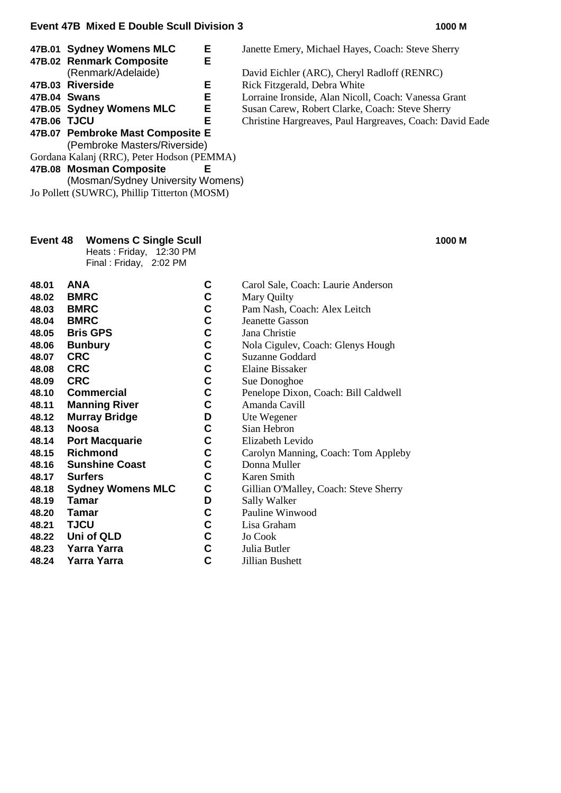|             |                                  | <b>C</b> | Janette Emery, Michael Hayes, Coach: Steve Sherry        |
|-------------|----------------------------------|----------|----------------------------------------------------------|
|             | 47B.02 Renmark Composite         | E.       |                                                          |
|             | (Renmark/Adelaide)               |          | David Eichler (ARC), Cheryl Radloff (RENRC)              |
|             | 47B.03 Riverside                 | Е        | Rick Fitzgerald, Debra White                             |
|             | 47B.04 Swans                     | Е.       | Lorraine Ironside, Alan Nicoll, Coach: Vanessa Grant     |
|             | 47B.05 Sydney Womens MLC         | Е.       | Susan Carew, Robert Clarke, Coach: Steve Sherry          |
| 47B.06 TJCU |                                  | Е        | Christine Hargreaves, Paul Hargreaves, Coach: David Eade |
|             | 47B.07 Pembroke Mast Composite E |          |                                                          |
|             |                                  |          |                                                          |

(Pembroke Masters/Riverside)

Gordana Kalanj (RRC), Peter Hodson (PEMMA)

#### **47B.08 Mosman Composite E**

(Mosman/Sydney University Womens) Jo Pollett (SUWRC), Phillip Titterton (MOSM)

### **Event 48 Womens C Single Scull 1000 M**

Heats: Friday, 12:30 PM

| Final : Friday, | 2:02 PM |
|-----------------|---------|
|-----------------|---------|

**47B.01 Sydney Womens MLC E** Janette Emery, Michael Hayes, Coach: Steve Sherry

- **48.01 ANA C** Carol Sale, Coach: Laurie Anderson<br> **48.02 BMRC C** Mary Ouilty
- **48.02 BMRC C** Mary Quilty<br>**48.03 BMRC C** Pam Nash, C
- **48.03 BMRC C** Pam Nash, Coach: Alex Leitch **48.04 BMRC C** Jeanette Gasson
- **48.04 BMRC C** Jeanette Gasson<br> **48.05 Bris GPS C** Jana Christie
- **48.05 Bris GPS C** Jana Christie<br> **48.06 Bunbury C** Nola Cigulev.
- **48.06 Bunbury C** Nola Cigulev, Coach: Glenys Hough **48.07 CRC** C Suzanne Goddard
- **48.07 CRC C** Suzanne Goddard
- **48.08 CRC C** Elaine Bissaker<br> **48.09 CRC C** Sue Donoghoe
	-
- **48.09 CRC C** Sue Donoghoe<br> **48.10 Commercial** C Penelope Dixor **48.10 Commercial C** Penelope Dixon, Coach: Bill Caldwell
- **48.11 Manning River C** Amanda Cavill
	-
- **48.12 Murray Bridge D** Ute Wegener **48.13 Noosa C** Sian Hebron
	-
- **48.14 Port Macquarie C** Elizabeth Levido **48.15 Richmond C** Carolyn Manning, Coach: Tom Appleby<br>**48.16 Sunshine Coast** C Donna Muller
- **48.16 Sunshine Coast C** Donna Muller<br> **48.17 Surfers C** Karen Smith
	-
- **48.17 Surfers C** Karen Smith **48.18 Sydney Womens MLC C** Gillian O'Malley, Coach: Steve Sherry
- **48.19 Tamar D** Sally Walker<br>**48.20 Tamar C** Pauline Winw
- **48.20 Tamar C** Pauline Winwood<br>**48.21 TJCU C** Lisa Graham
- **48.21 TJCU C** Lisa Graham
- **48.22 Uni of QLD C** Jo Cook
- **48.23 Yarra Yarra C** Julia Butler
- **48.24 Yarra Yarra C** Jillian Bushett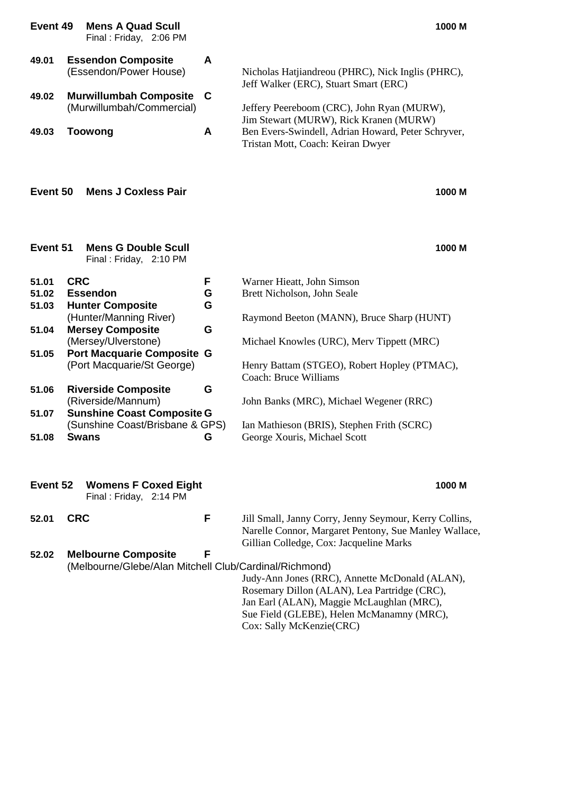| Event 49                            | <b>Mens A Quad Scull</b><br>Final: Friday, 2:06 PM                                                                                                                |             | 1000 M                                                                                                                                                                                                                                                                                  |
|-------------------------------------|-------------------------------------------------------------------------------------------------------------------------------------------------------------------|-------------|-----------------------------------------------------------------------------------------------------------------------------------------------------------------------------------------------------------------------------------------------------------------------------------------|
| 49.01<br>49.02<br>49.03<br>Event 50 | <b>Essendon Composite</b><br>(Essendon/Power House)<br><b>Murwillumbah Composite</b><br>(Murwillumbah/Commercial)<br><b>Toowong</b><br><b>Mens J Coxless Pair</b> | A<br>C<br>A | Nicholas Hatjiandreou (PHRC), Nick Inglis (PHRC),<br>Jeff Walker (ERC), Stuart Smart (ERC)<br>Jeffery Peereboom (CRC), John Ryan (MURW),<br>Jim Stewart (MURW), Rick Kranen (MURW)<br>Ben Evers-Swindell, Adrian Howard, Peter Schryver,<br>Tristan Mott, Coach: Keiran Dwyer<br>1000 M |
| Event 51                            | <b>Mens G Double Scull</b><br>Final: Friday, 2:10 PM                                                                                                              |             | 1000 M                                                                                                                                                                                                                                                                                  |
| 51.01                               | <b>CRC</b>                                                                                                                                                        | F           | Warner Hieatt, John Simson                                                                                                                                                                                                                                                              |
| 51.02                               | <b>Essendon</b>                                                                                                                                                   | G           | Brett Nicholson, John Seale                                                                                                                                                                                                                                                             |
| 51.03                               | <b>Hunter Composite</b>                                                                                                                                           | G           |                                                                                                                                                                                                                                                                                         |
|                                     | (Hunter/Manning River)                                                                                                                                            |             | Raymond Beeton (MANN), Bruce Sharp (HUNT)                                                                                                                                                                                                                                               |
| 51.04                               | <b>Mersey Composite</b>                                                                                                                                           | G           |                                                                                                                                                                                                                                                                                         |
|                                     | (Mersey/Ulverstone)                                                                                                                                               |             | Michael Knowles (URC), Merv Tippett (MRC)                                                                                                                                                                                                                                               |
| 51.05                               | <b>Port Macquarie Composite G</b>                                                                                                                                 |             |                                                                                                                                                                                                                                                                                         |
|                                     | (Port Macquarie/St George)                                                                                                                                        |             | Henry Battam (STGEO), Robert Hopley (PTMAC),<br><b>Coach: Bruce Williams</b>                                                                                                                                                                                                            |
| 51.06                               | <b>Riverside Composite</b>                                                                                                                                        | G           |                                                                                                                                                                                                                                                                                         |
|                                     | (Riverside/Mannum)                                                                                                                                                |             | John Banks (MRC), Michael Wegener (RRC)                                                                                                                                                                                                                                                 |
| 51.07                               | <b>Sunshine Coast Composite G</b>                                                                                                                                 |             |                                                                                                                                                                                                                                                                                         |
|                                     | (Sunshine Coast/Brisbane & GPS)                                                                                                                                   |             | Ian Mathieson (BRIS), Stephen Frith (SCRC)                                                                                                                                                                                                                                              |
| 51.08                               | <b>Swans</b>                                                                                                                                                      | G           | George Xouris, Michael Scott                                                                                                                                                                                                                                                            |
|                                     |                                                                                                                                                                   |             |                                                                                                                                                                                                                                                                                         |
| Event 52                            | <b>Womens F Coxed Eight</b><br>Final: Friday, 2:14 PM                                                                                                             |             | 1000 M                                                                                                                                                                                                                                                                                  |
| 52.01                               | <b>CRC</b>                                                                                                                                                        | F           | Jill Small, Janny Corry, Jenny Seymour, Kerry Collins,                                                                                                                                                                                                                                  |
|                                     |                                                                                                                                                                   |             | Narelle Connor, Margaret Pentony, Sue Manley Wallace,                                                                                                                                                                                                                                   |
|                                     |                                                                                                                                                                   |             | Gillian Colledge, Cox: Jacqueline Marks                                                                                                                                                                                                                                                 |
| 52.02                               | <b>Melbourne Composite</b>                                                                                                                                        | F           |                                                                                                                                                                                                                                                                                         |
|                                     | (Melbourne/Glebe/Alan Mitchell Club/Cardinal/Richmond)                                                                                                            |             | Judy-Ann Jones (RRC), Annette McDonald (ALAN),                                                                                                                                                                                                                                          |
|                                     |                                                                                                                                                                   |             | Rosemary Dillon (ALAN), Lea Partridge (CRC),                                                                                                                                                                                                                                            |
|                                     |                                                                                                                                                                   |             | Jan Earl (ALAN), Maggie McLaughlan (MRC),                                                                                                                                                                                                                                               |
|                                     |                                                                                                                                                                   |             | Sue Field (GLEBE), Helen McManamny (MRC),                                                                                                                                                                                                                                               |
|                                     |                                                                                                                                                                   |             | Cox: Sally McKenzie(CRC)                                                                                                                                                                                                                                                                |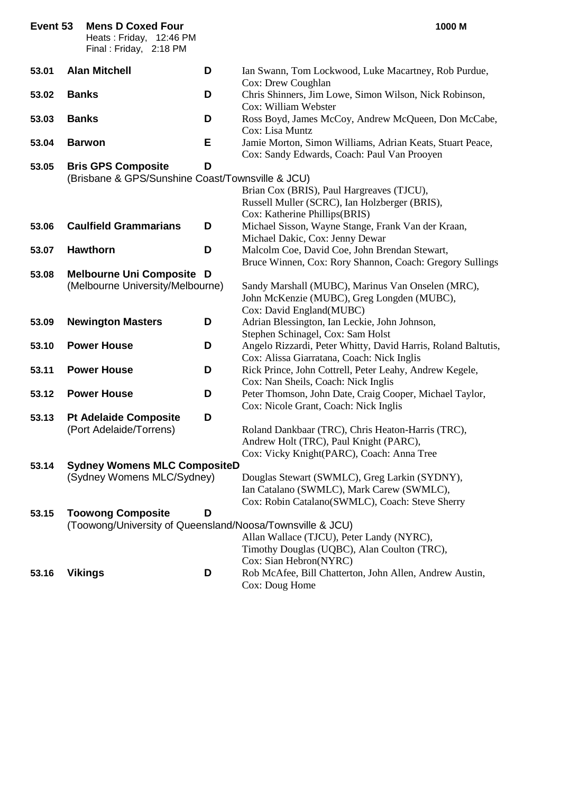| Event 53 |              | <b>Mens D Coxed Four</b><br>Heats: Friday, 12:46 PM<br>Final: Friday, 2:18 PM |   | 1000 M                                                                                                   |
|----------|--------------|-------------------------------------------------------------------------------|---|----------------------------------------------------------------------------------------------------------|
| 53.01    |              | <b>Alan Mitchell</b>                                                          | D | Ian Swann, Tom Lockwood, Luke Macartney, Rob Purdue,<br>Cox: Drew Coughlan                               |
| 53.02    | <b>Banks</b> |                                                                               | D | Chris Shinners, Jim Lowe, Simon Wilson, Nick Robinson,<br>Cox: William Webster                           |
| 53.03    | <b>Banks</b> |                                                                               | D | Ross Boyd, James McCoy, Andrew McQueen, Don McCabe,<br>Cox: Lisa Muntz                                   |
| 53.04    |              | <b>Barwon</b>                                                                 | Е | Jamie Morton, Simon Williams, Adrian Keats, Stuart Peace,<br>Cox: Sandy Edwards, Coach: Paul Van Prooyen |
| 53.05    |              | <b>Bris GPS Composite</b>                                                     | D |                                                                                                          |
|          |              | (Brisbane & GPS/Sunshine Coast/Townsville & JCU)                              |   |                                                                                                          |
|          |              |                                                                               |   | Brian Cox (BRIS), Paul Hargreaves (TJCU),                                                                |
|          |              |                                                                               |   | Russell Muller (SCRC), Ian Holzberger (BRIS),                                                            |
|          |              |                                                                               |   | Cox: Katherine Phillips(BRIS)                                                                            |
| 53.06    |              | <b>Caulfield Grammarians</b>                                                  | D | Michael Sisson, Wayne Stange, Frank Van der Kraan,                                                       |
|          |              |                                                                               |   | Michael Dakic, Cox: Jenny Dewar                                                                          |
| 53.07    |              | <b>Hawthorn</b>                                                               | D | Malcolm Coe, David Coe, John Brendan Stewart,                                                            |
|          |              |                                                                               |   | Bruce Winnen, Cox: Rory Shannon, Coach: Gregory Sullings                                                 |
| 53.08    |              | <b>Melbourne Uni Composite D</b>                                              |   |                                                                                                          |
|          |              | (Melbourne University/Melbourne)                                              |   | Sandy Marshall (MUBC), Marinus Van Onselen (MRC),                                                        |
|          |              |                                                                               |   | John McKenzie (MUBC), Greg Longden (MUBC),                                                               |
|          |              |                                                                               |   | Cox: David England(MUBC)                                                                                 |
| 53.09    |              | <b>Newington Masters</b>                                                      | D | Adrian Blessington, Ian Leckie, John Johnson,                                                            |
|          |              |                                                                               |   | Stephen Schinagel, Cox: Sam Holst                                                                        |
| 53.10    |              | <b>Power House</b>                                                            | D | Angelo Rizzardi, Peter Whitty, David Harris, Roland Baltutis,                                            |
|          |              |                                                                               |   | Cox: Alissa Giarratana, Coach: Nick Inglis                                                               |
| 53.11    |              | <b>Power House</b>                                                            | D | Rick Prince, John Cottrell, Peter Leahy, Andrew Kegele,                                                  |
|          |              |                                                                               |   | Cox: Nan Sheils, Coach: Nick Inglis                                                                      |
| 53.12    |              | <b>Power House</b>                                                            | D | Peter Thomson, John Date, Craig Cooper, Michael Taylor,                                                  |
|          |              |                                                                               |   | Cox: Nicole Grant, Coach: Nick Inglis                                                                    |
| 53.13    |              | <b>Pt Adelaide Composite</b>                                                  | D |                                                                                                          |
|          |              | (Port Adelaide/Torrens)                                                       |   | Roland Dankbaar (TRC), Chris Heaton-Harris (TRC),                                                        |
|          |              |                                                                               |   | Andrew Holt (TRC), Paul Knight (PARC),                                                                   |
|          |              |                                                                               |   | Cox: Vicky Knight(PARC), Coach: Anna Tree                                                                |
| 53.14    |              | <b>Sydney Womens MLC CompositeD</b>                                           |   |                                                                                                          |
|          |              | (Sydney Womens MLC/Sydney)                                                    |   | Douglas Stewart (SWMLC), Greg Larkin (SYDNY),                                                            |
|          |              |                                                                               |   | Ian Catalano (SWMLC), Mark Carew (SWMLC),                                                                |
|          |              |                                                                               |   | Cox: Robin Catalano(SWMLC), Coach: Steve Sherry                                                          |
| 53.15    |              | <b>Toowong Composite</b>                                                      | D |                                                                                                          |
|          |              | (Toowong/University of Queensland/Noosa/Townsville & JCU)                     |   | Allan Wallace (TJCU), Peter Landy (NYRC),                                                                |
|          |              |                                                                               |   |                                                                                                          |
|          |              |                                                                               |   | Timothy Douglas (UQBC), Alan Coulton (TRC),<br>Cox: Sian Hebron(NYRC)                                    |
| 53.16    |              | <b>Vikings</b>                                                                | D | Rob McAfee, Bill Chatterton, John Allen, Andrew Austin,                                                  |
|          |              |                                                                               |   | Cox: Doug Home                                                                                           |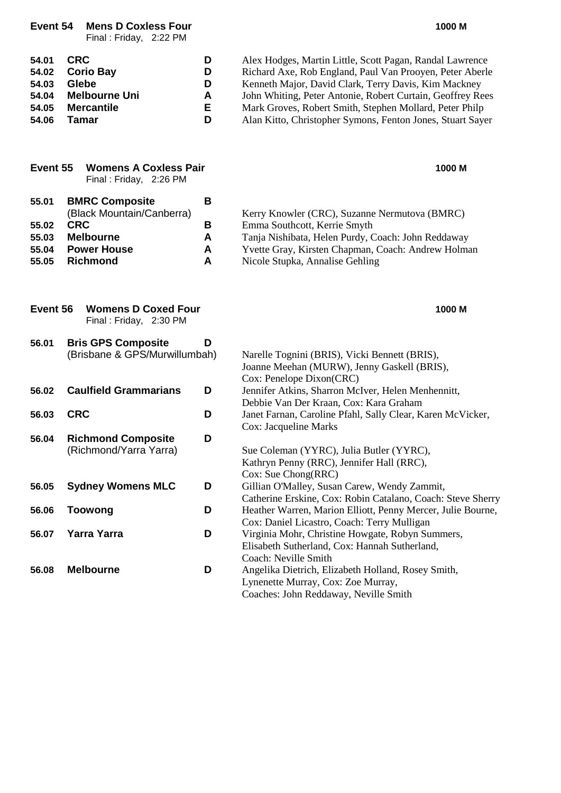**Event 54 Mens D Coxless Four 1000 M**

Final : Friday, 2:22 PM

| <b>CRC</b>           | D  | Alex Hodges, Martin Little, Scott Pagan, Randal Lawrence   |
|----------------------|----|------------------------------------------------------------|
| <b>Corio Bay</b>     | D  | Richard Axe, Rob England, Paul Van Prooyen, Peter Aberle   |
| <b>Glebe</b>         | D  | Kenneth Major, David Clark, Terry Davis, Kim Mackney       |
| <b>Melbourne Uni</b> | A  | John Whiting, Peter Antonie, Robert Curtain, Geoffrey Rees |
| <b>Mercantile</b>    | Е. | Mark Groves, Robert Smith, Stephen Mollard, Peter Philp    |
| Tamar                | D  | Alan Kitto, Christopher Symons, Fenton Jones, Stuart Sayer |
|                      |    |                                                            |

|                                           | Final: Friday, 2:26 PM                                                                                                        |                       |                                                                                                                                                                                                                              |
|-------------------------------------------|-------------------------------------------------------------------------------------------------------------------------------|-----------------------|------------------------------------------------------------------------------------------------------------------------------------------------------------------------------------------------------------------------------|
| 55.01<br>55.02<br>55.03<br>55.04<br>55.05 | <b>BMRC Composite</b><br>(Black Mountain/Canberra)<br><b>CRC</b><br><b>Melbourne</b><br><b>Power House</b><br><b>Richmond</b> | Β<br>В<br>A<br>A<br>A | Kerry Knowler (CRC), Suzanne Nermutova (BMRC)<br>Emma Southcott, Kerrie Smyth<br>Tanja Nishibata, Helen Purdy, Coach: John Reddaway<br>Yvette Gray, Kirsten Chapman, Coach: Andrew Holman<br>Nicole Stupka, Annalise Gehling |
| Event 56                                  | <b>Womens D Coxed Four</b><br>Final: Friday, 2:30 PM                                                                          |                       | 1000 M                                                                                                                                                                                                                       |
| 56.01                                     | <b>Bris GPS Composite</b><br>(Brisbane & GPS/Murwillumbah)                                                                    | D                     | Narelle Tognini (BRIS), Vicki Bennett (BRIS),<br>Joanne Meehan (MURW), Jenny Gaskell (BRIS),<br>Cox: Penelope Dixon(CRC)                                                                                                     |
| 56.02                                     | <b>Caulfield Grammarians</b>                                                                                                  | D                     | Jennifer Atkins, Sharron McIver, Helen Menhennitt,<br>Debbie Van Der Kraan, Cox: Kara Graham                                                                                                                                 |
| 56.03                                     | <b>CRC</b>                                                                                                                    | D                     | Janet Farnan, Caroline Pfahl, Sally Clear, Karen McVicker,<br>Cox: Jacqueline Marks                                                                                                                                          |
| 56.04                                     | <b>Richmond Composite</b><br>(Richmond/Yarra Yarra)                                                                           | D                     | Sue Coleman (YYRC), Julia Butler (YYRC),<br>Kathryn Penny (RRC), Jennifer Hall (RRC),<br>Cox: Sue Chong(RRC)                                                                                                                 |
| 56.05                                     | <b>Sydney Womens MLC</b>                                                                                                      | D                     | Gillian O'Malley, Susan Carew, Wendy Zammit,<br>Catherine Erskine, Cox: Robin Catalano, Coach: Steve Sherry                                                                                                                  |
| 56.06                                     | <b>Toowong</b>                                                                                                                | D                     | Heather Warren, Marion Elliott, Penny Mercer, Julie Bourne,<br>Cox: Daniel Licastro, Coach: Terry Mulligan                                                                                                                   |
| 56.07                                     | <b>Yarra Yarra</b>                                                                                                            | D                     | Virginia Mohr, Christine Howgate, Robyn Summers,<br>Elisabeth Sutherland, Cox: Hannah Sutherland,<br>Coach: Neville Smith                                                                                                    |
| 56.08                                     | <b>Melbourne</b>                                                                                                              | D                     | Angelika Dietrich, Elizabeth Holland, Rosey Smith,<br>Lynenette Murray, Cox: Zoe Murray,                                                                                                                                     |

**Event 55 Womens A Coxless Pair 1000 M**

**54.01 C** Alex Hodges, Martin Little, Scott Pagan, Randal Lawrence **54.02 Corio Bay D** Richard Axe, Rob England, Paul Van Prooyen, Peter Aberle

Coaches: John Reddaway, Neville Smith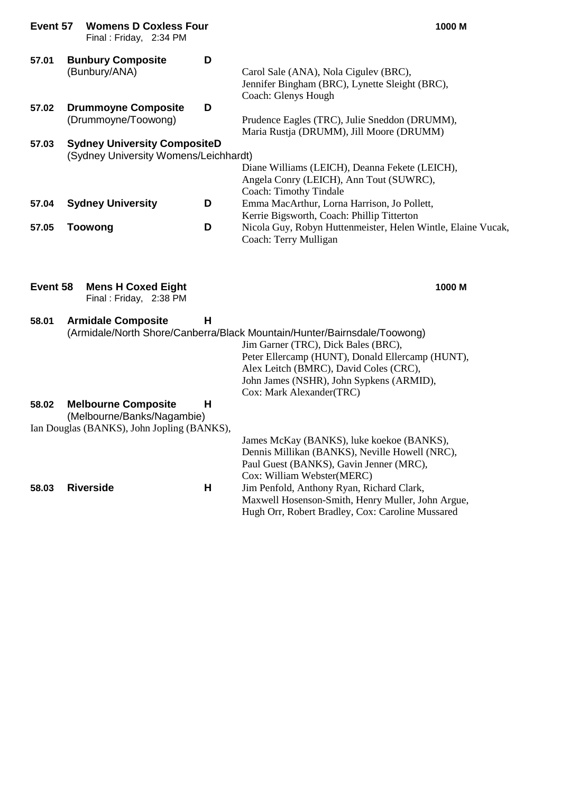| Event 57 | <b>Womens D Coxless Four</b><br>Final: Friday, 2:34 PM                                                 |   | 1000 M                                                                                                                                                                                                        |
|----------|--------------------------------------------------------------------------------------------------------|---|---------------------------------------------------------------------------------------------------------------------------------------------------------------------------------------------------------------|
| 57.01    | <b>Bunbury Composite</b><br>(Bunbury/ANA)                                                              | D | Carol Sale (ANA), Nola Cigulev (BRC),<br>Jennifer Bingham (BRC), Lynette Sleight (BRC),<br>Coach: Glenys Hough                                                                                                |
| 57.02    | <b>Drummoyne Composite</b><br>(Drummoyne/Toowong)                                                      | D | Prudence Eagles (TRC), Julie Sneddon (DRUMM),<br>Maria Rustja (DRUMM), Jill Moore (DRUMM)                                                                                                                     |
| 57.03    | <b>Sydney University CompositeD</b><br>(Sydney University Womens/Leichhardt)                           |   | Diane Williams (LEICH), Deanna Fekete (LEICH),                                                                                                                                                                |
|          |                                                                                                        |   | Angela Conry (LEICH), Ann Tout (SUWRC),<br>Coach: Timothy Tindale                                                                                                                                             |
| 57.04    | <b>Sydney University</b>                                                                               | D | Emma MacArthur, Lorna Harrison, Jo Pollett,<br>Kerrie Bigsworth, Coach: Phillip Titterton                                                                                                                     |
| 57.05    | <b>Toowong</b>                                                                                         | D | Nicola Guy, Robyn Huttenmeister, Helen Wintle, Elaine Vucak,<br>Coach: Terry Mulligan                                                                                                                         |
| Event 58 | <b>Mens H Coxed Eight</b><br>Final: Friday, 2:38 PM                                                    |   | 1000 M                                                                                                                                                                                                        |
| 58.01    | <b>Armidale Composite</b>                                                                              | н | (Armidale/North Shore/Canberra/Black Mountain/Hunter/Bairnsdale/Toowong)<br>Jim Garner (TRC), Dick Bales (BRC),<br>Peter Ellercamp (HUNT), Donald Ellercamp (HUNT),<br>Alex Leitch (BMRC), David Coles (CRC), |
|          |                                                                                                        |   | John James (NSHR), John Sypkens (ARMID),                                                                                                                                                                      |
| 58.02    | <b>Melbourne Composite</b><br>(Melbourne/Banks/Nagambie)<br>Ian Douglas (BANKS), John Jopling (BANKS), | Н | Cox: Mark Alexander(TRC)                                                                                                                                                                                      |
|          |                                                                                                        |   | James McKay (BANKS), luke koekoe (BANKS),<br>Dennis Millikan (BANKS), Neville Howell (NRC),<br>Paul Guest (BANKS), Gavin Jenner (MRC),<br>Cox: William Webster(MERC)                                          |
| 58.03    | <b>Riverside</b>                                                                                       | н | Jim Penfold, Anthony Ryan, Richard Clark,<br>Maxwell Hosenson-Smith, Henry Muller, John Argue,<br>Hugh Orr, Robert Bradley, Cox: Caroline Mussared                                                            |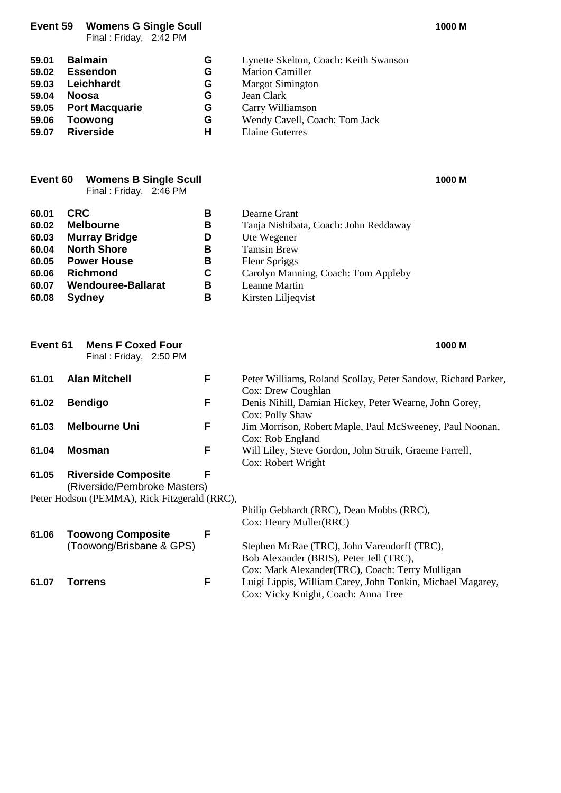**Event 59 Womens G Single Scull 1000 M**

Final : Friday, 2:42 PM

**59.01 Balmain**<br> **G** Lynette Skelton, Coach: Keith Swanson<br> **G** Marion Camiller **59.02 Essendon**<br> **59.03 Leichhardt**<br> **G** Margot Simington<br> **G** Margot Simington **59.03 Leichhardt G** Margot Simington **59.04 Noosa G** Jean Clark **59.05** Port Macquarie **G**<br>59.06 Toowong **G 59.06 Toowong G** Wendy Cavell, Coach: Tom Jack **Elaine Guterres** 

|       | <b>Event 60 Womens B Single Scull</b><br>Final : Friday, 2:46 PM |              | 1000 M |
|-------|------------------------------------------------------------------|--------------|--------|
| 60.01 | <b>CRC</b>                                                       | Dearne Grant |        |

| 60.01 | <b>CRC</b>                | в | Dearne Grant                          |
|-------|---------------------------|---|---------------------------------------|
| 60.02 | <b>Melbourne</b>          | в | Tanja Nishibata, Coach: John Reddaway |
| 60.03 | <b>Murray Bridge</b>      | D | Ute Wegener                           |
| 60.04 | <b>North Shore</b>        | в | <b>Tamsin Brew</b>                    |
| 60.05 | <b>Power House</b>        | в | <b>Fleur Spriggs</b>                  |
| 60.06 | <b>Richmond</b>           | C | Carolyn Manning, Coach: Tom Appleby   |
| 60.07 | <b>Wendouree-Ballarat</b> | в | Leanne Martin                         |
| 60.08 | <b>Sydney</b>             | в | Kirsten Liljeqvist                    |

| Event 61 | <b>Mens F Coxed Four</b><br>Final: Friday, 2:50 PM         |   | 1000 M                                                                                                                                     |
|----------|------------------------------------------------------------|---|--------------------------------------------------------------------------------------------------------------------------------------------|
| 61.01    | <b>Alan Mitchell</b>                                       | F | Peter Williams, Roland Scollay, Peter Sandow, Richard Parker,<br>Cox: Drew Coughlan                                                        |
| 61.02    | <b>Bendigo</b>                                             | F | Denis Nihill, Damian Hickey, Peter Wearne, John Gorey,<br>Cox: Polly Shaw                                                                  |
| 61.03    | <b>Melbourne Uni</b>                                       | F | Jim Morrison, Robert Maple, Paul McSweeney, Paul Noonan,<br>Cox: Rob England                                                               |
| 61.04    | Mosman                                                     | F | Will Liley, Steve Gordon, John Struik, Graeme Farrell,<br>Cox: Robert Wright                                                               |
| 61.05    | <b>Riverside Composite</b><br>(Riverside/Pembroke Masters) | F |                                                                                                                                            |
|          | Peter Hodson (PEMMA), Rick Fitzgerald (RRC),               |   | Philip Gebhardt (RRC), Dean Mobbs (RRC),                                                                                                   |
|          |                                                            |   | Cox: Henry Muller(RRC)                                                                                                                     |
| 61.06    | <b>Toowong Composite</b><br>(Toowong/Brisbane & GPS)       | F | Stephen McRae (TRC), John Varendorff (TRC),<br>Bob Alexander (BRIS), Peter Jell (TRC),<br>Cox: Mark Alexander (TRC), Coach: Terry Mulligan |
| 61.07    | Torrens                                                    | F | Luigi Lippis, William Carey, John Tonkin, Michael Magarey,<br>Cox: Vicky Knight, Coach: Anna Tree                                          |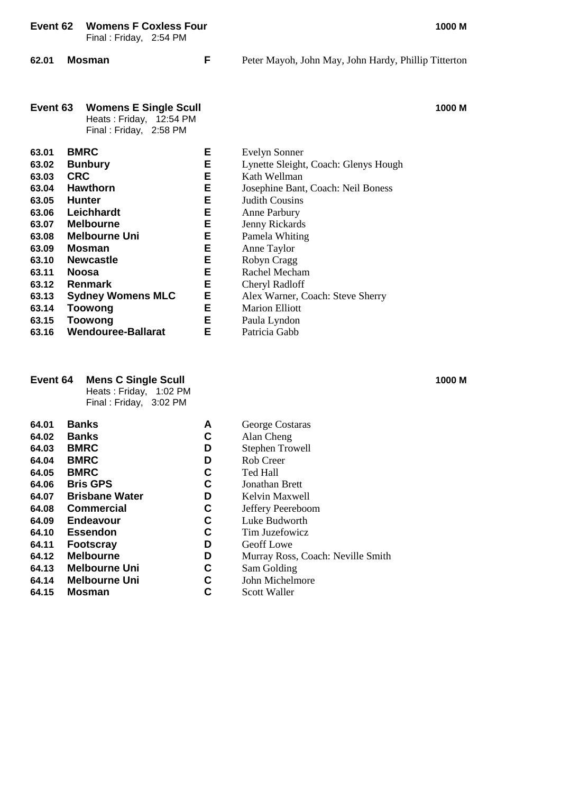|                                                                                                                   |            | TUUIILIJI UUAILJJI UUI<br>Final: Friday, 2:54 PM                                                                                                                                                                        |                                                               | ויו טטטו                                                                                                                                                                                                                                                                                      |
|-------------------------------------------------------------------------------------------------------------------|------------|-------------------------------------------------------------------------------------------------------------------------------------------------------------------------------------------------------------------------|---------------------------------------------------------------|-----------------------------------------------------------------------------------------------------------------------------------------------------------------------------------------------------------------------------------------------------------------------------------------------|
| 62.01                                                                                                             |            | <b>Mosman</b>                                                                                                                                                                                                           | F                                                             | Peter Mayoh, John May, John Hardy, Phillip Titterton                                                                                                                                                                                                                                          |
| Event 63                                                                                                          |            | <b>Womens E Single Scull</b><br>Heats: Friday, 12:54 PM<br>Final: Friday, 2:58 PM                                                                                                                                       |                                                               | 1000 M                                                                                                                                                                                                                                                                                        |
| 63.01<br>63.02<br>63.03<br>63.04<br>63.05<br>63.06<br>63.07<br>63.08<br>63.09<br>63.10<br>63.11<br>63.12<br>63.13 | <b>CRC</b> | <b>BMRC</b><br><b>Bunbury</b><br><b>Hawthorn</b><br><b>Hunter</b><br>Leichhardt<br><b>Melbourne</b><br><b>Melbourne Uni</b><br>Mosman<br><b>Newcastle</b><br><b>Noosa</b><br><b>Renmark</b><br><b>Sydney Womens MLC</b> | Е<br>Е<br>Е<br>Е<br>E<br>E<br>E<br>E<br>E<br>Е<br>E<br>Е<br>Ε | Evelyn Sonner<br>Lynette Sleight, Coach: Glenys Hough<br>Kath Wellman<br>Josephine Bant, Coach: Neil Boness<br><b>Judith Cousins</b><br>Anne Parbury<br>Jenny Rickards<br>Pamela Whiting<br>Anne Taylor<br>Robyn Cragg<br>Rachel Mecham<br>Cheryl Radloff<br>Alex Warner, Coach: Steve Sherry |
| 63.14<br>63.15<br>63.16                                                                                           |            | Toowong<br><b>Toowong</b><br><b>Wendouree-Ballarat</b>                                                                                                                                                                  | E<br>E<br>E                                                   | <b>Marion Elliott</b><br>Paula Lyndon<br>Patricia Gabb                                                                                                                                                                                                                                        |

#### **Event 64 Mens C Single Scull 1000 M** Heats : Friday, 1:02 PM

Final : Friday, 3:02 PM

| 64.01 | <b>Banks</b>          | Α | George Costa        |
|-------|-----------------------|---|---------------------|
| 64.02 | <b>Banks</b>          | C | Alan Cheng          |
| 64.03 | <b>BMRC</b>           | D | <b>Stephen Trov</b> |
| 64.04 | <b>BMRC</b>           | D | Rob Creer           |
| 64.05 | <b>BMRC</b>           | C | Ted Hall            |
| 64.06 | <b>Bris GPS</b>       | C | Jonathan Bre        |
| 64.07 | <b>Brisbane Water</b> | D | Kelvin Maxw         |
| 64.08 | <b>Commercial</b>     | C | Jeffery Peere       |
| 64.09 | <b>Endeavour</b>      | C | Luke Budwor         |
| 64.10 | <b>Essendon</b>       | C | Tim Juzefow         |
| 64.11 | <b>Footscray</b>      | D | Geoff Lowe          |
| 64.12 | <b>Melbourne</b>      | D | Murray Ross,        |
| 64.13 | <b>Melbourne Uni</b>  | С | Sam Golding         |
| 64.14 | <b>Melbourne Uni</b>  | С | John Michelr        |
| 64.15 | <b>Mosman</b>         | C | Scott Waller        |

**64. C Banks Banks C Banks A** Banks

- **6 C** Alan Cheng<br>**D** Stephen Trov
- **b 64.03** Stephen Trowell **b** Rob Creer
- **b** Rob Creer<br>**C** Ted Hall
- **6 C B** Ted Hall
- **64.06 C** Jonathan Brett<br>**D** Kelvin Maxwel
- **6 Brisbane Water Brisbane Water D D Brisbane Water D Brisbane Brisbane D Brisbane D Brisbane Brisbane Brisbane Brisbane Brisbane Brisbane Brisbane Brisbane Brisbane Brisbane Bri**
- **6 C** Jeffery Peereboom<br>**C** Luke Budworth
- **6 E** Luke Budworth **C C E** Tim Juzefowicz
- **6 C** Tim Juzefowicz<br>**D** Geoff Lowe
- **b 64.11 C** Geoff Lowe
- **64.13** Murray Ross, Coach: Neville Smith<br> **64.12** Sam Golding<br> **64.12** John Michelmore<br> **C6.23.12** Scott Waller
	- $Sam$  Golding
		- $John Michaelmore$ 
			-

**Event 62 Womens F Coxless Four 1000 M**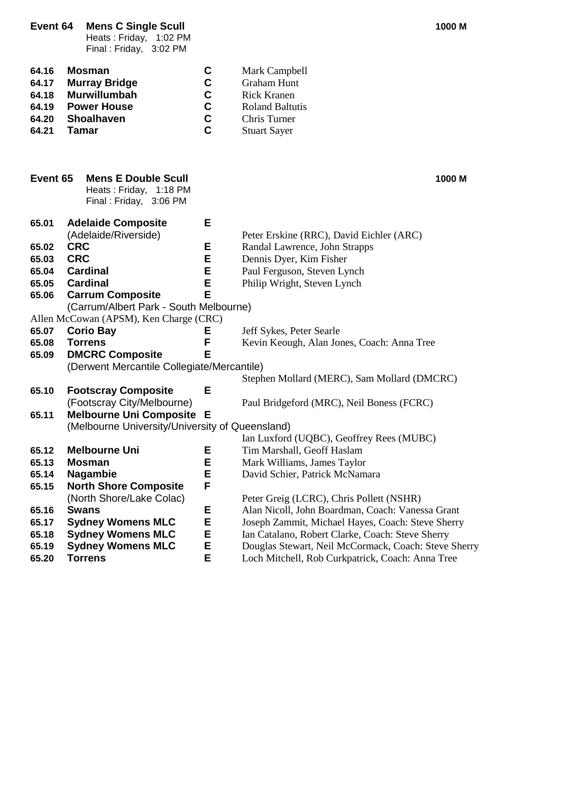Heats : Friday, 1:02 PM Final : Friday, 3:02 PM

| 64.16 | Mosman               | C. | Mark Campbell          |
|-------|----------------------|----|------------------------|
| 64.17 | <b>Murray Bridge</b> | C. | <b>Graham Hunt</b>     |
| 64.18 | Murwillumbah         | C. | <b>Rick Kranen</b>     |
| 64.19 | <b>Power House</b>   | C. | <b>Roland Baltutis</b> |
| 64.20 | <b>Shoalhaven</b>    | C. | Chris Turner           |
| 64.21 | Tamar                | C. | <b>Stuart Sayer</b>    |

| Event 65 | <b>Mens E Double Scull</b><br>Heats: Friday, 1:18 PM<br>Final: Friday, 3:06 PM |   | 1000 M                                               |
|----------|--------------------------------------------------------------------------------|---|------------------------------------------------------|
| 65.01    | <b>Adelaide Composite</b>                                                      | Е |                                                      |
|          | (Adelaide/Riverside)                                                           |   | Peter Erskine (RRC), David Eichler (ARC)             |
| 65.02    | <b>CRC</b>                                                                     | Ε | Randal Lawrence, John Strapps                        |
| 65.03    | <b>CRC</b>                                                                     | E | Dennis Dyer, Kim Fisher                              |
| 65.04    | <b>Cardinal</b>                                                                | E | Paul Ferguson, Steven Lynch                          |
| 65.05    | <b>Cardinal</b>                                                                | E | Philip Wright, Steven Lynch                          |
| 65.06    | <b>Carrum Composite</b>                                                        | E |                                                      |
|          | (Carrum/Albert Park - South Melbourne)                                         |   |                                                      |
|          | Allen McCowan (APSM), Ken Charge (CRC)                                         |   |                                                      |
| 65.07    | <b>Corio Bay</b>                                                               | Е | Jeff Sykes, Peter Searle                             |
| 65.08    | <b>Torrens</b>                                                                 | F | Kevin Keough, Alan Jones, Coach: Anna Tree           |
| 65.09    | <b>DMCRC Composite</b>                                                         | Е |                                                      |
|          | (Derwent Mercantile Collegiate/Mercantile)                                     |   |                                                      |
|          |                                                                                |   | Stephen Mollard (MERC), Sam Mollard (DMCRC)          |
| 65.10    | <b>Footscray Composite</b>                                                     | E |                                                      |
|          | (Footscray City/Melbourne)                                                     |   | Paul Bridgeford (MRC), Neil Boness (FCRC)            |
| 65.11    | Melbourne Uni Composite E                                                      |   |                                                      |
|          | (Melbourne University/University of Queensland)                                |   |                                                      |
|          |                                                                                |   | Ian Luxford (UQBC), Geoffrey Rees (MUBC)             |
| 65.12    | <b>Melbourne Uni</b>                                                           | Ε | Tim Marshall, Geoff Haslam                           |
| 65.13    | <b>Mosman</b>                                                                  | Е | Mark Williams, James Taylor                          |
| 65.14    | <b>Nagambie</b>                                                                | E | David Schier, Patrick McNamara                       |
| 65.15    | <b>North Shore Composite</b>                                                   | F |                                                      |
|          | (North Shore/Lake Colac)                                                       |   | Peter Greig (LCRC), Chris Pollett (NSHR)             |
| 65.16    | <b>Swans</b>                                                                   | Е | Alan Nicoll, John Boardman, Coach: Vanessa Grant     |
| 65.17    | <b>Sydney Womens MLC</b>                                                       | Е | Joseph Zammit, Michael Hayes, Coach: Steve Sherry    |
| 65.18    | <b>Sydney Womens MLC</b>                                                       | Е | Ian Catalano, Robert Clarke, Coach: Steve Sherry     |
| 65.19    | <b>Sydney Womens MLC</b>                                                       | E | Douglas Stewart, Neil McCormack, Coach: Steve Sherry |
| 65.20    | <b>Torrens</b>                                                                 | E | Loch Mitchell, Rob Curkpatrick, Coach: Anna Tree     |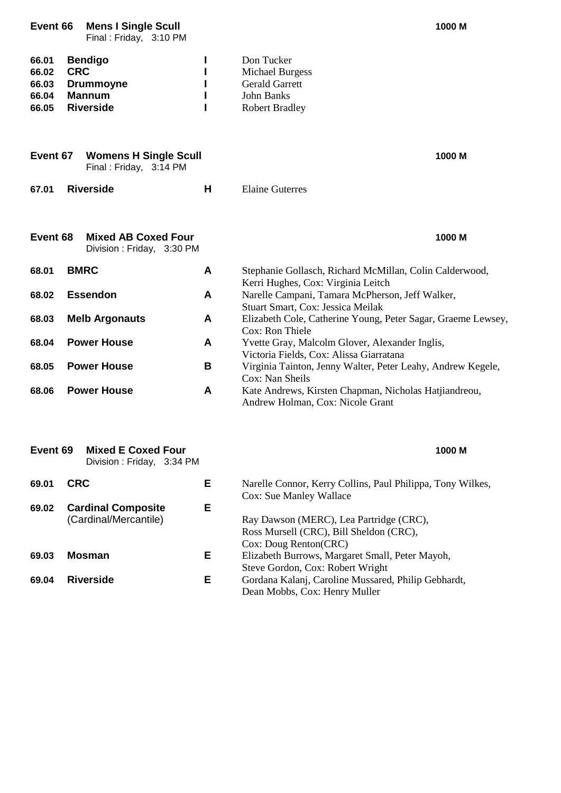| Event 66                                  | <b>Mens I Single Scull</b><br>Final: Friday, 3:10 PM                                  |   | 1000 M                                                                                                      |
|-------------------------------------------|---------------------------------------------------------------------------------------|---|-------------------------------------------------------------------------------------------------------------|
| 66.01<br>66.02<br>66.03<br>66.04<br>66.05 | <b>Bendigo</b><br><b>CRC</b><br><b>Drummoyne</b><br><b>Mannum</b><br><b>Riverside</b> | п | Don Tucker<br><b>Michael Burgess</b><br><b>Gerald Garrett</b><br>John Banks<br><b>Robert Bradley</b>        |
| Event 67                                  | <b>Womens H Single Scull</b><br>Final: Friday, 3:14 PM                                |   | 1000 M                                                                                                      |
| 67.01                                     | <b>Riverside</b>                                                                      | H | <b>Elaine Guterres</b>                                                                                      |
| Event 68                                  | <b>Mixed AB Coxed Four</b><br>Division: Friday, 3:30 PM                               |   | 1000 M                                                                                                      |
| 68.01                                     | <b>BMRC</b>                                                                           | A | Stephanie Gollasch, Richard McMillan, Colin Calderwood,<br>Kerri Hughes, Cox: Virginia Leitch               |
| 68.02                                     | <b>Essendon</b>                                                                       | A | Narelle Campani, Tamara McPherson, Jeff Walker,<br>Stuart Smart, Cox: Jessica Meilak                        |
| 68.03                                     | <b>Melb Argonauts</b>                                                                 | A | Elizabeth Cole, Catherine Young, Peter Sagar, Graeme Lewsey,<br>Cox: Ron Thiele                             |
| 68.04                                     | <b>Power House</b>                                                                    | A | Yvette Gray, Malcolm Glover, Alexander Inglis,<br>Victoria Fields, Cox: Alissa Giarratana                   |
| 68.05                                     | <b>Power House</b>                                                                    | В | Virginia Tainton, Jenny Walter, Peter Leahy, Andrew Kegele,<br>Cox: Nan Sheils                              |
| 68.06                                     | <b>Power House</b>                                                                    | A | Kate Andrews, Kirsten Chapman, Nicholas Hatjiandreou,<br>Andrew Holman, Cox: Nicole Grant                   |
| Event 69                                  | <b>Mixed E Coxed Four</b><br>Division: Friday, 3:34 PM                                |   | 1000 M                                                                                                      |
| 69.01                                     | <b>CRC</b>                                                                            | Е | Narelle Connor, Kerry Collins, Paul Philippa, Tony Wilkes,<br>Cox: Sue Manley Wallace                       |
| 69.02                                     | <b>Cardinal Composite</b><br>(Cardinal/Mercantile)                                    | Е | Ray Dawson (MERC), Lea Partridge (CRC),<br>Ross Mursell (CRC), Bill Sheldon (CRC),<br>Cox: Doug Renton(CRC) |
| 69.03                                     | <b>Mosman</b>                                                                         | Е | Elizabeth Burrows, Margaret Small, Peter Mayoh,<br>Steve Gordon, Cox: Robert Wright                         |
| 69.04                                     | <b>Riverside</b>                                                                      | Е | Gordana Kalanj, Caroline Mussared, Philip Gebhardt,                                                         |

Dean Mobbs, Cox: Henry Muller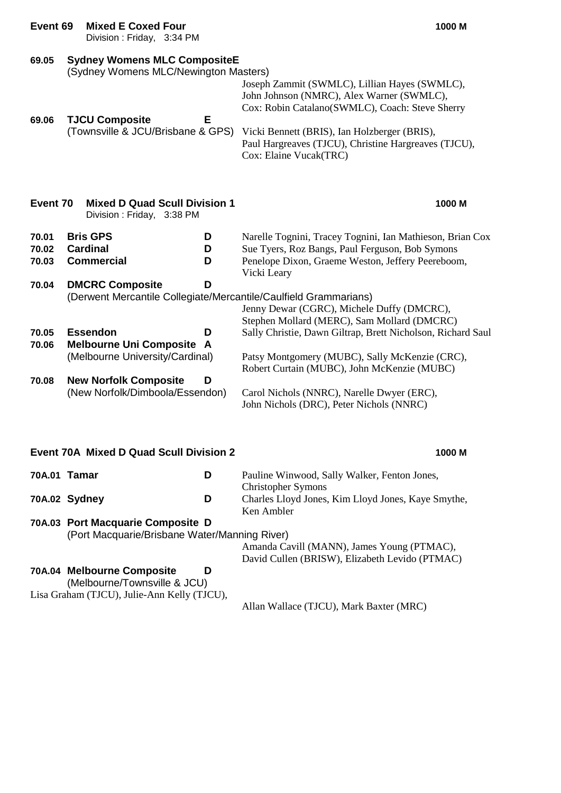| Event 69                | <b>Mixed E Coxed Four</b><br>Division: Friday, 3:34 PM                                                    |             | 1000 M                                                                                                                                                                                                                       |
|-------------------------|-----------------------------------------------------------------------------------------------------------|-------------|------------------------------------------------------------------------------------------------------------------------------------------------------------------------------------------------------------------------------|
| 69.05<br>69.06          | <b>Sydney Womens MLC CompositeE</b><br>(Sydney Womens MLC/Newington Masters)<br><b>TJCU Composite</b>     | Е           | Joseph Zammit (SWMLC), Lillian Hayes (SWMLC),<br>John Johnson (NMRC), Alex Warner (SWMLC),<br>Cox: Robin Catalano(SWMLC), Coach: Steve Sherry                                                                                |
|                         | (Townsville & JCU/Brisbane & GPS)                                                                         |             | Vicki Bennett (BRIS), Ian Holzberger (BRIS),<br>Paul Hargreaves (TJCU), Christine Hargreaves (TJCU),<br>Cox: Elaine Vucak(TRC)                                                                                               |
| Event 70                | <b>Mixed D Quad Scull Division 1</b><br>Division: Friday, 3:38 PM                                         |             | 1000 M                                                                                                                                                                                                                       |
| 70.01<br>70.02<br>70.03 | <b>Bris GPS</b><br><b>Cardinal</b><br><b>Commercial</b>                                                   | D<br>D<br>D | Narelle Tognini, Tracey Tognini, Ian Mathieson, Brian Cox<br>Sue Tyers, Roz Bangs, Paul Ferguson, Bob Symons<br>Penelope Dixon, Graeme Weston, Jeffery Peereboom,<br>Vicki Leary                                             |
| 70.04<br>70.05<br>70.06 | <b>DMCRC Composite</b><br><b>Essendon</b><br><b>Melbourne Uni Composite A</b>                             | D<br>D      | (Derwent Mercantile Collegiate/Mercantile/Caulfield Grammarians)<br>Jenny Dewar (CGRC), Michele Duffy (DMCRC),<br>Stephen Mollard (MERC), Sam Mollard (DMCRC)<br>Sally Christie, Dawn Giltrap, Brett Nicholson, Richard Saul |
| 70.08                   | (Melbourne University/Cardinal)<br><b>New Norfolk Composite</b><br>(New Norfolk/Dimboola/Essendon)        | D           | Patsy Montgomery (MUBC), Sally McKenzie (CRC),<br>Robert Curtain (MUBC), John McKenzie (MUBC)<br>Carol Nichols (NNRC), Narelle Dwyer (ERC),<br>John Nichols (DRC), Peter Nichols (NNRC)                                      |
|                         | <b>Event 70A Mixed D Quad Scull Division 2</b>                                                            |             | 1000 M                                                                                                                                                                                                                       |
| 70A.01 Tamar            |                                                                                                           | D           | Pauline Winwood, Sally Walker, Fenton Jones,<br><b>Christopher Symons</b>                                                                                                                                                    |
| 70A.02 Sydney           |                                                                                                           | D           | Charles Lloyd Jones, Kim Lloyd Jones, Kaye Smythe,<br>Ken Ambler                                                                                                                                                             |
|                         | 70A.03 Port Macquarie Composite D<br>(Port Macquarie/Brisbane Water/Manning River)                        |             | Amanda Cavill (MANN), James Young (PTMAC),<br>David Cullen (BRISW), Elizabeth Levido (PTMAC)                                                                                                                                 |
|                         | 70A.04 Melbourne Composite<br>(Melbourne/Townsville & JCU)<br>Lisa Graham (TJCU), Julie-Ann Kelly (TJCU), | D           |                                                                                                                                                                                                                              |
|                         |                                                                                                           |             | Allan Wallace (TJCU), Mark Baxter (MRC)                                                                                                                                                                                      |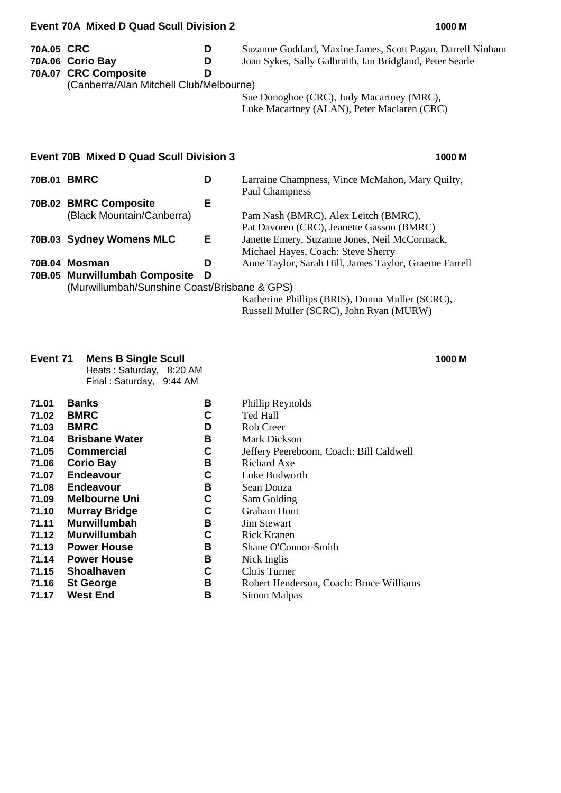|            | <b>Event 70A Mixed D Quad Scull Division 2</b>                                      |             | 1000 M                                                                                                                                                                                                             |
|------------|-------------------------------------------------------------------------------------|-------------|--------------------------------------------------------------------------------------------------------------------------------------------------------------------------------------------------------------------|
| 70A.05 CRC | 70A.06 Corio Bay<br>70A.07 CRC Composite<br>(Canberra/Alan Mitchell Club/Melbourne) | D<br>D<br>D | Suzanne Goddard, Maxine James, Scott Pagan, Darrell Ninham<br>Joan Sykes, Sally Galbraith, Ian Bridgland, Peter Searle<br>Sue Donoghoe (CRC), Judy Macartney (MRC),<br>Luke Macartney (ALAN), Peter Maclaren (CRC) |
|            | <b>Event 70B Mixed D Quad Scull Division 3</b>                                      |             | 1000 M                                                                                                                                                                                                             |
| 70B.01     | <b>BMRC</b>                                                                         | D           | Larraine Champness, Vince McMahon, Mary Quilty,<br>Paul Champness                                                                                                                                                  |
|            | 70B.02 BMRC Composite<br>(Black Mountain/Canberra)                                  | Е           | Pam Nash (BMRC), Alex Leitch (BMRC),                                                                                                                                                                               |

| <u>Piacis Modritali i/Odribčita /</u>        |    | $\Gamma$ and $\Gamma$ vasify $\Gamma$ between $\Gamma$ , $\Gamma$ and $\Gamma$ between $\Gamma$ (between $\Gamma$ ). |
|----------------------------------------------|----|----------------------------------------------------------------------------------------------------------------------|
|                                              |    | Pat Davoren (CRC), Jeanette Gasson (BMRC)                                                                            |
| 70B.03 Sydney Womens MLC                     | Е. | Janette Emery, Suzanne Jones, Neil McCormack,                                                                        |
|                                              |    | Michael Hayes, Coach: Steve Sherry                                                                                   |
| 70B.04 Mosman                                | D  | Anne Taylor, Sarah Hill, James Taylor, Graeme Farrell                                                                |
| 70B.05 Murwillumbah Composite                |    |                                                                                                                      |
| (Murwillumbah/Sunshine Coast/Brisbane & GPS) |    |                                                                                                                      |

Katherine Phillips (BRIS), Donna Muller (SCRC), Russell Muller (SCRC), John Ryan (MURW)

#### **Event 71 Mens B Single Scull 1000 M**

Heats : Saturday, 8:20 AM Final : Saturday, 9:44 AM

**71.01 Banks B** Phillip Reynolds **71.02 BMRC C** Ted Hall **71.03 BMRC D** Rob Creer **71.04 Brisbane Water B** Mark Dickson **71.05 Commercial C** Jeffery Peereboom, Coach: Bill Caldwell **71.06 Corio Bay**<br>**71.07 Endeavour C** Luke Budwo **71.07 Endeavour C** Luke Budworth **71.08 Endeavour B** Sean Donza **71.09 Melbourne Uni C** Sam Golding **71.10 Murray Bridge C** Graham Hunt **71.11 Murwillumbah B** Jim Stewart **71.12 Murwillumbah C** Rick Kranen **71.13 Power House B** Shane O'Connor-Smith **71.14 Power House B** Nick Inglis<br>**71.15 Shoalhaven C** Chris Turne **71.15 Shoalhaven C** Chris Turner **71.16 St George B** Robert Henderson, Coach: Bruce Williams

- 
- 
- -
	- -
- 
- - -
- **71.17 West End B** Simon Malpas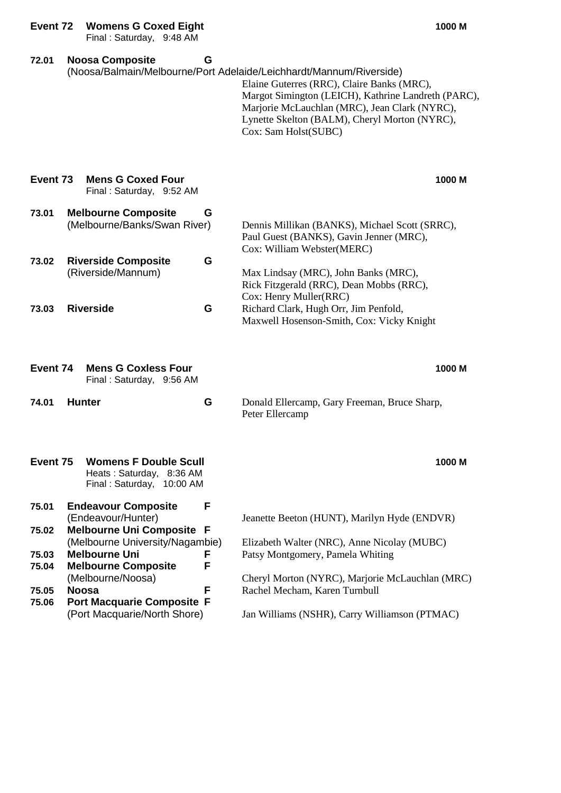| Event 72       |               | <b>Womens G Coxed Eight</b><br>Final: Saturday, 9:48 AM                                   |             |                                                                                                                                                                                                                                                                                                    | 1000 M |
|----------------|---------------|-------------------------------------------------------------------------------------------|-------------|----------------------------------------------------------------------------------------------------------------------------------------------------------------------------------------------------------------------------------------------------------------------------------------------------|--------|
| 72.01          |               | <b>Noosa Composite</b>                                                                    | G           | (Noosa/Balmain/Melbourne/Port Adelaide/Leichhardt/Mannum/Riverside)<br>Elaine Guterres (RRC), Claire Banks (MRC),<br>Margot Simington (LEICH), Kathrine Landreth (PARC),<br>Marjorie McLauchlan (MRC), Jean Clark (NYRC),<br>Lynette Skelton (BALM), Cheryl Morton (NYRC),<br>Cox: Sam Holst(SUBC) |        |
| Event 73       |               | <b>Mens G Coxed Four</b><br>Final: Saturday, 9:52 AM                                      |             |                                                                                                                                                                                                                                                                                                    | 1000 M |
| 73.01<br>73.02 |               | <b>Melbourne Composite</b><br>(Melbourne/Banks/Swan River)<br><b>Riverside Composite</b>  | G<br>G      | Dennis Millikan (BANKS), Michael Scott (SRRC),<br>Paul Guest (BANKS), Gavin Jenner (MRC),<br>Cox: William Webster(MERC)                                                                                                                                                                            |        |
|                |               | (Riverside/Mannum)                                                                        |             | Max Lindsay (MRC), John Banks (MRC),<br>Rick Fitzgerald (RRC), Dean Mobbs (RRC),<br>Cox: Henry Muller(RRC)                                                                                                                                                                                         |        |
| 73.03          |               | <b>Riverside</b>                                                                          | G           | Richard Clark, Hugh Orr, Jim Penfold,<br>Maxwell Hosenson-Smith, Cox: Vicky Knight                                                                                                                                                                                                                 |        |
| Event 74       |               | <b>Mens G Coxless Four</b><br>Final: Saturday, 9:56 AM                                    |             |                                                                                                                                                                                                                                                                                                    | 1000 M |
| 74.01          | <b>Hunter</b> |                                                                                           | G           | Donald Ellercamp, Gary Freeman, Bruce Sharp,<br>Peter Ellercamp                                                                                                                                                                                                                                    |        |
| Event 75       |               | <b>Womens F Double Scull</b><br>Heats: Saturday, 8:36 AM<br>Final: Saturday,<br>10:00 AM  |             |                                                                                                                                                                                                                                                                                                    | 1000 M |
| 75.01          |               | <b>Endeavour Composite</b><br>(Endeavour/Hunter)                                          | F           | Jeanette Beeton (HUNT), Marilyn Hyde (ENDVR)                                                                                                                                                                                                                                                       |        |
| 75.02<br>75.03 |               | <b>Melbourne Uni Composite</b><br>(Melbourne University/Nagambie)<br><b>Melbourne Uni</b> | F<br>F<br>F | Elizabeth Walter (NRC), Anne Nicolay (MUBC)<br>Patsy Montgomery, Pamela Whiting                                                                                                                                                                                                                    |        |
| 75.04<br>75.05 | <b>Noosa</b>  | <b>Melbourne Composite</b><br>(Melbourne/Noosa)                                           | F           | Cheryl Morton (NYRC), Marjorie McLauchlan (MRC)<br>Rachel Mecham, Karen Turnbull                                                                                                                                                                                                                   |        |
| 75.06          |               | <b>Port Macquarie Composite F</b><br>(Port Macquarie/North Shore)                         |             | Jan Williams (NSHR), Carry Williamson (PTMAC)                                                                                                                                                                                                                                                      |        |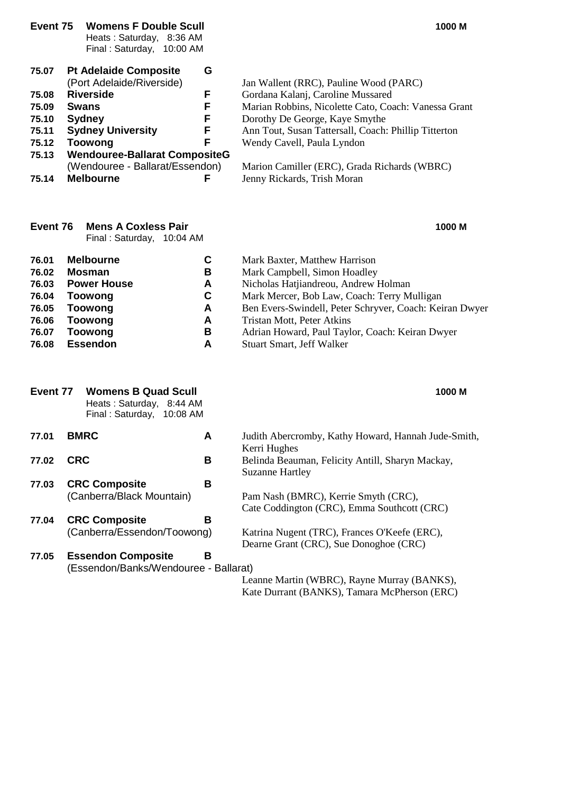| Event 75                                                             | <b>Womens F Double Scull</b><br>Heats: Saturday, 8:36 AM<br>Final: Saturday, 10:00 AM                                                                                                                                                                       |                                                | 1000 M                                                                                                                                                                                                                                                                                                                                     |
|----------------------------------------------------------------------|-------------------------------------------------------------------------------------------------------------------------------------------------------------------------------------------------------------------------------------------------------------|------------------------------------------------|--------------------------------------------------------------------------------------------------------------------------------------------------------------------------------------------------------------------------------------------------------------------------------------------------------------------------------------------|
| 75.07<br>75.08<br>75.09<br>75.10<br>75.11<br>75.12<br>75.13<br>75.14 | <b>Pt Adelaide Composite</b><br>(Port Adelaide/Riverside)<br><b>Riverside</b><br><b>Swans</b><br><b>Sydney</b><br><b>Sydney University</b><br><b>Toowong</b><br><b>Wendouree-Ballarat CompositeG</b><br>(Wendouree - Ballarat/Essendon)<br><b>Melbourne</b> | G<br>F<br>F<br>F<br>F<br>F                     | Jan Wallent (RRC), Pauline Wood (PARC)<br>Gordana Kalanj, Caroline Mussared<br>Marian Robbins, Nicolette Cato, Coach: Vanessa Grant<br>Dorothy De George, Kaye Smythe<br>Ann Tout, Susan Tattersall, Coach: Phillip Titterton<br>Wendy Cavell, Paula Lyndon<br>Marion Camiller (ERC), Grada Richards (WBRC)<br>Jenny Rickards, Trish Moran |
| Event 76                                                             | <b>Mens A Coxless Pair</b><br>Final: Saturday, 10:04 AM                                                                                                                                                                                                     |                                                | 1000 M                                                                                                                                                                                                                                                                                                                                     |
| 76.01<br>76.02<br>76.03<br>76.04<br>76.05<br>76.06<br>76.07<br>76.08 | <b>Melbourne</b><br><b>Mosman</b><br><b>Power House</b><br><b>Toowong</b><br><b>Toowong</b><br><b>Toowong</b><br><b>Toowong</b><br><b>Essendon</b>                                                                                                          | C<br>В<br>A<br>$\mathbf C$<br>A<br>A<br>В<br>A | Mark Baxter, Matthew Harrison<br>Mark Campbell, Simon Hoadley<br>Nicholas Hatjiandreou, Andrew Holman<br>Mark Mercer, Bob Law, Coach: Terry Mulligan<br>Ben Evers-Swindell, Peter Schryver, Coach: Keiran Dwyer<br>Tristan Mott, Peter Atkins<br>Adrian Howard, Paul Taylor, Coach: Keiran Dwyer<br>Stuart Smart, Jeff Walker              |
| Event 77                                                             | <b>Womens B Quad Scull</b><br>Heats: Saturday, 8:44 AM<br>Final: Saturday, 10:08 AM                                                                                                                                                                         |                                                | 1000 M                                                                                                                                                                                                                                                                                                                                     |
| 77.01<br>77.02                                                       | <b>BMRC</b><br><b>CRC</b>                                                                                                                                                                                                                                   | A<br>В                                         | Judith Abercromby, Kathy Howard, Hannah Jude-Smith,<br>Kerri Hughes<br>Belinda Beauman, Felicity Antill, Sharyn Mackay,                                                                                                                                                                                                                    |
| 77.03                                                                | <b>CRC Composite</b><br>(Canberra/Black Mountain)                                                                                                                                                                                                           | B                                              | <b>Suzanne Hartley</b><br>Pam Nash (BMRC), Kerrie Smyth (CRC),<br>Cate Coddington (CRC), Emma Southcott (CRC)                                                                                                                                                                                                                              |
| 77.04                                                                | <b>CRC Composite</b><br>(Canberra/Essendon/Toowong)                                                                                                                                                                                                         | B                                              | Katrina Nugent (TRC), Frances O'Keefe (ERC),<br>Dearne Grant (CRC), Sue Donoghoe (CRC)                                                                                                                                                                                                                                                     |
| 77.05                                                                | <b>Essendon Composite</b><br>(Essendon/Banks/Wendouree - Ballarat)                                                                                                                                                                                          | B                                              |                                                                                                                                                                                                                                                                                                                                            |

Leanne Martin (WBRC), Rayne Murray (BANKS), Kate Durrant (BANKS), Tamara McPherson (ERC)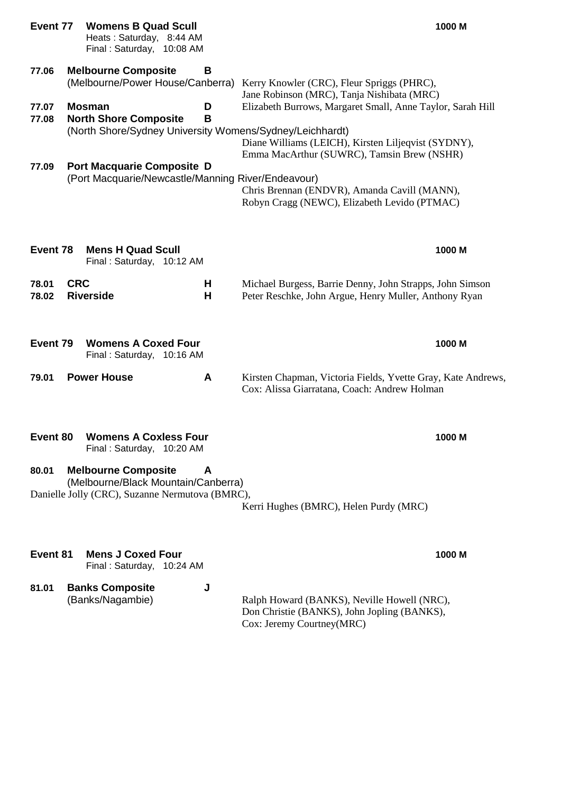| Event 77       | <b>Womens B Quad Scull</b><br>Heats: Saturday, 8:44 AM<br>Final: Saturday, 10:08 AM                                  |        |                                                                                                                                                                 | 1000 M |
|----------------|----------------------------------------------------------------------------------------------------------------------|--------|-----------------------------------------------------------------------------------------------------------------------------------------------------------------|--------|
| 77.06          | <b>Melbourne Composite</b><br>(Melbourne/Power House/Canberra)                                                       | В      | Kerry Knowler (CRC), Fleur Spriggs (PHRC),<br>Jane Robinson (MRC), Tanja Nishibata (MRC)                                                                        |        |
| 77.07<br>77.08 | <b>Mosman</b><br><b>North Shore Composite</b><br>(North Shore/Sydney University Womens/Sydney/Leichhardt)            | D<br>B | Elizabeth Burrows, Margaret Small, Anne Taylor, Sarah Hill<br>Diane Williams (LEICH), Kirsten Liljeqvist (SYDNY),<br>Emma MacArthur (SUWRC), Tamsin Brew (NSHR) |        |
| 77.09          | <b>Port Macquarie Composite D</b><br>(Port Macquarie/Newcastle/Manning River/Endeavour)                              |        | Chris Brennan (ENDVR), Amanda Cavill (MANN),<br>Robyn Cragg (NEWC), Elizabeth Levido (PTMAC)                                                                    |        |
| Event 78       | <b>Mens H Quad Scull</b><br>Final: Saturday, 10:12 AM                                                                |        |                                                                                                                                                                 | 1000 M |
| 78.01<br>78.02 | <b>CRC</b><br><b>Riverside</b>                                                                                       | Н<br>Н | Michael Burgess, Barrie Denny, John Strapps, John Simson<br>Peter Reschke, John Argue, Henry Muller, Anthony Ryan                                               |        |
| Event 79       | <b>Womens A Coxed Four</b><br>Final: Saturday, 10:16 AM                                                              |        |                                                                                                                                                                 | 1000 M |
| 79.01          | <b>Power House</b>                                                                                                   | A      | Kirsten Chapman, Victoria Fields, Yvette Gray, Kate Andrews,<br>Cox: Alissa Giarratana, Coach: Andrew Holman                                                    |        |
| Event 80       | <b>Womens A Coxless Four</b><br>Final: Saturday, 10:20 AM                                                            |        |                                                                                                                                                                 | 1000 M |
| 80.01          | <b>Melbourne Composite</b><br>(Melbourne/Black Mountain/Canberra)<br>Danielle Jolly (CRC), Suzanne Nermutova (BMRC), | A      | Kerri Hughes (BMRC), Helen Purdy (MRC)                                                                                                                          |        |
| Event 81       | <b>Mens J Coxed Four</b><br>Final: Saturday, 10:24 AM                                                                |        |                                                                                                                                                                 | 1000 M |
| 81.01          | <b>Banks Composite</b><br>(Danba/hbaanachia)                                                                         | J      |                                                                                                                                                                 |        |

(Banks/Nagambie) Ralph Howard (BANKS), Neville Howell (NRC), Don Christie (BANKS), John Jopling (BANKS), Cox: Jeremy Courtney(MRC)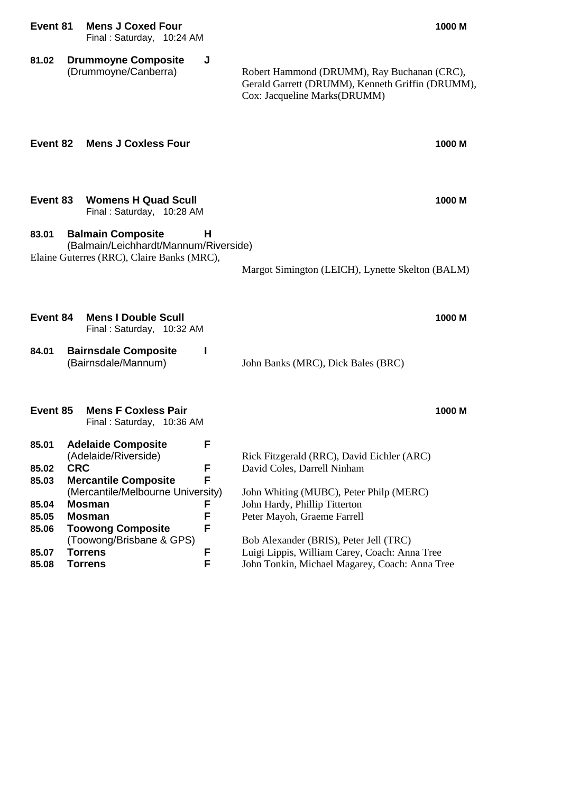**81.02 Drummoyne Composite J**

Robert Hammond (DRUMM), Ray Buchanan (CRC), Gerald Garrett (DRUMM), Kenneth Griffin (DRUMM), Cox: Jacqueline Marks(DRUMM)

| Event 82       |            | <b>Mens J Coxless Four</b>                                                                                      |        |                                                              | 1000 M |
|----------------|------------|-----------------------------------------------------------------------------------------------------------------|--------|--------------------------------------------------------------|--------|
| Event 83       |            | <b>Womens H Quad Scull</b><br>Final: Saturday, 10:28 AM                                                         |        |                                                              | 1000 M |
| 83.01          |            | <b>Balmain Composite</b><br>(Balmain/Leichhardt/Mannum/Riverside)<br>Elaine Guterres (RRC), Claire Banks (MRC), | н      | Margot Simington (LEICH), Lynette Skelton (BALM)             |        |
| Event 84       |            | <b>Mens I Double Scull</b><br>Final: Saturday, 10:32 AM                                                         |        |                                                              | 1000 M |
| 84.01          |            | <b>Bairnsdale Composite</b><br>(Bairnsdale/Mannum)                                                              |        | John Banks (MRC), Dick Bales (BRC)                           |        |
| Event 85       |            | <b>Mens F Coxless Pair</b><br>Final: Saturday, 10:36 AM                                                         |        |                                                              | 1000 M |
| 85.01          |            | <b>Adelaide Composite</b><br>(Adelaide/Riverside)                                                               | F      | Rick Fitzgerald (RRC), David Eichler (ARC)                   |        |
| 85.02          | <b>CRC</b> |                                                                                                                 | F      | David Coles, Darrell Ninham                                  |        |
| 85.03          |            | <b>Mercantile Composite</b>                                                                                     | F      |                                                              |        |
|                |            | (Mercantile/Melbourne University)                                                                               |        | John Whiting (MUBC), Peter Philp (MERC)                      |        |
| 85.04<br>85.05 |            | <b>Mosman</b><br>Mosman                                                                                         | F<br>F | John Hardy, Phillip Titterton<br>Peter Mayoh, Graeme Farrell |        |
| 85.06          |            | <b>Toowong Composite</b>                                                                                        | F      |                                                              |        |
|                |            | (Toowong/Brisbane & GPS)                                                                                        |        | Bob Alexander (BRIS), Peter Jell (TRC)                       |        |
| 85.07          |            | <b>Torrens</b>                                                                                                  | F      | Luigi Lippis, William Carey, Coach: Anna Tree                |        |
| 85.08          |            | Torrens                                                                                                         | F      | John Tonkin, Michael Magarey, Coach: Anna Tree               |        |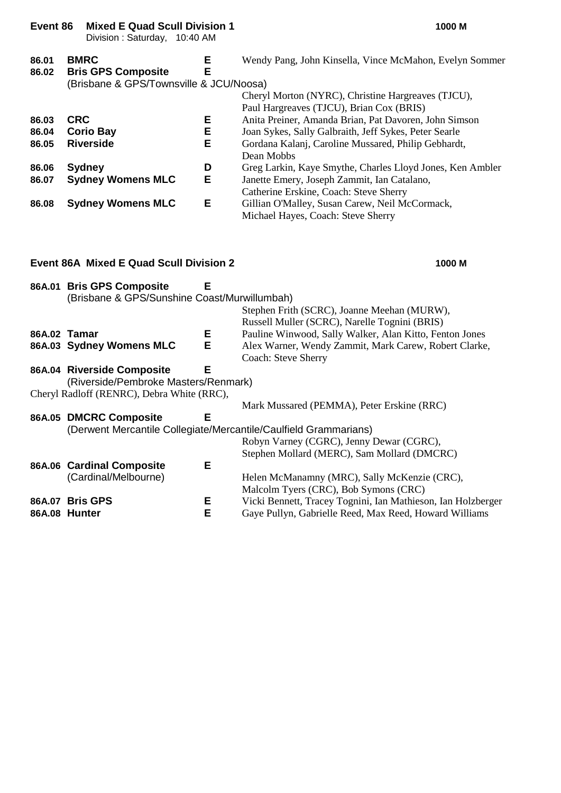| Event 86                |             | <b>Mixed E Quad Scull Division 1</b><br>Division: Saturday, 10:40 AM      |             | 1000 M                                                                                                                                                                                                                          |
|-------------------------|-------------|---------------------------------------------------------------------------|-------------|---------------------------------------------------------------------------------------------------------------------------------------------------------------------------------------------------------------------------------|
| 86.01<br>86.02          | <b>BMRC</b> | <b>Bris GPS Composite</b><br>(Brisbane & GPS/Townsville & JCU/Noosa)      | Е<br>E      | Wendy Pang, John Kinsella, Vince McMahon, Evelyn Sommer<br>Cheryl Morton (NYRC), Christine Hargreaves (TJCU),                                                                                                                   |
| 86.03<br>86.04<br>86.05 | <b>CRC</b>  | <b>Corio Bay</b><br><b>Riverside</b>                                      | Е<br>Е<br>E | Paul Hargreaves (TJCU), Brian Cox (BRIS)<br>Anita Preiner, Amanda Brian, Pat Davoren, John Simson<br>Joan Sykes, Sally Galbraith, Jeff Sykes, Peter Searle<br>Gordana Kalanj, Caroline Mussared, Philip Gebhardt,<br>Dean Mobbs |
| 86.06<br>86.07          |             | <b>Sydney</b><br><b>Sydney Womens MLC</b>                                 | D<br>Е      | Greg Larkin, Kaye Smythe, Charles Lloyd Jones, Ken Ambler<br>Janette Emery, Joseph Zammit, Ian Catalano,<br>Catherine Erskine, Coach: Steve Sherry                                                                              |
| 86.08                   |             | <b>Sydney Womens MLC</b>                                                  | Е           | Gillian O'Malley, Susan Carew, Neil McCormack,<br>Michael Hayes, Coach: Steve Sherry                                                                                                                                            |
|                         |             | <b>Event 86A Mixed E Quad Scull Division 2</b>                            |             | 1000 M                                                                                                                                                                                                                          |
|                         |             | 86A.01 Bris GPS Composite<br>(Brisbane & GPS/Sunshine Coast/Murwillumbah) | Е           | Stephen Frith (SCRC), Joanne Meehan (MURW),                                                                                                                                                                                     |

|                                                                  | Russell Muller (SCRC), Narelle Tognini (BRIS)                |
|------------------------------------------------------------------|--------------------------------------------------------------|
| Е.<br>86A.02 Tamar                                               | Pauline Winwood, Sally Walker, Alan Kitto, Fenton Jones      |
| Е<br>86A.03 Sydney Womens MLC                                    | Alex Warner, Wendy Zammit, Mark Carew, Robert Clarke,        |
|                                                                  | Coach: Steve Sherry                                          |
| Е<br>86A.04 Riverside Composite                                  |                                                              |
| (Riverside/Pembroke Masters/Renmark)                             |                                                              |
| Cheryl Radloff (RENRC), Debra White (RRC),                       |                                                              |
|                                                                  | Mark Mussared (PEMMA), Peter Erskine (RRC)                   |
| 86A.05 DMCRC Composite<br>Е                                      |                                                              |
| (Derwent Mercantile Collegiate/Mercantile/Caulfield Grammarians) |                                                              |
|                                                                  | Robyn Varney (CGRC), Jenny Dewar (CGRC),                     |
|                                                                  | Stephen Mollard (MERC), Sam Mollard (DMCRC)                  |
| Е<br>86A.06 Cardinal Composite                                   |                                                              |
| (Cardinal/Melbourne)                                             | Helen McManamny (MRC), Sally McKenzie (CRC),                 |
|                                                                  | Malcolm Tyers (CRC), Bob Symons (CRC)                        |
| Е<br>86A.07 Bris GPS                                             | Vicki Bennett, Tracey Tognini, Ian Mathieson, Ian Holzberger |

**86A.08 Hunter E** Gaye Pullyn, Gabrielle Reed, Max Reed, Howard Williams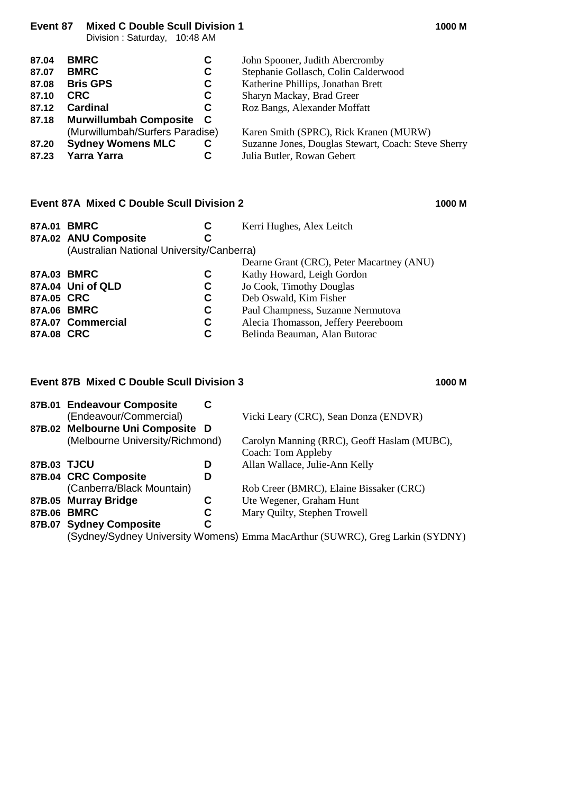**Event 87 Mixed C Double Scull Division 1 1000 M**

Division : Saturday, 10:48 AM

| 87.04 | <b>BMRC</b><br>С                                           | John Spooner, Judith Abercromby                     |  |  |
|-------|------------------------------------------------------------|-----------------------------------------------------|--|--|
| 87.07 | <b>BMRC</b><br>C                                           | Stephanie Gollasch, Colin Calderwood                |  |  |
| 87.08 | <b>Bris GPS</b><br>Katherine Phillips, Jonathan Brett<br>C |                                                     |  |  |
| 87.10 | <b>CRC</b><br>C                                            | Sharyn Mackay, Brad Greer                           |  |  |
| 87.12 | <b>Cardinal</b><br>C                                       | Roz Bangs, Alexander Moffatt                        |  |  |
|       | 87.18 Murwillumbah Composite<br>- C                        |                                                     |  |  |
|       | (Murwillumbah/Surfers Paradise)                            | Karen Smith (SPRC), Rick Kranen (MURW)              |  |  |
| 87.20 | <b>Sydney Womens MLC</b><br>C                              | Suzanne Jones, Douglas Stewart, Coach: Steve Sherry |  |  |
| 87.23 | <b>Yarra Yarra</b><br>С                                    | Julia Butler, Rowan Gebert                          |  |  |
|       |                                                            |                                                     |  |  |

#### **Event 87A Mixed C Double Scull Division 2 1000 M**

| 87A.01 BMRC |                                           | C | Kerri Hughes, Alex Leitch                 |
|-------------|-------------------------------------------|---|-------------------------------------------|
|             | 87A.02 ANU Composite                      | C |                                           |
|             | (Australian National University/Canberra) |   |                                           |
|             |                                           |   | Dearne Grant (CRC), Peter Macartney (ANU) |
| 87A.03 BMRC |                                           | C | Kathy Howard, Leigh Gordon                |
|             | 87A.04 Uni of QLD                         | C | Jo Cook, Timothy Douglas                  |
| 87A.05 CRC  |                                           | C | Deb Oswald, Kim Fisher                    |
| 87A.06 BMRC |                                           | C | Paul Champness, Suzanne Nermutova         |
|             | 87A.07 Commercial                         | C | Alecia Thomasson, Jeffery Peereboom       |
| 87A.08 CRC  |                                           | C | Belinda Beauman, Alan Butorac             |

#### **Event 87B Mixed C Double Scull Division 3 1000 M**

#### **87B.01 Endeavour Composite C** (Endeavour/Commercial) Vicki Leary (CRC), Sean Donza (ENDVR) **87B.02 Melbourne Uni Composite D** (Melbourne University/Richmond) Carolyn Manning (RRC), Geoff Haslam (MUBC), Coach: Tom Appleby **87B.03 TJCU D** Allan Wallace, Julie-Ann Kelly **87B.04 CRC Composite D** (Canberra/Black Mountain) Rob Creer (BMRC), Elaine Bissaker (CRC) **87B.05 Murray Bridge**<br> **C** Ute Wegener, Graham Hunt<br> **87B.06 BMRC**<br> **C** Mary Ouilty, Stephen Trowe **87B.06 BMRC C** Mary Quilty, Stephen Trowell **87B.07 Sydney Composite C**

(Sydney/Sydney University Womens) Emma MacArthur (SUWRC), Greg Larkin (SYDNY)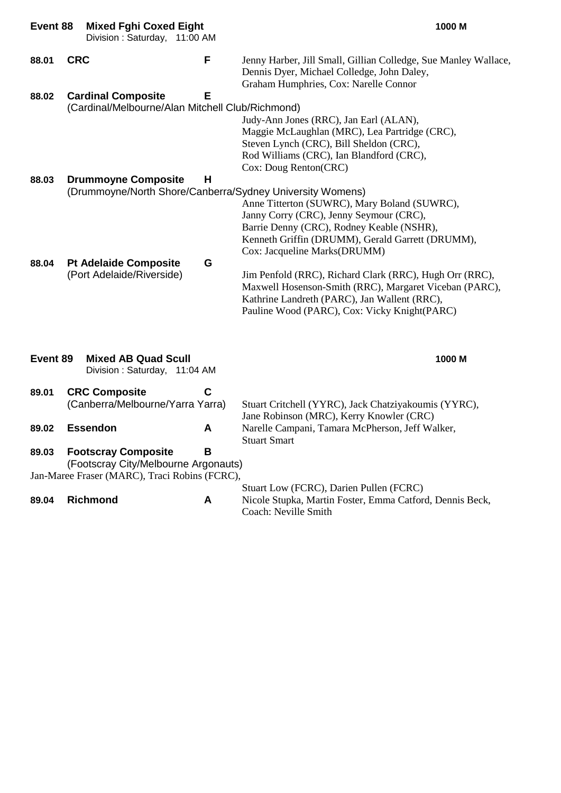| Event 88 | <b>Mixed Fghi Coxed Eight</b><br>Division: Saturday, 11:00 AM |   | 1000 M                                                                                                                                                                                                            |
|----------|---------------------------------------------------------------|---|-------------------------------------------------------------------------------------------------------------------------------------------------------------------------------------------------------------------|
| 88.01    | <b>CRC</b>                                                    | F | Jenny Harber, Jill Small, Gillian Colledge, Sue Manley Wallace,<br>Dennis Dyer, Michael Colledge, John Daley,<br>Graham Humphries, Cox: Narelle Connor                                                            |
| 88.02    | <b>Cardinal Composite</b>                                     | Е |                                                                                                                                                                                                                   |
|          | (Cardinal/Melbourne/Alan Mitchell Club/Richmond)              |   |                                                                                                                                                                                                                   |
|          |                                                               |   | Judy-Ann Jones (RRC), Jan Earl (ALAN),                                                                                                                                                                            |
|          |                                                               |   | Maggie McLaughlan (MRC), Lea Partridge (CRC),                                                                                                                                                                     |
|          |                                                               |   | Steven Lynch (CRC), Bill Sheldon (CRC),                                                                                                                                                                           |
|          |                                                               |   | Rod Williams (CRC), Ian Blandford (CRC),                                                                                                                                                                          |
|          |                                                               |   | Cox: Doug Renton(CRC)                                                                                                                                                                                             |
| 88.03    | <b>Drummoyne Composite</b>                                    | н |                                                                                                                                                                                                                   |
|          | (Drummoyne/North Shore/Canberra/Sydney University Womens)     |   |                                                                                                                                                                                                                   |
|          |                                                               |   | Anne Titterton (SUWRC), Mary Boland (SUWRC),                                                                                                                                                                      |
|          |                                                               |   | Janny Corry (CRC), Jenny Seymour (CRC),                                                                                                                                                                           |
|          |                                                               |   | Barrie Denny (CRC), Rodney Keable (NSHR),                                                                                                                                                                         |
|          |                                                               |   | Kenneth Griffin (DRUMM), Gerald Garrett (DRUMM),                                                                                                                                                                  |
|          |                                                               |   | Cox: Jacqueline Marks(DRUMM)                                                                                                                                                                                      |
| 88.04    | <b>Pt Adelaide Composite</b>                                  | G |                                                                                                                                                                                                                   |
|          | (Port Adelaide/Riverside)                                     |   | Jim Penfold (RRC), Richard Clark (RRC), Hugh Orr (RRC),<br>Maxwell Hosenson-Smith (RRC), Margaret Viceban (PARC),<br>Kathrine Landreth (PARC), Jan Wallent (RRC),<br>Pauline Wood (PARC), Cox: Vicky Knight(PARC) |
| Event 89 | <b>Mixed AB Quad Scull</b><br>Division: Saturday, 11:04 AM    |   | 1000 M                                                                                                                                                                                                            |
| 89.01    | <b>CRC Composite</b>                                          | C |                                                                                                                                                                                                                   |
|          | (Canberra/Melbourne/Yarra Yarra)                              |   | Stuart Critchell (YYRC), Jack Chatziyakoumis (YYRC),                                                                                                                                                              |
|          |                                                               |   | Jane Robinson (MRC), Kerry Knowler (CRC)                                                                                                                                                                          |
| 89.02    | <b>Essendon</b>                                               | A | Narelle Campani, Tamara McPherson, Jeff Walker,<br><b>Stuart Smart</b>                                                                                                                                            |
| 89.03    | <b>Footscray Composite</b>                                    | В |                                                                                                                                                                                                                   |
|          | (Footscray City/Melbourne Argonauts)                          |   |                                                                                                                                                                                                                   |
|          | Jan-Maree Fraser (MARC), Traci Robins (FCRC),                 |   |                                                                                                                                                                                                                   |
|          |                                                               |   | Stuart Low (FCRC), Darien Pullen (FCRC)                                                                                                                                                                           |
| 89.04    | <b>Richmond</b>                                               | A | Nicole Stupka, Martin Foster, Emma Catford, Dennis Beck,<br>Coach: Neville Smith                                                                                                                                  |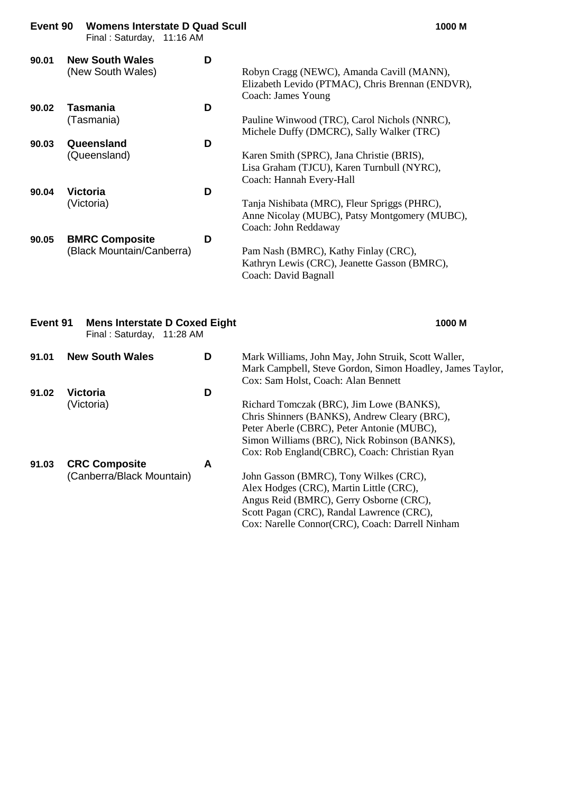| Event 90 | <b>Womens Interstate D Quad Scull</b><br>Final: Saturday, 11:16 AM |   | 1000 M                                                                                                                |  |  |
|----------|--------------------------------------------------------------------|---|-----------------------------------------------------------------------------------------------------------------------|--|--|
| 90.01    | <b>New South Wales</b><br>(New South Wales)                        | D | Robyn Cragg (NEWC), Amanda Cavill (MANN),<br>Elizabeth Levido (PTMAC), Chris Brennan (ENDVR),<br>Coach: James Young   |  |  |
| 90.02    | <b>Tasmania</b><br>(Tasmania)                                      | D | Pauline Winwood (TRC), Carol Nichols (NNRC),<br>Michele Duffy (DMCRC), Sally Walker (TRC)                             |  |  |
| 90.03    | Queensland<br>(Queensland)                                         | D | Karen Smith (SPRC), Jana Christie (BRIS),<br>Lisa Graham (TJCU), Karen Turnbull (NYRC),<br>Coach: Hannah Every-Hall   |  |  |
| 90.04    | <b>Victoria</b><br>(Victoria)                                      | D | Tanja Nishibata (MRC), Fleur Spriggs (PHRC),<br>Anne Nicolay (MUBC), Patsy Montgomery (MUBC),<br>Coach: John Reddaway |  |  |
| 90.05    | <b>BMRC Composite</b><br>(Black Mountain/Canberra)                 | D | Pam Nash (BMRC), Kathy Finlay (CRC),<br>Kathryn Lewis (CRC), Jeanette Gasson (BMRC),<br>Coach: David Bagnall          |  |  |
|          | Event 91<br><b>Mens Interstate D Coxed Eight</b><br>1000 M         |   |                                                                                                                       |  |  |

Final : Saturday, 11:28 AM

**91.01 New South Wales D** Mark Williams, John May, John Struik, Scott Waller, Mark Campbell, Steve Gordon, Simon Hoadley, James Taylor, Cox: Sam Holst, Coach: Alan Bennett **91.02 Victoria D** (Victoria) Richard Tomczak (BRC), Jim Lowe (BANKS), Chris Shinners (BANKS), Andrew Cleary (BRC), Peter Aberle (CBRC), Peter Antonie (MUBC), Simon Williams (BRC), Nick Robinson (BANKS), Cox: Rob England(CBRC), Coach: Christian Ryan **91.03 CRC Composite A** (Canberra/Black Mountain) John Gasson (BMRC), Tony Wilkes (CRC), Alex Hodges (CRC), Martin Little (CRC), Angus Reid (BMRC), Gerry Osborne (CRC), Scott Pagan (CRC), Randal Lawrence (CRC), Cox: Narelle Connor(CRC), Coach: Darrell Ninham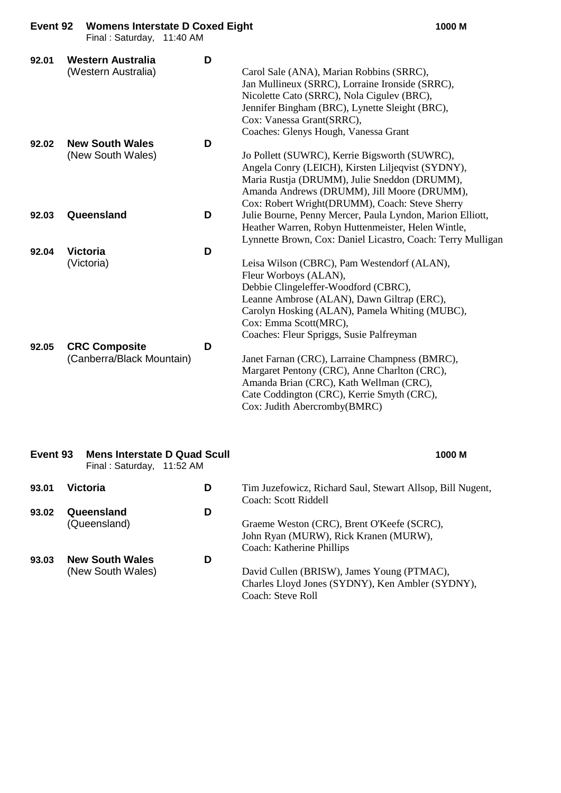|                | Final: Saturday, 11:40 AM                                                          |        |                                                                                                                                                                                                                                                                                                                                                                                                                                                                                                              |
|----------------|------------------------------------------------------------------------------------|--------|--------------------------------------------------------------------------------------------------------------------------------------------------------------------------------------------------------------------------------------------------------------------------------------------------------------------------------------------------------------------------------------------------------------------------------------------------------------------------------------------------------------|
| 92.01          | <b>Western Australia</b><br>(Western Australia)                                    | D      | Carol Sale (ANA), Marian Robbins (SRRC),<br>Jan Mullineux (SRRC), Lorraine Ironside (SRRC),<br>Nicolette Cato (SRRC), Nola Cigulev (BRC),<br>Jennifer Bingham (BRC), Lynette Sleight (BRC),<br>Cox: Vanessa Grant(SRRC),<br>Coaches: Glenys Hough, Vanessa Grant                                                                                                                                                                                                                                             |
| 92.02          | <b>New South Wales</b><br>(New South Wales)                                        | D      | Jo Pollett (SUWRC), Kerrie Bigsworth (SUWRC),<br>Angela Conry (LEICH), Kirsten Liljeqvist (SYDNY),<br>Maria Rustja (DRUMM), Julie Sneddon (DRUMM),<br>Amanda Andrews (DRUMM), Jill Moore (DRUMM),<br>Cox: Robert Wright(DRUMM), Coach: Steve Sherry                                                                                                                                                                                                                                                          |
| 92.03          | Queensland                                                                         | D      | Julie Bourne, Penny Mercer, Paula Lyndon, Marion Elliott,<br>Heather Warren, Robyn Huttenmeister, Helen Wintle,<br>Lynnette Brown, Cox: Daniel Licastro, Coach: Terry Mulligan                                                                                                                                                                                                                                                                                                                               |
| 92.04<br>92.05 | <b>Victoria</b><br>(Victoria)<br><b>CRC Composite</b><br>(Canberra/Black Mountain) | D<br>D | Leisa Wilson (CBRC), Pam Westendorf (ALAN),<br>Fleur Worboys (ALAN),<br>Debbie Clingeleffer-Woodford (CBRC),<br>Leanne Ambrose (ALAN), Dawn Giltrap (ERC),<br>Carolyn Hosking (ALAN), Pamela Whiting (MUBC),<br>Cox: Emma Scott(MRC),<br>Coaches: Fleur Spriggs, Susie Palfreyman<br>Janet Farnan (CRC), Larraine Champness (BMRC),<br>Margaret Pentony (CRC), Anne Charlton (CRC),<br>Amanda Brian (CRC), Kath Wellman (CRC),<br>Cate Coddington (CRC), Kerrie Smyth (CRC),<br>Cox: Judith Abercromby(BMRC) |
| Event 93       | <b>Mens Interstate D Quad Scull</b><br>Final: Saturday, 11:52 AM                   |        | 1000 M                                                                                                                                                                                                                                                                                                                                                                                                                                                                                                       |
| 93.01          | <b>Victoria</b>                                                                    | D      | Tim Juzefowicz, Richard Saul, Stewart Allsop, Bill Nugent,<br>Coach: Scott Riddell                                                                                                                                                                                                                                                                                                                                                                                                                           |
| 93.02          | Queensland<br>(Queensland)                                                         | D      | Graeme Weston (CRC), Brent O'Keefe (SCRC),<br>John Ryan (MURW), Rick Kranen (MURW),<br>Coach: Katherine Phillips                                                                                                                                                                                                                                                                                                                                                                                             |
| 93.03          | <b>New South Wales</b>                                                             | D      |                                                                                                                                                                                                                                                                                                                                                                                                                                                                                                              |

(New South Wales) David Cullen (BRISW), James Young (PTMAC),

Coach: Steve Roll

Charles Lloyd Jones (SYDNY), Ken Ambler (SYDNY),

**Event 92 Womens Interstate D Coxed Eight 1000 M**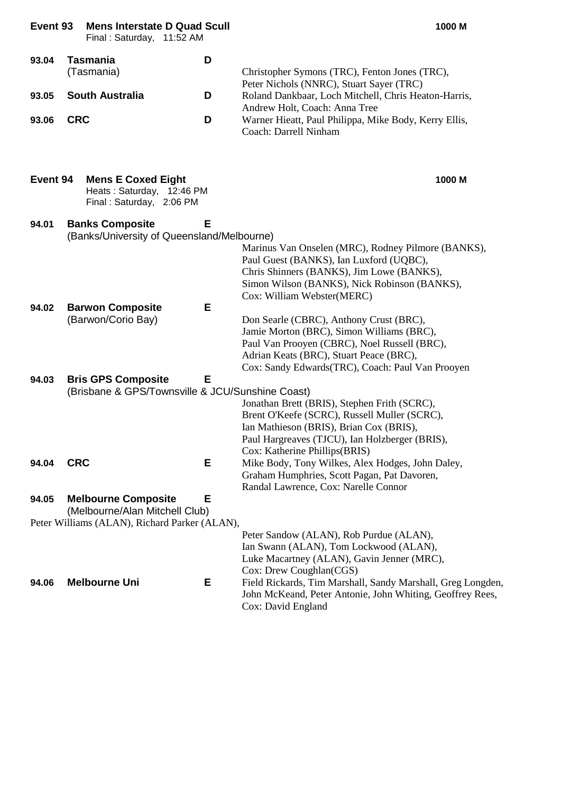**Event 93 Mens Interstate D Quad Scull 1000 M**

Final : Saturday, 11:52 AM

| 93.04 | Tasmania               | D |                                                       |
|-------|------------------------|---|-------------------------------------------------------|
|       | (Tasmania)             |   | Christopher Symons (TRC), Fenton Jones (TRC),         |
|       |                        |   | Peter Nichols (NNRC), Stuart Sayer (TRC)              |
| 93.05 | <b>South Australia</b> | D | Roland Dankbaar, Loch Mitchell, Chris Heaton-Harris,  |
|       |                        |   | Andrew Holt, Coach: Anna Tree                         |
| 93.06 | <b>CRC</b>             | D | Warner Hieatt, Paul Philippa, Mike Body, Kerry Ellis, |
|       |                        |   | Coach: Darrell Ninham                                 |

|       | <b>Event 94 Mens E Coxed Eight</b>                           | 1000 M |  |
|-------|--------------------------------------------------------------|--------|--|
|       | Heats: Saturday, 12:46 PM                                    |        |  |
|       | Final: Saturday, 2:06 PM                                     |        |  |
| 94.01 | <b>Banks Composite</b><br>$\sim$ $\sim$ $\sim$ $\sim$ $\sim$ |        |  |

|       | (Banks/University of Queensland/Melbourne)       |                                                    |  |
|-------|--------------------------------------------------|----------------------------------------------------|--|
|       |                                                  | Marinus Van Onselen (MRC), Rodney Pilmore (BANKS), |  |
|       |                                                  | Paul Guest (BANKS), Ian Luxford (UQBC),            |  |
|       |                                                  | Chris Shinners (BANKS), Jim Lowe (BANKS),          |  |
|       |                                                  | Simon Wilson (BANKS), Nick Robinson (BANKS),       |  |
|       |                                                  | Cox: William Webster(MERC)                         |  |
| 94.02 | Е<br><b>Barwon Composite</b>                     |                                                    |  |
|       | (Barwon/Corio Bay)                               | Don Searle (CBRC), Anthony Crust (BRC),            |  |
|       |                                                  | Jamie Morton (BRC), Simon Williams (BRC),          |  |
|       |                                                  | Paul Van Prooyen (CBRC), Noel Russell (BRC),       |  |
|       |                                                  | Adrian Keats (BRC), Stuart Peace (BRC),            |  |
|       |                                                  | Cox: Sandy Edwards(TRC), Coach: Paul Van Prooyen   |  |
| 94.03 | Е<br><b>Bris GPS Composite</b>                   |                                                    |  |
|       | (Brisbane & GPS/Townsville & JCU/Sunshine Coast) |                                                    |  |
|       |                                                  | Jonathan Brett (BRIS), Stephen Frith (SCRC),       |  |
|       |                                                  | Brent O'Keefe (SCRC), Russell Muller (SCRC),       |  |
|       |                                                  | Ian Mathieson (BRIS), Brian Cox (BRIS),            |  |
|       |                                                  | Paul Hargreaves (TJCU), Ian Holzberger (BRIS),     |  |
|       |                                                  | Cox: Katherine Phillips (BRIS)                     |  |
| 94.04 | Е<br><b>CRC</b>                                  | Mike Body, Tony Wilkes, Alex Hodges, John Daley,   |  |
|       |                                                  | Graham Humphries, Scott Pagan, Pat Davoren,        |  |
|       |                                                  | Randal Lawrence, Cox: Narelle Connor               |  |
|       |                                                  |                                                    |  |

### **94.05 Melbourne Composite E**

(Melbourne/Alan Mitchell Club)

Peter Williams (ALAN), Richard Parker (ALAN),

|       |                      |    | Peter Sandow (ALAN), Rob Purdue (ALAN),                     |
|-------|----------------------|----|-------------------------------------------------------------|
|       |                      |    | Ian Swann (ALAN), Tom Lockwood (ALAN),                      |
|       |                      |    | Luke Macartney (ALAN), Gavin Jenner (MRC),                  |
|       |                      |    | Cox: Drew Coughlan(CGS)                                     |
| 94.06 | <b>Melbourne Uni</b> | Е. | Field Rickards, Tim Marshall, Sandy Marshall, Greg Longden, |
|       |                      |    | John McKeand, Peter Antonie, John Whiting, Geoffrey Rees,   |
|       |                      |    | Cox: David England                                          |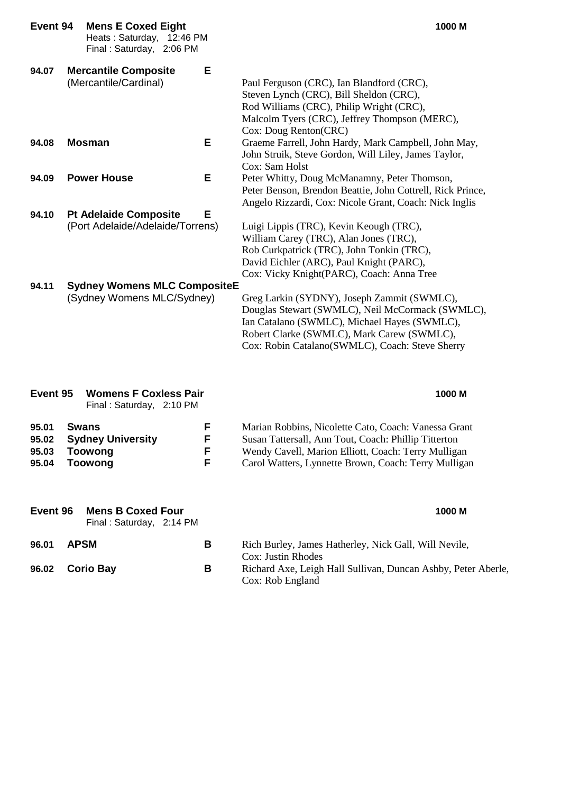| Event 94                         | <b>Mens E Coxed Eight</b><br>Heats: Saturday, 12:46 PM<br>Final: Saturday, 2:06 PM |                  | 1000 M                                                                                                                                                                                                                                           |
|----------------------------------|------------------------------------------------------------------------------------|------------------|--------------------------------------------------------------------------------------------------------------------------------------------------------------------------------------------------------------------------------------------------|
| 94.07                            | <b>Mercantile Composite</b><br>(Mercantile/Cardinal)                               | Е                | Paul Ferguson (CRC), Ian Blandford (CRC),<br>Steven Lynch (CRC), Bill Sheldon (CRC),<br>Rod Williams (CRC), Philip Wright (CRC),<br>Malcolm Tyers (CRC), Jeffrey Thompson (MERC),<br>Cox: Doug Renton(CRC)                                       |
| 94.08                            | <b>Mosman</b>                                                                      | Е                | Graeme Farrell, John Hardy, Mark Campbell, John May,<br>John Struik, Steve Gordon, Will Liley, James Taylor,<br>Cox: Sam Holst                                                                                                                   |
| 94.09                            | <b>Power House</b>                                                                 | Е                | Peter Whitty, Doug McManamny, Peter Thomson,<br>Peter Benson, Brendon Beattie, John Cottrell, Rick Prince,<br>Angelo Rizzardi, Cox: Nicole Grant, Coach: Nick Inglis                                                                             |
| 94.10                            | <b>Pt Adelaide Composite</b><br>(Port Adelaide/Adelaide/Torrens)                   | Е                | Luigi Lippis (TRC), Kevin Keough (TRC),<br>William Carey (TRC), Alan Jones (TRC),<br>Rob Curkpatrick (TRC), John Tonkin (TRC),<br>David Eichler (ARC), Paul Knight (PARC),<br>Cox: Vicky Knight(PARC), Coach: Anna Tree                          |
| 94.11                            | <b>Sydney Womens MLC CompositeE</b><br>(Sydney Womens MLC/Sydney)                  |                  | Greg Larkin (SYDNY), Joseph Zammit (SWMLC),<br>Douglas Stewart (SWMLC), Neil McCormack (SWMLC),<br>Ian Catalano (SWMLC), Michael Hayes (SWMLC),<br>Robert Clarke (SWMLC), Mark Carew (SWMLC),<br>Cox: Robin Catalano(SWMLC), Coach: Steve Sherry |
| Event 95                         | <b>Womens F Coxless Pair</b><br>Final: Saturday, 2:10 PM                           |                  | 1000 M                                                                                                                                                                                                                                           |
| 95.01<br>95.02<br>95.03<br>95.04 | <b>Swans</b><br><b>Sydney University</b><br><b>Toowong</b><br><b>Toowong</b>       | F<br>F<br>F<br>F | Marian Robbins, Nicolette Cato, Coach: Vanessa Grant<br>Susan Tattersall, Ann Tout, Coach: Phillip Titterton<br>Wendy Cavell, Marion Elliott, Coach: Terry Mulligan<br>Carol Watters, Lynnette Brown, Coach: Terry Mulligan                      |
| Event 96                         | <b>Mens B Coxed Four</b><br>Final: Saturday, 2:14 PM                               |                  | 1000 M                                                                                                                                                                                                                                           |
| 96.01                            | <b>APSM</b>                                                                        | В                | Rich Burley, James Hatherley, Nick Gall, Will Nevile,<br><b>Cox: Justin Rhodes</b>                                                                                                                                                               |
| 96.02                            | <b>Corio Bay</b>                                                                   | В                | Richard Axe, Leigh Hall Sullivan, Duncan Ashby, Peter Aberle,<br>Cox: Rob England                                                                                                                                                                |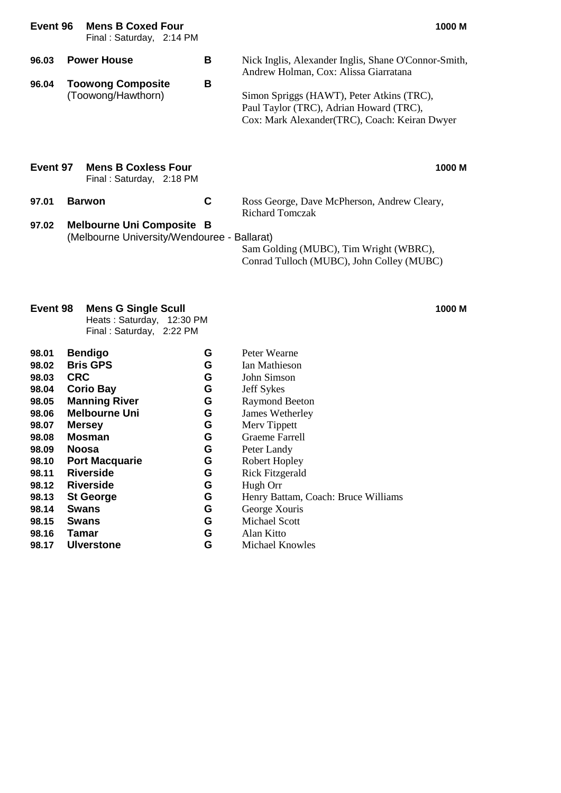| Event 96       | <b>Mens B Coxed Four</b><br>Final: Saturday, 2:14 PM                            |        | 1000 M                                                                                                                                                                                                                                 |
|----------------|---------------------------------------------------------------------------------|--------|----------------------------------------------------------------------------------------------------------------------------------------------------------------------------------------------------------------------------------------|
| 96.03<br>96.04 | <b>Power House</b><br><b>Toowong Composite</b><br>(Toowong/Hawthorn)            | В<br>В | Nick Inglis, Alexander Inglis, Shane O'Connor-Smith,<br>Andrew Holman, Cox: Alissa Giarratana<br>Simon Spriggs (HAWT), Peter Atkins (TRC),<br>Paul Taylor (TRC), Adrian Howard (TRC),<br>Cox: Mark Alexander(TRC), Coach: Keiran Dwyer |
| Event 97       | <b>Mens B Coxless Four</b><br>Final: Saturday, 2:18 PM                          |        | 1000 M                                                                                                                                                                                                                                 |
| 97.01          | <b>Barwon</b>                                                                   | C      | Ross George, Dave McPherson, Andrew Cleary,<br><b>Richard Tomczak</b>                                                                                                                                                                  |
| 97.02          | <b>Melbourne Uni Composite B</b><br>(Melbourne University/Wendouree - Ballarat) |        | Sam Golding (MUBC), Tim Wright (WBRC),<br>Conrad Tulloch (MUBC), John Colley (MUBC)                                                                                                                                                    |

### **Event 98 Mens G Single Scull 1000 M**

Heats : Saturday, 12:30 PM Final : Saturday, 2:22 PM

| 98.01 | <b>Bendigo</b>        | G | Peter Wearne                        |
|-------|-----------------------|---|-------------------------------------|
| 98.02 | <b>Bris GPS</b>       | G | Ian Mathieson                       |
| 98.03 | <b>CRC</b>            | G | John Simson                         |
| 98.04 | <b>Corio Bay</b>      | G | <b>Jeff Sykes</b>                   |
| 98.05 | <b>Manning River</b>  | G | <b>Raymond Beeton</b>               |
| 98.06 | <b>Melbourne Uni</b>  | G | James Wetherley                     |
| 98.07 | <b>Mersey</b>         | G | Merv Tippett                        |
| 98.08 | <b>Mosman</b>         | G | Graeme Farrell                      |
| 98.09 | <b>Noosa</b>          | G | Peter Landy                         |
| 98.10 | <b>Port Macquarie</b> | G | Robert Hopley                       |
| 98.11 | <b>Riverside</b>      | G | <b>Rick Fitzgerald</b>              |
| 98.12 | Riverside             | G | Hugh Orr                            |
| 98.13 | <b>St George</b>      | G | Henry Battam, Coach: Bruce Williams |
| 98.14 | <b>Swans</b>          | G | George Xouris                       |
| 98.15 | <b>Swans</b>          | G | Michael Scott                       |
| 98.16 | Tamar                 | G | Alan Kitto                          |
| 98.17 | <b>Ulverstone</b>     | G | Michael Knowles                     |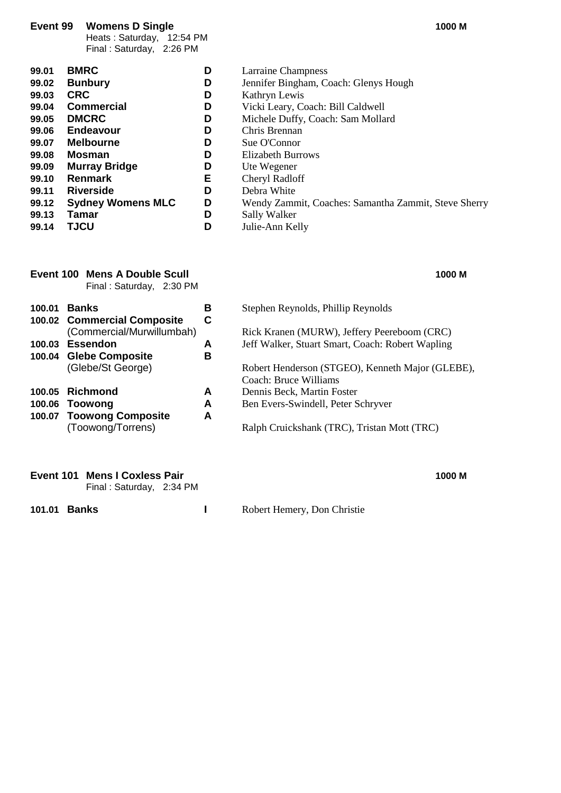#### **Event 99 Womens D Single 1000 M**

Heats : Saturday, 12:54 PM Final : Saturday, 2:26 PM

| 99.01 | <b>BMRC</b>              | D | Larraine Champ   |
|-------|--------------------------|---|------------------|
| 99.02 | <b>Bunbury</b>           | D | Jennifer Binghar |
| 99.03 | <b>CRC</b>               | D | Kathryn Lewis    |
| 99.04 | <b>Commercial</b>        | D | Vicki Leary, Co. |
| 99.05 | <b>DMCRC</b>             | D | Michele Duffy,   |
| 99.06 | <b>Endeavour</b>         | D | Chris Brennan    |
| 99.07 | <b>Melbourne</b>         | D | Sue O'Connor     |
| 99.08 | Mosman                   | D | Elizabeth Burroy |
| 99.09 | <b>Murray Bridge</b>     | D | Ute Wegener      |
| 99.10 | Renmark                  | Е | Cheryl Radloff   |
| 99.11 | <b>Riverside</b>         | D | Debra White      |
| 99.12 | <b>Sydney Womens MLC</b> | D | Wendy Zammit,    |
| 99.13 | Tamar                    | D | Sally Walker     |
| 99.14 | <b>TJCU</b>              | D | Julie-Ann Kelly  |
|       |                          |   |                  |

|        | Event 100 Mens A Double Scull<br>Final: Saturday, 2:30 PM |   | 1000 M                                           |
|--------|-----------------------------------------------------------|---|--------------------------------------------------|
| 100.01 | <b>Banks</b>                                              | В | Stephen Reynolds, Phillip Reynolds               |
|        | 100.02 Commercial Composite                               | С |                                                  |
|        | (Commercial/Murwillumbah)                                 |   | Rick Kranen (MURW), Jeffery Peereboom (CRC)      |
|        | 100.03 Essendon                                           | A | Jeff Walker, Stuart Smart, Coach: Robert Wapling |
|        | 100.04 Glebe Composite                                    | в |                                                  |
|        | (Glebe/St George)                                         |   | Robert Henderson (STGEO), Kenneth Major (GLEBE   |
|        |                                                           |   | Coach: Bruce Williams                            |
| 100.05 | Richmond                                                  | A | Dennis Beck, Martin Foster                       |
|        | 100.06 Toowong                                            | A | Ben Evers-Swindell, Peter Schryver               |
|        | 100.07 Toowong Composite                                  | A |                                                  |
|        | (Toowong/Torrens)                                         |   | Ralph Cruickshank (TRC), Tristan Mott (TRC)      |
|        |                                                           |   |                                                  |

| Event 101 Mens I Coxless Pair | 1000 M |
|-------------------------------|--------|
| Final: Saturday, 2:34 PM      |        |

**101.01 Banks I** Robert Hemery, Don Christie

- **Larraine Champness**
- **Jennifer Bingham, Coach: Glenys Hough**
- **Kathryn Lewis**
- **99.04 Commercial D** Vicki Leary, Coach: Bill Caldwell
- Michele Duffy, Coach: Sam Mollard
- **Chris Brennan**
- **Sue O'Connor**
- *<u>Blizabeth Burrows</u>*
- **Ute Wegener**
- **Cheryl Radloff**
- **Debra White** 
	- Wendy Zammit, Coaches: Samantha Zammit, Steve Sherry
- **99.13 Sally Walker** 
	-

| 100.01 | <b>Banks</b>                | в | Stephen Reynolds, Phillip Reynolds               |
|--------|-----------------------------|---|--------------------------------------------------|
|        | 100.02 Commercial Composite | C |                                                  |
|        | (Commercial/Murwillumbah)   |   | Rick Kranen (MURW), Jeffery Peereboom (CRC)      |
| 100.03 | Essendon                    | А | Jeff Walker, Stuart Smart, Coach: Robert Wapling |
|        | 100.04 Glebe Composite      | в |                                                  |
|        | (Glebe/St George)           |   | Robert Henderson (STGEO), Kenneth Major (GLEBE), |
|        |                             |   | Coach: Bruce Williams                            |
|        | 100.05 Richmond             | A | Dennis Beck, Martin Foster                       |
|        | 100.06 Toowong              | А | Ben Evers-Swindell, Peter Schryver               |
|        | 100.07 Toowong Composite    | Δ |                                                  |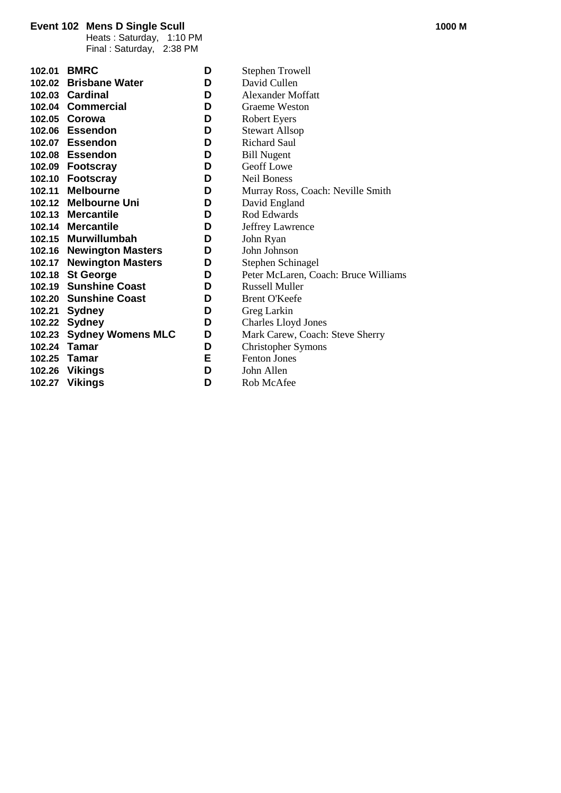#### **Event 102 Mens D Single Scull 1000 M**

Heats : Saturday, 1:10 PM Final : Saturday, 2:38 PM

|        | 102.01 BMRC              | D | <b>Stephen Trowell</b>               |
|--------|--------------------------|---|--------------------------------------|
|        | 102.02 Brisbane Water    | D | David Cullen                         |
|        | 102.03 Cardinal          | D | Alexander Moffatt                    |
|        | 102.04 Commercial        | D | <b>Graeme Weston</b>                 |
|        | 102.05 Corowa            | D | <b>Robert Eyers</b>                  |
|        | 102.06 Essendon          | D | <b>Stewart Allsop</b>                |
|        | 102.07 Essendon          | D | <b>Richard Saul</b>                  |
|        | 102.08 Essendon          | D | <b>Bill Nugent</b>                   |
|        | 102.09 Footscray         | D | <b>Geoff Lowe</b>                    |
|        | 102.10 Footscray         | D | <b>Neil Boness</b>                   |
|        | 102.11 Melbourne         | D | Murray Ross, Coach: Neville Smith    |
|        | 102.12 Melbourne Uni     | D | David England                        |
|        | 102.13 Mercantile        | D | Rod Edwards                          |
|        | 102.14 Mercantile        | D | Jeffrey Lawrence                     |
|        | 102.15 Murwillumbah      | D | John Ryan                            |
|        | 102.16 Newington Masters | D | John Johnson                         |
| 102.17 | <b>Newington Masters</b> | D | Stephen Schinagel                    |
|        | 102.18 St George         | D | Peter McLaren, Coach: Bruce Williams |
|        | 102.19 Sunshine Coast    | D | <b>Russell Muller</b>                |
|        | 102.20 Sunshine Coast    | D | <b>Brent O'Keefe</b>                 |
|        | 102.21 Sydney            | D | Greg Larkin                          |
|        | 102.22 Sydney            | D | <b>Charles Lloyd Jones</b>           |
|        | 102.23 Sydney Womens MLC | D | Mark Carew, Coach: Steve Sherry      |
|        | 102.24 Tamar             | D | <b>Christopher Symons</b>            |
|        | 102.25 Tamar             | Е | <b>Fenton Jones</b>                  |
|        | 102.26 Vikings           | D | John Allen                           |
| 102.27 | <b>Vikings</b>           | D | Rob McAfee                           |
|        |                          |   |                                      |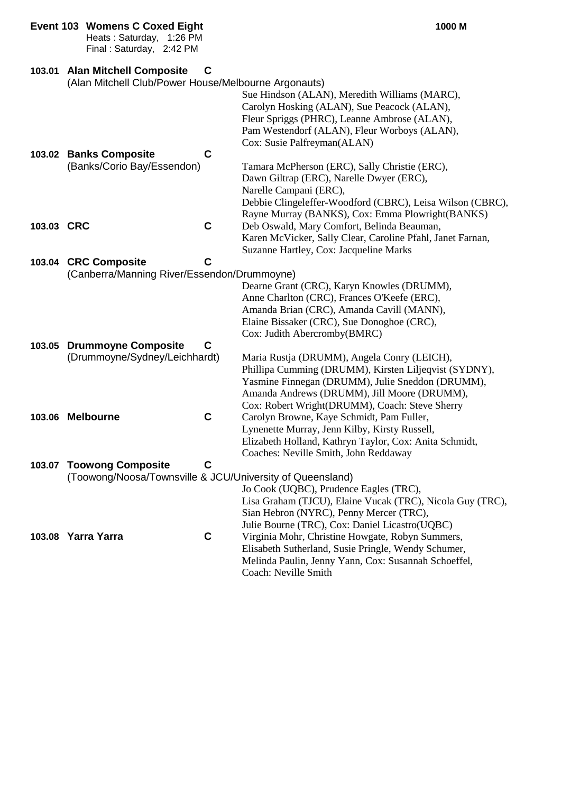|            | <b>Event 103 Womens C Coxed Eight</b><br>Heats: Saturday, 1:26 PM<br>Final: Saturday, 2:42 PM |   | 1000 M                                                                                                                                                                                                     |
|------------|-----------------------------------------------------------------------------------------------|---|------------------------------------------------------------------------------------------------------------------------------------------------------------------------------------------------------------|
| 103.01     | <b>Alan Mitchell Composite</b><br>(Alan Mitchell Club/Power House/Melbourne Argonauts)        | C | Sue Hindson (ALAN), Meredith Williams (MARC),<br>Carolyn Hosking (ALAN), Sue Peacock (ALAN),                                                                                                               |
|            |                                                                                               |   | Fleur Spriggs (PHRC), Leanne Ambrose (ALAN),<br>Pam Westendorf (ALAN), Fleur Worboys (ALAN),<br>Cox: Susie Palfreyman(ALAN)                                                                                |
|            | 103.02 Banks Composite                                                                        | C |                                                                                                                                                                                                            |
|            | (Banks/Corio Bay/Essendon)                                                                    |   | Tamara McPherson (ERC), Sally Christie (ERC),                                                                                                                                                              |
|            |                                                                                               |   | Dawn Giltrap (ERC), Narelle Dwyer (ERC),                                                                                                                                                                   |
|            |                                                                                               |   | Narelle Campani (ERC),                                                                                                                                                                                     |
|            |                                                                                               |   | Debbie Clingeleffer-Woodford (CBRC), Leisa Wilson (CBRC),                                                                                                                                                  |
|            |                                                                                               |   | Rayne Murray (BANKS), Cox: Emma Plowright (BANKS)                                                                                                                                                          |
| 103.03 CRC |                                                                                               | C | Deb Oswald, Mary Comfort, Belinda Beauman,                                                                                                                                                                 |
|            |                                                                                               |   | Karen McVicker, Sally Clear, Caroline Pfahl, Janet Farnan,                                                                                                                                                 |
|            |                                                                                               |   | Suzanne Hartley, Cox: Jacqueline Marks                                                                                                                                                                     |
|            | 103.04 CRC Composite                                                                          | С |                                                                                                                                                                                                            |
|            | (Canberra/Manning River/Essendon/Drummoyne)                                                   |   |                                                                                                                                                                                                            |
|            |                                                                                               |   | Dearne Grant (CRC), Karyn Knowles (DRUMM),                                                                                                                                                                 |
|            |                                                                                               |   | Anne Charlton (CRC), Frances O'Keefe (ERC),                                                                                                                                                                |
|            |                                                                                               |   | Amanda Brian (CRC), Amanda Cavill (MANN),                                                                                                                                                                  |
|            |                                                                                               |   | Elaine Bissaker (CRC), Sue Donoghoe (CRC),                                                                                                                                                                 |
|            |                                                                                               |   | Cox: Judith Abercromby(BMRC)                                                                                                                                                                               |
| 103.05     | <b>Drummoyne Composite</b>                                                                    | C |                                                                                                                                                                                                            |
|            | (Drummoyne/Sydney/Leichhardt)                                                                 |   | Maria Rustja (DRUMM), Angela Conry (LEICH),                                                                                                                                                                |
|            |                                                                                               |   | Phillipa Cumming (DRUMM), Kirsten Liljeqvist (SYDNY),                                                                                                                                                      |
|            |                                                                                               |   | Yasmine Finnegan (DRUMM), Julie Sneddon (DRUMM),<br>Amanda Andrews (DRUMM), Jill Moore (DRUMM),                                                                                                            |
|            |                                                                                               |   | Cox: Robert Wright(DRUMM), Coach: Steve Sherry                                                                                                                                                             |
|            | 103.06 Melbourne                                                                              | C | Carolyn Browne, Kaye Schmidt, Pam Fuller,                                                                                                                                                                  |
|            |                                                                                               |   | Lynenette Murray, Jenn Kilby, Kirsty Russell,                                                                                                                                                              |
|            |                                                                                               |   | Elizabeth Holland, Kathryn Taylor, Cox: Anita Schmidt,                                                                                                                                                     |
|            |                                                                                               |   | Coaches: Neville Smith, John Reddaway                                                                                                                                                                      |
| 103.07     | <b>Toowong Composite</b>                                                                      | C |                                                                                                                                                                                                            |
|            | (Toowong/Noosa/Townsville & JCU/University of Queensland)                                     |   |                                                                                                                                                                                                            |
|            |                                                                                               |   | Jo Cook (UQBC), Prudence Eagles (TRC),                                                                                                                                                                     |
|            | 103.08 Yarra Yarra                                                                            | C | Lisa Graham (TJCU), Elaine Vucak (TRC), Nicola Guy (TRC),<br>Sian Hebron (NYRC), Penny Mercer (TRC),<br>Julie Bourne (TRC), Cox: Daniel Licastro(UQBC)<br>Virginia Mohr, Christine Howgate, Robyn Summers, |
|            |                                                                                               |   | Elisabeth Sutherland, Susie Pringle, Wendy Schumer,<br>Melinda Paulin, Jenny Yann, Cox: Susannah Schoeffel,<br>Coach: Neville Smith                                                                        |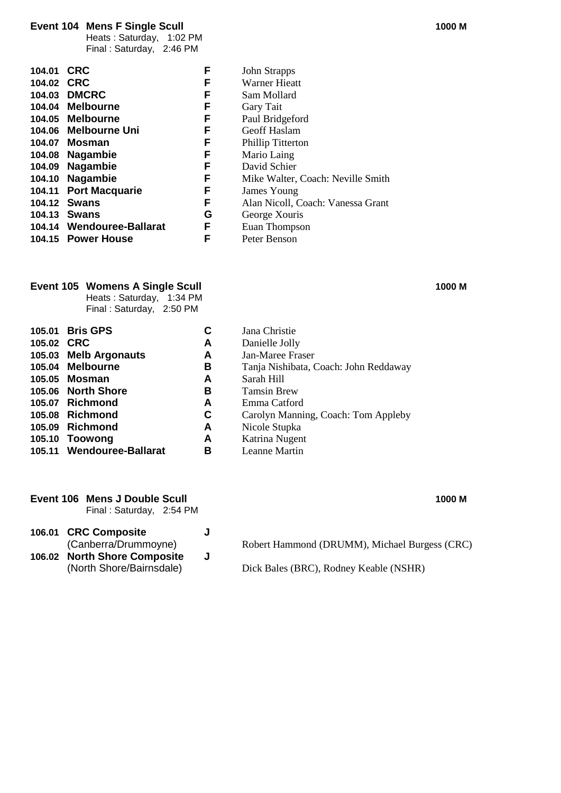### **Event 104 Mens F Single Scull 1000 M**

Heats : Saturday, 1:02 PM Final : Saturday, 2:46 PM

| 104.01     | <b>CRC</b>                | F | <b>John Strapps</b>               |
|------------|---------------------------|---|-----------------------------------|
| 104.02 CRC |                           | F | <b>Warner Hieatt</b>              |
|            | 104.03 DMCRC              | F | Sam Mollard                       |
|            | 104.04 Melbourne          | F | Gary Tait                         |
|            | 104.05 Melbourne          | F | Paul Bridgeford                   |
|            | 104.06 Melbourne Uni      | F | Geoff Haslam                      |
|            | 104.07 Mosman             | F | <b>Phillip Titterton</b>          |
| 104.08     | Nagambie                  | F | Mario Laing                       |
|            | 104.09 Nagambie           | F | David Schier                      |
|            | 104.10 Nagambie           | F | Mike Walter, Coach: Neville Smith |
|            | 104.11 Port Macquarie     | F | James Young                       |
|            | 104.12 Swans              | F | Alan Nicoll, Coach: Vanessa Grant |
|            | 104.13 Swans              | G | George Xouris                     |
|            | 104.14 Wendouree-Ballarat | F | Euan Thompson                     |
|            | 104.15 Power House        | F | Peter Benson                      |
|            |                           |   |                                   |

### **Event 105 Womens A Single Scull 1000 M**

Heats : Saturday, 1:34 PM Final : Saturday, 2:50 PM

|            | 105.01 Bris GPS           | С | Jana Christie                         |
|------------|---------------------------|---|---------------------------------------|
| 105.02 CRC |                           | A | Danielle Jolly                        |
|            | 105.03 Melb Argonauts     | A | Jan-Maree Fraser                      |
|            | 105.04 Melbourne          | в | Tanja Nishibata, Coach: John Reddaway |
|            | 105.05 Mosman             | A | Sarah Hill                            |
|            | 105.06 North Shore        | в | <b>Tamsin Brew</b>                    |
|            | 105.07 Richmond           | A | Emma Catford                          |
|            | 105.08 Richmond           | C | Carolyn Manning, Coach: Tom Appleby   |
|            | 105.09 Richmond           | A | Nicole Stupka                         |
|            | 105.10 Toowong            | A | Katrina Nugent                        |
|            | 105.11 Wendouree-Ballarat | в | Leanne Martin                         |

#### **Event 106 Mens J Double Scull 1000 M**

Final : Saturday, 2:54 PM

- **106.01 CRC Composite J** (Canberra/Drummoyne)
- **106.02 North Shore Composite J**

| Robert Hammond (DRUMM), Michael Burgess (CRC) |  |
|-----------------------------------------------|--|
|                                               |  |

Dick Bales (BRC), Rodney Keable (NSHR)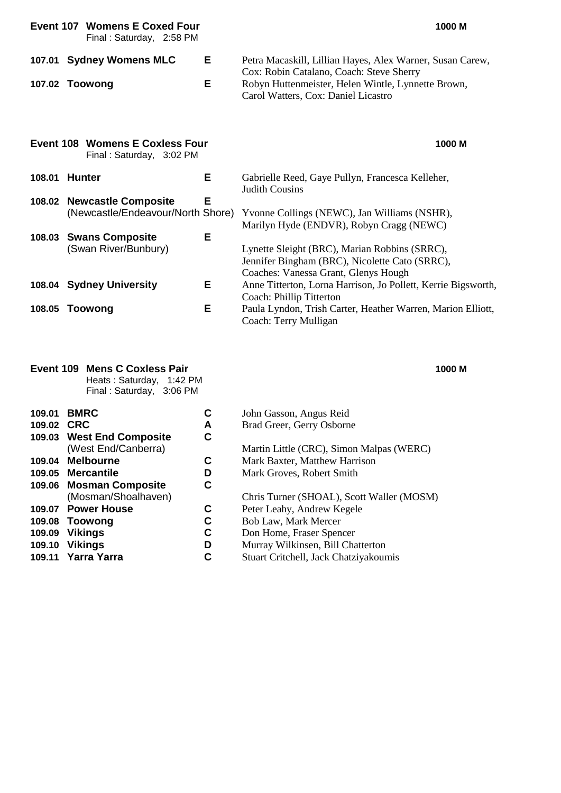|        | <b>Event 107 Womens E Coxed Four</b><br>Final: Saturday, 2:58 PM   |   | 1000 M                                                                                                                                  |
|--------|--------------------------------------------------------------------|---|-----------------------------------------------------------------------------------------------------------------------------------------|
|        | 107.01 Sydney Womens MLC                                           | Е | Petra Macaskill, Lillian Hayes, Alex Warner, Susan Carew,<br>Cox: Robin Catalano, Coach: Steve Sherry                                   |
|        | 107.02 Toowong                                                     | Е | Robyn Huttenmeister, Helen Wintle, Lynnette Brown,<br>Carol Watters, Cox: Daniel Licastro                                               |
|        | <b>Event 108 Womens E Coxless Four</b><br>Final: Saturday, 3:02 PM |   | 1000 M                                                                                                                                  |
| 108.01 | <b>Hunter</b>                                                      | Е | Gabrielle Reed, Gaye Pullyn, Francesca Kelleher,<br><b>Judith Cousins</b>                                                               |
| 108.02 | <b>Newcastle Composite</b><br>(Newcastle/Endeavour/North Shore)    | Е | Yvonne Collings (NEWC), Jan Williams (NSHR),<br>Marilyn Hyde (ENDVR), Robyn Cragg (NEWC)                                                |
| 108.03 | <b>Swans Composite</b><br>(Swan River/Bunbury)                     | E | Lynette Sleight (BRC), Marian Robbins (SRRC),<br>Jennifer Bingham (BRC), Nicolette Cato (SRRC),<br>Coaches: Vanessa Grant, Glenys Hough |
|        | 108.04 Sydney University                                           | Е | Anne Titterton, Lorna Harrison, Jo Pollett, Kerrie Bigsworth,<br>Coach: Phillip Titterton                                               |
| 108.05 | Toowong                                                            | Е | Paula Lyndon, Trish Carter, Heather Warren, Marion Elliott,<br>Coach: Terry Mulligan                                                    |

## **Event 109 Mens C Coxless Pair 1000 M**

**109.01 BMRC 109.02 CRC** 

Heats : Saturday, 1:42 PM Final : Saturday, 3:06 PM

| <b>BMRC</b>               | С | John Gasson, Angus Reid                   |
|---------------------------|---|-------------------------------------------|
| 109.02 CRC                | A | Brad Greer, Gerry Osborne                 |
| 109.03 West End Composite | С |                                           |
| (West End/Canberra)       |   | Martin Little (CRC), Simon Malpas (WERC)  |
| 109.04 Melbourne          | С | Mark Baxter, Matthew Harrison             |
| 109.05 Mercantile         | D | Mark Groves, Robert Smith                 |
| 109.06 Mosman Composite   | C |                                           |
| (Mosman/Shoalhaven)       |   | Chris Turner (SHOAL), Scott Waller (MOSM) |
| 109.07 Power House        | С | Peter Leahy, Andrew Kegele                |
| 109.08 Toowong            | С | Bob Law, Mark Mercer                      |
| 109.09 Vikings            | C | Don Home, Fraser Spencer                  |
| 109.10 Vikings            | D | Murray Wilkinsen, Bill Chatterton         |
| 109.11 Yarra Yarra        | C | Stuart Critchell, Jack Chatziyakoumis     |
|                           |   |                                           |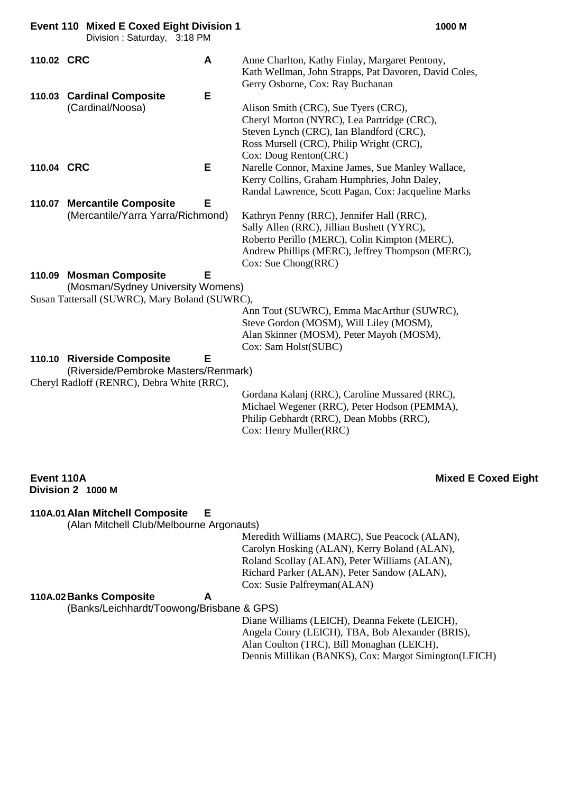**Event 110 Mixed E Coxed Eight Division 1 1000 M**

Division : Saturday, 3:18 PM

| 110.02 CRC | A                                 | Anne Charlton, Kathy Finlay, Margaret Pentony,        |
|------------|-----------------------------------|-------------------------------------------------------|
|            |                                   | Kath Wellman, John Strapps, Pat Davoren, David Coles, |
|            |                                   | Gerry Osborne, Cox: Ray Buchanan                      |
|            | Е<br>110.03 Cardinal Composite    |                                                       |
|            | (Cardinal/Noosa)                  | Alison Smith (CRC), Sue Tyers (CRC),                  |
|            |                                   | Cheryl Morton (NYRC), Lea Partridge (CRC),            |
|            |                                   | Steven Lynch (CRC), Ian Blandford (CRC),              |
|            |                                   | Ross Mursell (CRC), Philip Wright (CRC),              |
|            |                                   | Cox: Doug Renton(CRC)                                 |
| 110.04 CRC | Е.                                | Narelle Connor, Maxine James, Sue Manley Wallace,     |
|            |                                   | Kerry Collins, Graham Humphries, John Daley,          |
|            |                                   | Randal Lawrence, Scott Pagan, Cox: Jacqueline Marks   |
| 110.07     | Е<br><b>Mercantile Composite</b>  |                                                       |
|            | (Mercantile/Yarra Yarra/Richmond) | Kathryn Penny (RRC), Jennifer Hall (RRC),             |
|            |                                   | Sally Allen (RRC), Jillian Bushett (YYRC),            |
|            |                                   | Roberto Perillo (MERC), Colin Kimpton (MERC),         |

Cox: Sue Chong(RRC)

**110.09 Mosman Composite E**

(Mosman/Sydney University Womens) Susan Tattersall (SUWRC), Mary Boland (SUWRC),

> Ann Tout (SUWRC), Emma MacArthur (SUWRC), Steve Gordon (MOSM), Will Liley (MOSM), Alan Skinner (MOSM), Peter Mayoh (MOSM), Cox: Sam Holst(SUBC)

Andrew Phillips (MERC), Jeffrey Thompson (MERC),

#### **110.10 Riverside Composite E** (Riverside/Pembroke Masters/Renmark)

Cheryl Radloff (RENRC), Debra White (RRC),

Gordana Kalanj (RRC), Caroline Mussared (RRC), Michael Wegener (RRC), Peter Hodson (PEMMA), Philip Gebhardt (RRC), Dean Mobbs (RRC), Cox: Henry Muller(RRC)

# **Division 2 1000 M**

### **Event 110A Mixed E Coxed Eight**

**110A.01Alan Mitchell Composite E**

(Alan Mitchell Club/Melbourne Argonauts)

Meredith Williams (MARC), Sue Peacock (ALAN), Carolyn Hosking (ALAN), Kerry Boland (ALAN), Roland Scollay (ALAN), Peter Williams (ALAN), Richard Parker (ALAN), Peter Sandow (ALAN), Cox: Susie Palfreyman(ALAN)

### **110A.02Banks Composite A**

(Banks/Leichhardt/Toowong/Brisbane & GPS)

Diane Williams (LEICH), Deanna Fekete (LEICH), Angela Conry (LEICH), TBA, Bob Alexander (BRIS), Alan Coulton (TRC), Bill Monaghan (LEICH), Dennis Millikan (BANKS), Cox: Margot Simington(LEICH)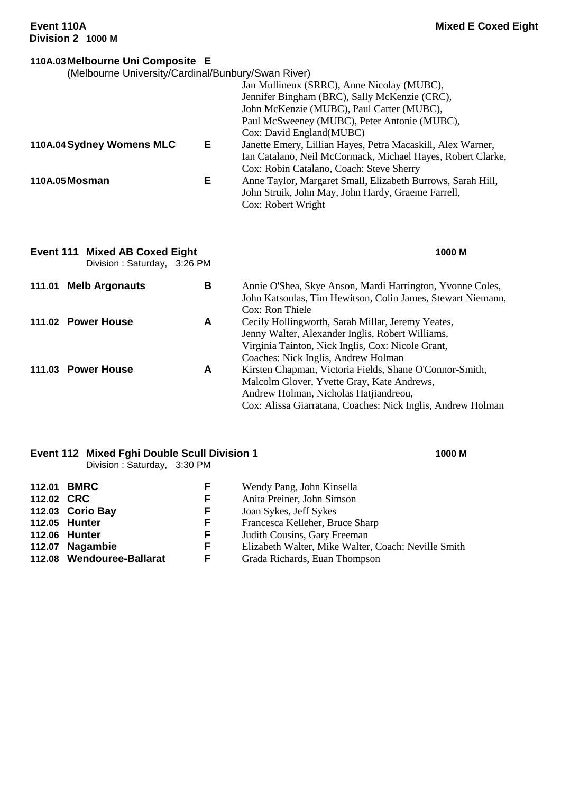| 110A.03 Melbourne Uni Composite E                                    |   |                                                             |
|----------------------------------------------------------------------|---|-------------------------------------------------------------|
| (Melbourne University/Cardinal/Bunbury/Swan River)                   |   |                                                             |
|                                                                      |   | Jan Mullineux (SRRC), Anne Nicolay (MUBC),                  |
|                                                                      |   | Jennifer Bingham (BRC), Sally McKenzie (CRC),               |
|                                                                      |   | John McKenzie (MUBC), Paul Carter (MUBC),                   |
|                                                                      |   | Paul McSweeney (MUBC), Peter Antonie (MUBC),                |
|                                                                      |   | Cox: David England(MUBC)                                    |
| 110A.04 Sydney Womens MLC                                            | Е | Janette Emery, Lillian Hayes, Petra Macaskill, Alex Warner, |
|                                                                      |   | Ian Catalano, Neil McCormack, Michael Hayes, Robert Clarke, |
|                                                                      |   | Cox: Robin Catalano, Coach: Steve Sherry                    |
| 110A.05 Mosman                                                       | Е | Anne Taylor, Margaret Small, Elizabeth Burrows, Sarah Hill, |
|                                                                      |   | John Struik, John May, John Hardy, Graeme Farrell,          |
|                                                                      |   | Cox: Robert Wright                                          |
|                                                                      |   |                                                             |
| <b>Event 111 Mixed AB Coxed Eight</b><br>Division: Saturday, 3:26 PM |   | 1000 M                                                      |
| 111.01 Melb Argonauts                                                | В | Annie O'Shea, Skye Anson, Mardi Harrington, Yvonne Coles,   |
|                                                                      |   | John Katsoulas, Tim Hewitson, Colin James, Stewart Niemann, |
|                                                                      |   | Cox: Ron Thiele                                             |
| 111.02 Power House                                                   | A | Cecily Hollingworth, Sarah Millar, Jeremy Yeates,           |
|                                                                      |   | Jenny Walter, Alexander Inglis, Robert Williams,            |
|                                                                      |   | Virginia Tainton, Nick Inglis, Cox: Nicole Grant,           |
|                                                                      |   | Coaches: Nick Inglis, Andrew Holman                         |
|                                                                      |   |                                                             |

**111.03 Power House A** Kirsten Chapman, Victoria Fields, Shane O'Connor-Smith, Malcolm Glover, Yvette Gray, Kate Andrews, Andrew Holman, Nicholas Hatjiandreou, Cox: Alissa Giarratana, Coaches: Nick Inglis, Andrew Holman

## **Event 112 Mixed Fghi Double Scull Division 1 1000 M**

Division : Saturday, 3:30 PM

#### **112.01 BMRC F** Wendy Pang, John Kinsella<br> **112.02 CRC F** Anita Preiner, John Simson **112.02 CRC F** Anita Preiner, John Simson **112.03 Corio Bay F** Joan Sykes, Jeff Sykes<br> **112.05 Hunter F** Francesca Kelleher. Bru **112.05 Hunter F** Francesca Kelleher, Bruce Sharp **112.06 Hunter F** *Judith Cousins, Gary Freeman*<br>**112.07 Nagambie F** *Elizabeth Walter, Mike Walter* **112.07 Nagambie F** Elizabeth Walter, Mike Walter, Coach: Neville Smith **112.08 Wendouree-Ballarat F** Grada Richards. Euan Thompson **112.08 Grada Richards, Euan Thompson**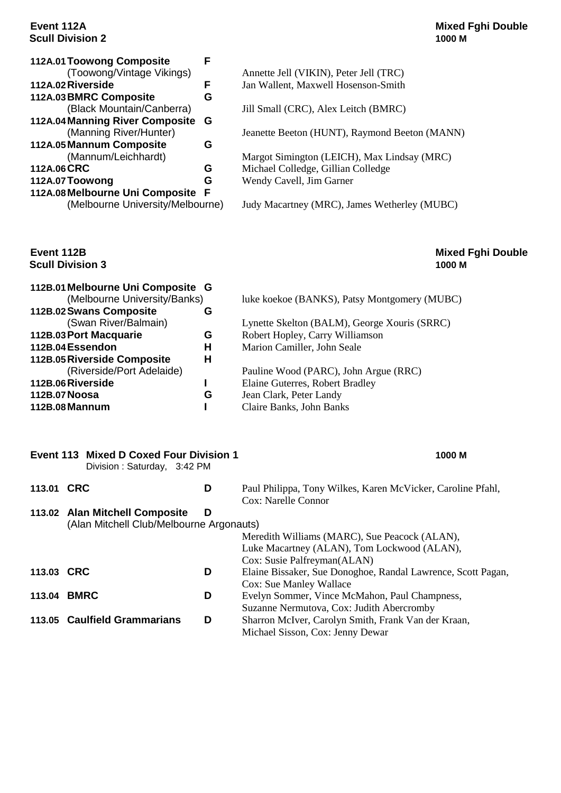# **Scull Division 2**

**Scull Division 3** 

| 112A.01 Toowong Composite        |   |                                        |
|----------------------------------|---|----------------------------------------|
| (Toowong/Vintage Vikings)        |   | Annette Jell (VIKIN), Peter Jell (TRC) |
| 112A.02 Riverside                | F | Jan Wallent, Maxwell Hosenson-Smith    |
| 112A.03 BMRC Composite           | G |                                        |
| (Black Mountain/Canberra)        |   | Jill Small (CRC), Alex Leitch (BMRC)   |
| 112A.04 Manning River Composite  | G |                                        |
| (Manning River/Hunter)           |   | Jeanette Beeton (HUNT), Raymond Be     |
| 112A.05 Mannum Composite         | G |                                        |
| (Mannum/Leichhardt)              |   | Margot Simington (LEICH), Max Lind     |
| 112A.06 CRC                      | G | Michael Colledge, Gillian Colledge     |
| 112A.07 Toowong                  | G | Wendy Cavell, Jim Garner               |
| 112A.08 Melbourne Uni Composite  | F |                                        |
| (Melbourne University/Melbourne) |   | Judy Macartney (MRC), James Wether     |
|                                  |   |                                        |

# **Event 112A Mixed Fghi Double**

| <b>Toowong Composite</b>       | F |                                               |
|--------------------------------|---|-----------------------------------------------|
| (Toowong/Vintage Vikings)      |   | Annette Jell (VIKIN), Peter Jell (TRC)        |
| <b>Riverside</b>               | F | Jan Wallent, Maxwell Hosenson-Smith           |
| <b>BMRC Composite</b>          | G |                                               |
| (Black Mountain/Canberra)      |   | Jill Small (CRC), Alex Leitch (BMRC)          |
| <b>Manning River Composite</b> | G |                                               |
| (Manning River/Hunter)         |   | Jeanette Beeton (HUNT), Raymond Beeton (MANN) |
| <b>Mannum Composite</b>        | G |                                               |
| (Mannum/Leichhardt)            |   | Margot Simington (LEICH), Max Lindsay (MRC)   |
| CRC                            | G | Michael Colledge, Gillian Colledge            |
| Toowong                        | G | Wendy Cavell, Jim Garner                      |
| <b>Melbourne Uni Composite</b> | F |                                               |

Judy Macartney (MRC), James Wetherley (MUBC)

# **Event 112B Mixed Fghi Double**

| 112B.01 Melbourne Uni Composite G<br>(Melbourne University/Banks) |   | luke koekoe (BANKS), Patsy Montgomery (MUBC) |
|-------------------------------------------------------------------|---|----------------------------------------------|
| 112B.02 Swans Composite                                           | G |                                              |
| (Swan River/Balmain)                                              |   | Lynette Skelton (BALM), George Xouris (SRRC) |
| 112B.03 Port Macquarie                                            | G | Robert Hopley, Carry Williamson              |
| 112B.04 Essendon                                                  | н | Marion Camiller, John Seale                  |
| 112B.05 Riverside Composite<br>H                                  |   |                                              |
| (Riverside/Port Adelaide)                                         |   | Pauline Wood (PARC), John Argue (RRC)        |
| 112B.06 Riverside                                                 |   | Elaine Guterres, Robert Bradley              |
| 112B.07 Noosa                                                     | G | Jean Clark, Peter Landy                      |
| 112B.08 Mannum                                                    |   | Claire Banks, John Banks                     |

|            | <b>Event 113 Mixed D Coxed Four Division 1</b><br>Division: Saturday, 3:42 PM |   | 1000 M                                                                             |
|------------|-------------------------------------------------------------------------------|---|------------------------------------------------------------------------------------|
| 113.01 CRC |                                                                               | D | Paul Philippa, Tony Wilkes, Karen McVicker, Caroline Pfahl,<br>Cox: Narelle Connor |
|            | 113.02 Alan Mitchell Composite                                                | D |                                                                                    |
|            | (Alan Mitchell Club/Melbourne Argonauts)                                      |   |                                                                                    |
|            |                                                                               |   | Meredith Williams (MARC), Sue Peacock (ALAN),                                      |
|            |                                                                               |   | Luke Macartney (ALAN), Tom Lockwood (ALAN),                                        |
|            |                                                                               |   | Cox: Susie Palfreyman(ALAN)                                                        |
| 113.03 CRC |                                                                               | D | Elaine Bissaker, Sue Donoghoe, Randal Lawrence, Scott Pagan,                       |
|            |                                                                               |   | <b>Cox:</b> Sue Manley Wallace                                                     |
| 113.04     | <b>BMRC</b>                                                                   | D | Evelyn Sommer, Vince McMahon, Paul Champness,                                      |
|            |                                                                               |   | Suzanne Nermutova, Cox: Judith Abercromby                                          |
|            | 113.05 Caulfield Grammarians                                                  | D | Sharron McIver, Carolyn Smith, Frank Van der Kraan,                                |

Michael Sisson, Cox: Jenny Dewar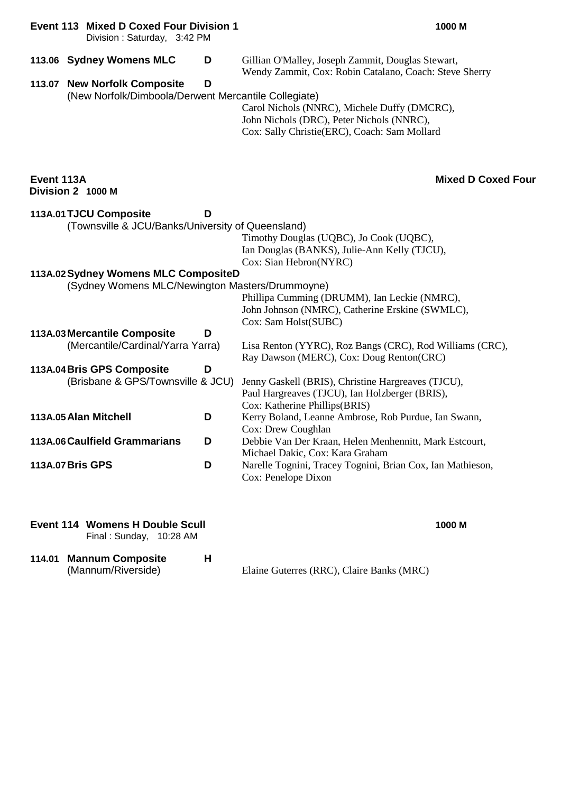### **Event 113 Mixed D Coxed Four Division 1 1000 M**

Division : Saturday, 3:42 PM

|            | 113.06 Sydney Womens MLC                                                                                                                                               | D | Gillian O'Malley, Joseph Zammit, Douglas Stewart,<br>Wendy Zammit, Cox: Robin Catalano, Coach: Steve Sherry                                                                                                                                  |
|------------|------------------------------------------------------------------------------------------------------------------------------------------------------------------------|---|----------------------------------------------------------------------------------------------------------------------------------------------------------------------------------------------------------------------------------------------|
|            | 113.07 New Norfolk Composite<br>(New Norfolk/Dimboola/Derwent Mercantile Collegiate)                                                                                   | D | Carol Nichols (NNRC), Michele Duffy (DMCRC),<br>John Nichols (DRC), Peter Nichols (NNRC),<br>Cox: Sally Christie(ERC), Coach: Sam Mollard                                                                                                    |
| Event 113A | Division 2 1000 M                                                                                                                                                      |   | <b>Mixed D Coxed Four</b>                                                                                                                                                                                                                    |
|            | 113A.01 TJCU Composite<br>(Townsville & JCU/Banks/University of Queensland)<br>113A.02 Sydney Womens MLC CompositeD<br>(Sydney Womens MLC/Newington Masters/Drummoyne) | D | Timothy Douglas (UQBC), Jo Cook (UQBC),<br>Ian Douglas (BANKS), Julie-Ann Kelly (TJCU),<br>Cox: Sian Hebron(NYRC)<br>Phillipa Cumming (DRUMM), Ian Leckie (NMRC),<br>John Johnson (NMRC), Catherine Erskine (SWMLC),<br>Cox: Sam Holst(SUBC) |
|            | 113A.03 Mercantile Composite<br>(Mercantile/Cardinal/Yarra Yarra)                                                                                                      | D | Lisa Renton (YYRC), Roz Bangs (CRC), Rod Williams (CRC),<br>Ray Dawson (MERC), Cox: Doug Renton(CRC)                                                                                                                                         |
|            | 113A.04 Bris GPS Composite<br>(Brisbane & GPS/Townsville & JCU)                                                                                                        | D | Jenny Gaskell (BRIS), Christine Hargreaves (TJCU),<br>Paul Hargreaves (TJCU), Ian Holzberger (BRIS),<br>Cox: Katherine Phillips(BRIS)                                                                                                        |
|            | 113A.05 Alan Mitchell                                                                                                                                                  | D | Kerry Boland, Leanne Ambrose, Rob Purdue, Ian Swann,<br>Cox: Drew Coughlan                                                                                                                                                                   |
|            | 113A.06 Caulfield Grammarians                                                                                                                                          | D | Debbie Van Der Kraan, Helen Menhennitt, Mark Estcourt,<br>Michael Dakic, Cox: Kara Graham                                                                                                                                                    |
|            | 113A.07 Bris GPS                                                                                                                                                       | D | Narelle Tognini, Tracey Tognini, Brian Cox, Ian Mathieson,<br>Cox: Penelope Dixon                                                                                                                                                            |

| <b>Event 114 Womens H Double Scull</b><br>Final: Sunday, 10:28 AM | 1000 M                                    |
|-------------------------------------------------------------------|-------------------------------------------|
| 114.01 Mannum Composite<br>н<br>(Mannum/Riverside)                | Elaine Guterres (RRC), Claire Banks (MRC) |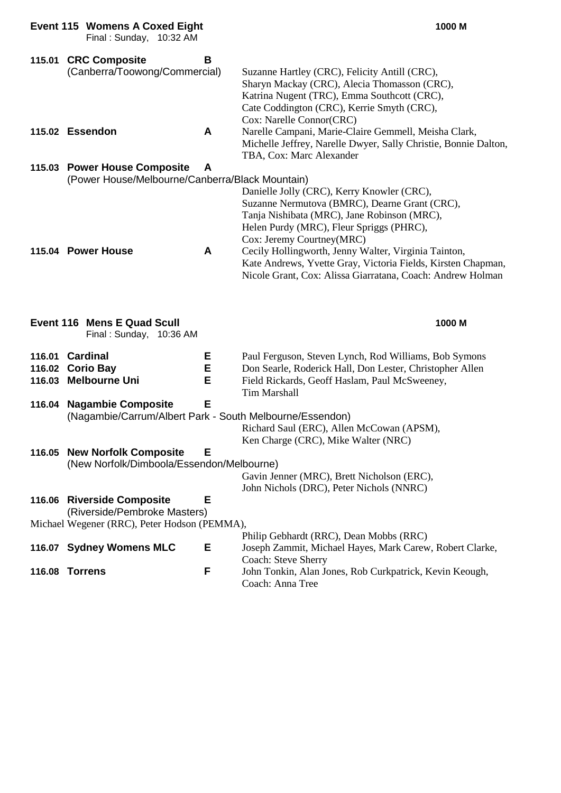|                            | <b>Event 115 Womens A Coxed Eight</b><br>Final: Sunday, 10:32 AM                                           |             | 1000 M                                                                                                                                                                                                                 |
|----------------------------|------------------------------------------------------------------------------------------------------------|-------------|------------------------------------------------------------------------------------------------------------------------------------------------------------------------------------------------------------------------|
|                            | 115.01 CRC Composite<br>(Canberra/Toowong/Commercial)                                                      | B           | Suzanne Hartley (CRC), Felicity Antill (CRC),<br>Sharyn Mackay (CRC), Alecia Thomasson (CRC),<br>Katrina Nugent (TRC), Emma Southcott (CRC),<br>Cate Coddington (CRC), Kerrie Smyth (CRC),<br>Cox: Narelle Connor(CRC) |
|                            | 115.02 Essendon                                                                                            | A           | Narelle Campani, Marie-Claire Gemmell, Meisha Clark,<br>Michelle Jeffrey, Narelle Dwyer, Sally Christie, Bonnie Dalton,<br>TBA, Cox: Marc Alexander                                                                    |
|                            | 115.03 Power House Composite<br>(Power House/Melbourne/Canberra/Black Mountain)                            | A           | Danielle Jolly (CRC), Kerry Knowler (CRC),<br>Suzanne Nermutova (BMRC), Dearne Grant (CRC),<br>Tanja Nishibata (MRC), Jane Robinson (MRC),<br>Helen Purdy (MRC), Fleur Spriggs (PHRC),<br>Cox: Jeremy Courtney(MRC)    |
|                            | 115.04 Power House                                                                                         | A           | Cecily Hollingworth, Jenny Walter, Virginia Tainton,<br>Kate Andrews, Yvette Gray, Victoria Fields, Kirsten Chapman,<br>Nicole Grant, Cox: Alissa Giarratana, Coach: Andrew Holman                                     |
|                            |                                                                                                            |             |                                                                                                                                                                                                                        |
|                            | Event 116 Mens E Quad Scull<br>Final: Sunday, 10:36 AM                                                     |             | 1000 M                                                                                                                                                                                                                 |
| 116.01<br>116.02<br>116.03 | <b>Cardinal</b><br><b>Corio Bay</b><br><b>Melbourne Uni</b>                                                | Е<br>E<br>E | Paul Ferguson, Steven Lynch, Rod Williams, Bob Symons<br>Don Searle, Roderick Hall, Don Lester, Christopher Allen<br>Field Rickards, Geoff Haslam, Paul McSweeney,                                                     |
|                            | 116.04 Nagambie Composite<br>(Nagambie/Carrum/Albert Park - South Melbourne/Essendon)                      | E           | <b>Tim Marshall</b><br>Richard Saul (ERC), Allen McCowan (APSM),                                                                                                                                                       |
|                            | 116.05 New Norfolk Composite<br>(New Norfolk/Dimboola/Essendon/Melbourne)                                  | Е           | Ken Charge (CRC), Mike Walter (NRC)<br>Gavin Jenner (MRC), Brett Nicholson (ERC),                                                                                                                                      |
|                            | 116.06 Riverside Composite<br>(Riverside/Pembroke Masters)<br>Michael Wegener (RRC), Peter Hodson (PEMMA), | Е           | John Nichols (DRC), Peter Nichols (NNRC)                                                                                                                                                                               |
|                            | 116.07 Sydney Womens MLC<br>116.08 Torrens                                                                 | Е<br>F      | Philip Gebhardt (RRC), Dean Mobbs (RRC)<br>Joseph Zammit, Michael Hayes, Mark Carew, Robert Clarke,<br>Coach: Steve Sherry<br>John Tonkin, Alan Jones, Rob Curkpatrick, Kevin Keough,                                  |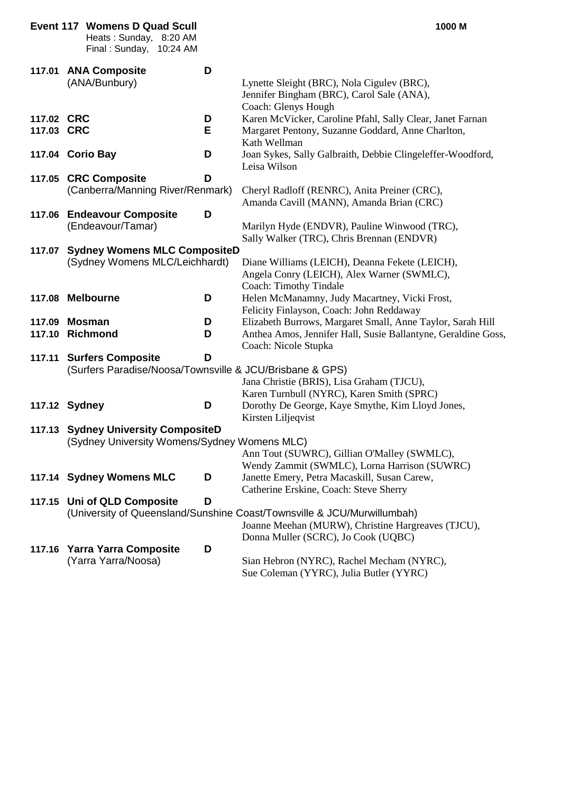|                          | <b>Event 117 Womens D Quad Scull</b><br>Heats: Sunday, 8:20 AM<br>Final: Sunday, 10:24 AM |        | 1000 M                                                                                                                                                               |
|--------------------------|-------------------------------------------------------------------------------------------|--------|----------------------------------------------------------------------------------------------------------------------------------------------------------------------|
| 117.01                   | <b>ANA Composite</b><br>(ANA/Bunbury)                                                     | D      | Lynette Sleight (BRC), Nola Cigulev (BRC),<br>Jennifer Bingham (BRC), Carol Sale (ANA),<br>Coach: Glenys Hough                                                       |
| 117.02 CRC<br>117.03 CRC |                                                                                           | D<br>Е | Karen McVicker, Caroline Pfahl, Sally Clear, Janet Farnan<br>Margaret Pentony, Suzanne Goddard, Anne Charlton,<br>Kath Wellman                                       |
|                          | 117.04 Corio Bay                                                                          | D      | Joan Sykes, Sally Galbraith, Debbie Clingeleffer-Woodford,<br>Leisa Wilson                                                                                           |
|                          | 117.05 CRC Composite<br>(Canberra/Manning River/Renmark)                                  | D      | Cheryl Radloff (RENRC), Anita Preiner (CRC),<br>Amanda Cavill (MANN), Amanda Brian (CRC)                                                                             |
| 117.06                   | <b>Endeavour Composite</b><br>(Endeavour/Tamar)                                           | D      | Marilyn Hyde (ENDVR), Pauline Winwood (TRC),<br>Sally Walker (TRC), Chris Brennan (ENDVR)                                                                            |
| 117.07                   | <b>Sydney Womens MLC CompositeD</b><br>(Sydney Womens MLC/Leichhardt)                     |        | Diane Williams (LEICH), Deanna Fekete (LEICH),<br>Angela Conry (LEICH), Alex Warner (SWMLC),<br>Coach: Timothy Tindale                                               |
|                          | 117.08 Melbourne                                                                          | D      | Helen McManamny, Judy Macartney, Vicki Frost,<br>Felicity Finlayson, Coach: John Reddaway                                                                            |
| 117.09<br>117.10         | Mosman<br><b>Richmond</b>                                                                 | D<br>D | Elizabeth Burrows, Margaret Small, Anne Taylor, Sarah Hill<br>Anthea Amos, Jennifer Hall, Susie Ballantyne, Geraldine Goss,<br>Coach: Nicole Stupka                  |
|                          | 117.11 Surfers Composite<br>(Surfers Paradise/Noosa/Townsville & JCU/Brisbane & GPS)      | D      | Jana Christie (BRIS), Lisa Graham (TJCU),<br>Karen Turnbull (NYRC), Karen Smith (SPRC)                                                                               |
|                          | 117.12 Sydney                                                                             | D      | Dorothy De George, Kaye Smythe, Kim Lloyd Jones,<br>Kirsten Liljeqvist                                                                                               |
|                          | 117.13 Sydney University CompositeD<br>(Sydney University Womens/Sydney Womens MLC)       |        | Ann Tout (SUWRC), Gillian O'Malley (SWMLC),<br>Wendy Zammit (SWMLC), Lorna Harrison (SUWRC)                                                                          |
|                          | 117.14 Sydney Womens MLC                                                                  | D      | Janette Emery, Petra Macaskill, Susan Carew,<br>Catherine Erskine, Coach: Steve Sherry                                                                               |
|                          | 117.15 Uni of QLD Composite                                                               | D      | (University of Queensland/Sunshine Coast/Townsville & JCU/Murwillumbah)<br>Joanne Meehan (MURW), Christine Hargreaves (TJCU),<br>Donna Muller (SCRC), Jo Cook (UQBC) |
| 117.16                   | <b>Yarra Yarra Composite</b><br>(Yarra Yarra/Noosa)                                       | D      | Sian Hebron (NYRC), Rachel Mecham (NYRC),<br>Sue Coleman (YYRC), Julia Butler (YYRC)                                                                                 |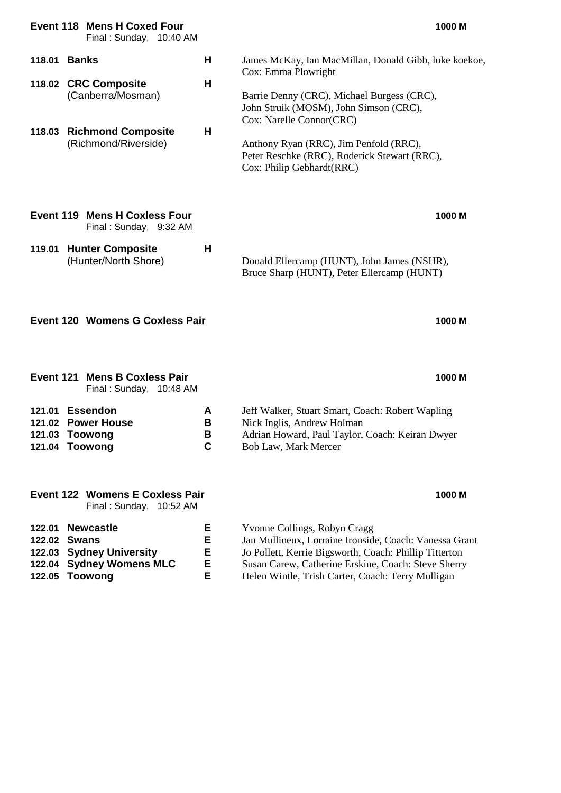|                                                | <b>Event 118 Mens H Coxed Four</b><br>Final: Sunday, 10:40 AM                                                     |                       |                                                                                                                                                                                                                                                                                                                         | 1000 M |
|------------------------------------------------|-------------------------------------------------------------------------------------------------------------------|-----------------------|-------------------------------------------------------------------------------------------------------------------------------------------------------------------------------------------------------------------------------------------------------------------------------------------------------------------------|--------|
| 118.01                                         | Banks<br>118.02 CRC Composite<br>(Canberra/Mosman)<br>118.03 Richmond Composite<br>(Richmond/Riverside)           | н<br>н<br>н           | James McKay, Ian MacMillan, Donald Gibb, luke koekoe,<br>Cox: Emma Plowright<br>Barrie Denny (CRC), Michael Burgess (CRC),<br>John Struik (MOSM), John Simson (CRC),<br>Cox: Narelle Connor(CRC)<br>Anthony Ryan (RRC), Jim Penfold (RRC),<br>Peter Reschke (RRC), Roderick Stewart (RRC),<br>Cox: Philip Gebhardt(RRC) |        |
| 119.01                                         | <b>Event 119 Mens H Coxless Four</b><br>Final: Sunday, 9:32 AM<br><b>Hunter Composite</b><br>(Hunter/North Shore) | Н                     | Donald Ellercamp (HUNT), John James (NSHR),<br>Bruce Sharp (HUNT), Peter Ellercamp (HUNT)                                                                                                                                                                                                                               | 1000 M |
|                                                | <b>Event 120 Womens G Coxless Pair</b>                                                                            |                       |                                                                                                                                                                                                                                                                                                                         | 1000 M |
|                                                | <b>Event 121 Mens B Coxless Pair</b><br>Final: Sunday, 10:48 AM                                                   |                       |                                                                                                                                                                                                                                                                                                                         | 1000 M |
| 121.01<br>121.02<br>121.03                     | <b>Essendon</b><br><b>Power House</b><br>Toowong<br>121.04 Toowong                                                | A<br>В<br>В<br>C      | Jeff Walker, Stuart Smart, Coach: Robert Wapling<br>Nick Inglis, Andrew Holman<br>Adrian Howard, Paul Taylor, Coach: Keiran Dwyer<br>Bob Law, Mark Mercer                                                                                                                                                               |        |
|                                                | <b>Event 122 Womens E Coxless Pair</b><br>Final: Sunday, 10:52 AM                                                 |                       |                                                                                                                                                                                                                                                                                                                         | 1000 M |
| 122.01<br>122.02<br>122.03<br>122.04<br>122.05 | <b>Newcastle</b><br><b>Swans</b><br><b>Sydney University</b><br><b>Sydney Womens MLC</b><br><b>Toowong</b>        | Ε<br>E<br>E<br>E<br>E | Yvonne Collings, Robyn Cragg<br>Jan Mullineux, Lorraine Ironside, Coach: Vanessa Grant<br>Jo Pollett, Kerrie Bigsworth, Coach: Phillip Titterton<br>Susan Carew, Catherine Erskine, Coach: Steve Sherry<br>Helen Wintle, Trish Carter, Coach: Terry Mulligan                                                            |        |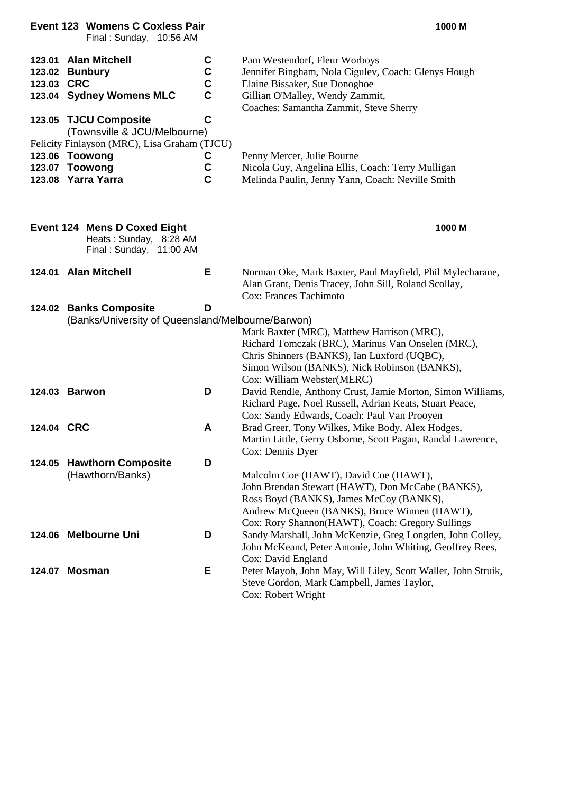|            | <b>Event 123 Womens C Coxless Pair</b><br>Final: Sunday, 10:56 AM                                                                      |                                                  | 1000 M                                                                                                                                                                                                                                   |
|------------|----------------------------------------------------------------------------------------------------------------------------------------|--------------------------------------------------|------------------------------------------------------------------------------------------------------------------------------------------------------------------------------------------------------------------------------------------|
| 123.03 CRC | 123.01 Alan Mitchell<br>123.02 Bunbury<br>123.04 Sydney Womens MLC<br>123.05 TJCU Composite                                            | C<br>$\frac{c}{c}$<br>$\mathbf c$<br>$\mathbf c$ | Pam Westendorf, Fleur Worboys<br>Jennifer Bingham, Nola Cigulev, Coach: Glenys Hough<br>Elaine Bissaker, Sue Donoghoe<br>Gillian O'Malley, Wendy Zammit,<br>Coaches: Samantha Zammit, Steve Sherry                                       |
|            | (Townsville & JCU/Melbourne)<br>Felicity Finlayson (MRC), Lisa Graham (TJCU)<br>123.06 Toowong<br>123.07 Toowong<br>123.08 Yarra Yarra | C<br>$\mathbf C$<br>$\mathbf c$                  | Penny Mercer, Julie Bourne<br>Nicola Guy, Angelina Ellis, Coach: Terry Mulligan<br>Melinda Paulin, Jenny Yann, Coach: Neville Smith                                                                                                      |
|            | <b>Event 124 Mens D Coxed Eight</b><br>Heats: Sunday, 8:28 AM<br>Final: Sunday, 11:00 AM                                               |                                                  | 1000 M                                                                                                                                                                                                                                   |
|            | 124.01 Alan Mitchell                                                                                                                   | Е                                                | Norman Oke, Mark Baxter, Paul Mayfield, Phil Mylecharane,<br>Alan Grant, Denis Tracey, John Sill, Roland Scollay,<br><b>Cox: Frances Tachimoto</b>                                                                                       |
|            | 124.02 Banks Composite<br>(Banks/University of Queensland/Melbourne/Barwon)                                                            | D                                                | Mark Baxter (MRC), Matthew Harrison (MRC),<br>Richard Tomczak (BRC), Marinus Van Onselen (MRC),<br>Chris Shinners (BANKS), Ian Luxford (UQBC),<br>Simon Wilson (BANKS), Nick Robinson (BANKS),<br>Cox: William Webster(MERC)             |
|            | 124.03 Barwon                                                                                                                          | D                                                | David Rendle, Anthony Crust, Jamie Morton, Simon Williams,<br>Richard Page, Noel Russell, Adrian Keats, Stuart Peace,<br>Cox: Sandy Edwards, Coach: Paul Van Prooyen                                                                     |
| 124.04 CRC |                                                                                                                                        | A                                                | Brad Greer, Tony Wilkes, Mike Body, Alex Hodges,<br>Martin Little, Gerry Osborne, Scott Pagan, Randal Lawrence,<br>Cox: Dennis Dyer                                                                                                      |
|            | 124.05 Hawthorn Composite<br>(Hawthorn/Banks)                                                                                          | D                                                | Malcolm Coe (HAWT), David Coe (HAWT),<br>John Brendan Stewart (HAWT), Don McCabe (BANKS),<br>Ross Boyd (BANKS), James McCoy (BANKS),<br>Andrew McQueen (BANKS), Bruce Winnen (HAWT),<br>Cox: Rory Shannon(HAWT), Coach: Gregory Sullings |
|            | 124.06 Melbourne Uni                                                                                                                   | D                                                | Sandy Marshall, John McKenzie, Greg Longden, John Colley,<br>John McKeand, Peter Antonie, John Whiting, Geoffrey Rees,<br>Cox: David England                                                                                             |
| 124.07     | <b>Mosman</b>                                                                                                                          | Е                                                | Peter Mayoh, John May, Will Liley, Scott Waller, John Struik,<br>Steve Gordon, Mark Campbell, James Taylor,<br>Cox: Robert Wright                                                                                                        |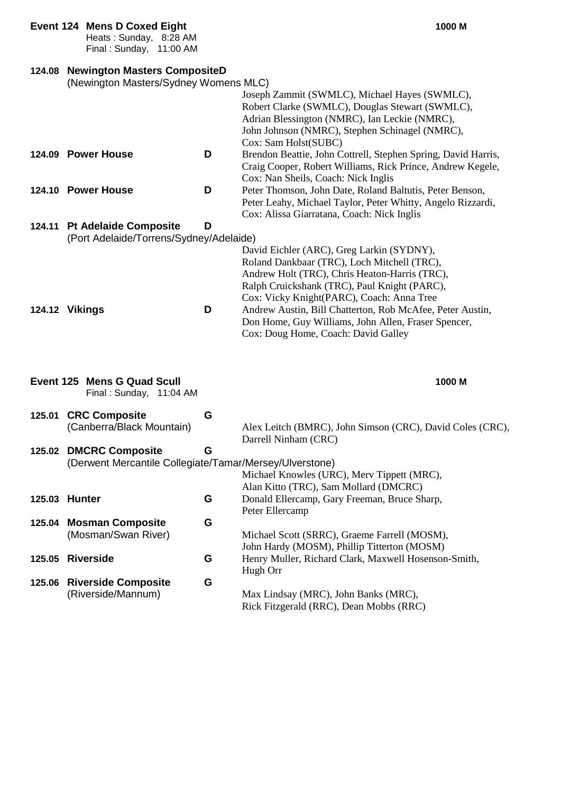#### **Event 124 Mens D Coxed Eight 1000 M**

## **124.08 Newington Masters CompositeD**

|        | 124.08 Newington Masters CompositeD                     |   |                                                               |
|--------|---------------------------------------------------------|---|---------------------------------------------------------------|
|        | (Newington Masters/Sydney Womens MLC)                   |   |                                                               |
|        |                                                         |   | Joseph Zammit (SWMLC), Michael Hayes (SWMLC),                 |
|        |                                                         |   | Robert Clarke (SWMLC), Douglas Stewart (SWMLC),               |
|        |                                                         |   | Adrian Blessington (NMRC), Ian Leckie (NMRC),                 |
|        |                                                         |   | John Johnson (NMRC), Stephen Schinagel (NMRC),                |
|        |                                                         |   |                                                               |
|        |                                                         |   | Cox: Sam Holst(SUBC)                                          |
|        | 124.09 Power House                                      | D | Brendon Beattie, John Cottrell, Stephen Spring, David Harris, |
|        |                                                         |   | Craig Cooper, Robert Williams, Rick Prince, Andrew Kegele,    |
|        |                                                         |   | Cox: Nan Sheils, Coach: Nick Inglis                           |
|        | 124.10 Power House                                      | D | Peter Thomson, John Date, Roland Baltutis, Peter Benson,      |
|        |                                                         |   | Peter Leahy, Michael Taylor, Peter Whitty, Angelo Rizzardi,   |
|        |                                                         |   | Cox: Alissa Giarratana, Coach: Nick Inglis                    |
|        | 124.11 Pt Adelaide Composite                            | D |                                                               |
|        | (Port Adelaide/Torrens/Sydney/Adelaide)                 |   |                                                               |
|        |                                                         |   | David Eichler (ARC), Greg Larkin (SYDNY),                     |
|        |                                                         |   | Roland Dankbaar (TRC), Loch Mitchell (TRC),                   |
|        |                                                         |   | Andrew Holt (TRC), Chris Heaton-Harris (TRC),                 |
|        |                                                         |   | Ralph Cruickshank (TRC), Paul Knight (PARC),                  |
|        |                                                         |   | Cox: Vicky Knight(PARC), Coach: Anna Tree                     |
|        | 124.12 Vikings                                          | D | Andrew Austin, Bill Chatterton, Rob McAfee, Peter Austin,     |
|        |                                                         |   |                                                               |
|        |                                                         |   | Don Home, Guy Williams, John Allen, Fraser Spencer,           |
|        |                                                         |   | Cox: Doug Home, Coach: David Galley                           |
|        |                                                         |   |                                                               |
|        |                                                         |   |                                                               |
|        |                                                         |   |                                                               |
|        | Event 125 Mens G Quad Scull                             |   | 1000 M                                                        |
|        | Final: Sunday, 11:04 AM                                 |   |                                                               |
| 125.01 | <b>CRC Composite</b>                                    | G |                                                               |
|        |                                                         |   |                                                               |
|        | (Canberra/Black Mountain)                               |   | Alex Leitch (BMRC), John Simson (CRC), David Coles (CRC),     |
|        |                                                         |   | Darrell Ninham (CRC)                                          |
| 125.02 | <b>DMCRC Composite</b>                                  | G |                                                               |
|        | (Derwent Mercantile Collegiate/Tamar/Mersey/Ulverstone) |   |                                                               |
|        |                                                         |   | Michael Knowles (URC), Merv Tippett (MRC),                    |
|        |                                                         |   | Alan Kitto (TRC), Sam Mollard (DMCRC)                         |
|        | 125.03 Hunter                                           | G | Donald Ellercamp, Gary Freeman, Bruce Sharp,                  |
|        |                                                         |   | Peter Ellercamp                                               |
| 125.04 | <b>Mosman Composite</b>                                 | G |                                                               |
|        | (Mosman/Swan River)                                     |   | Michael Scott (SRRC), Graeme Farrell (MOSM),                  |
|        |                                                         |   | John Hardy (MOSM), Phillip Titterton (MOSM)                   |
| 125.05 | <b>Riverside</b>                                        | G | Henry Muller, Richard Clark, Maxwell Hosenson-Smith,          |
|        |                                                         |   | Hugh Orr                                                      |
| 125.06 | <b>Riverside Composite</b>                              | G |                                                               |
|        |                                                         |   |                                                               |
|        | (Riverside/Mannum)                                      |   | Max Lindsay (MRC), John Banks (MRC),                          |
|        |                                                         |   | Rick Fitzgerald (RRC), Dean Mobbs (RRC)                       |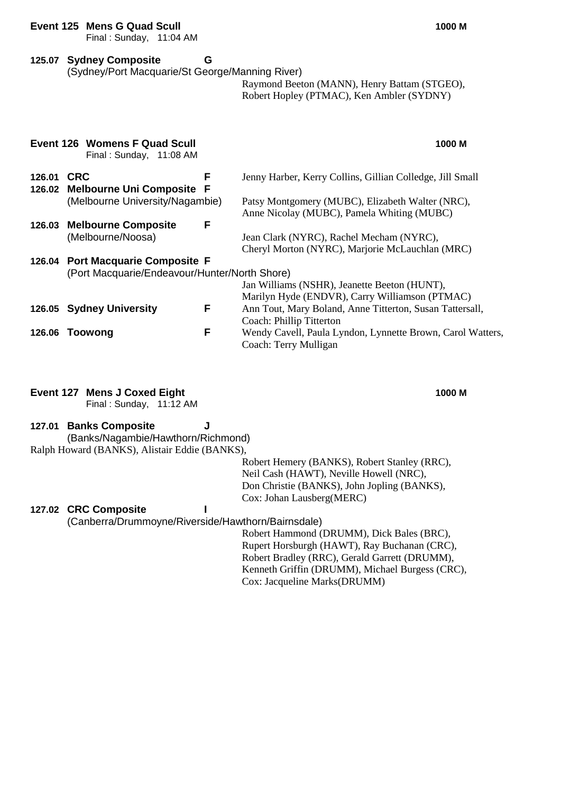#### **Event 125 Mens G Quad Scull 1000 M**

Final : Sunday, 11:04 AM

### **125.07 Sydney Composite G**

(Sydney/Port Macquarie/St George/Manning River)

Raymond Beeton (MANN), Henry Battam (STGEO), Robert Hopley (PTMAC), Ken Ambler (SYDNY)

|        | Event 126 Womens F Quad Scull<br>Final: Sunday, 11:08 AM                           |   | 1000 M                                                                                         |
|--------|------------------------------------------------------------------------------------|---|------------------------------------------------------------------------------------------------|
| 126.01 | <b>CRC</b><br>126.02 Melbourne Uni Composite F                                     | F | Jenny Harber, Kerry Collins, Gillian Colledge, Jill Small                                      |
|        | (Melbourne University/Nagambie)                                                    |   | Patsy Montgomery (MUBC), Elizabeth Walter (NRC),<br>Anne Nicolay (MUBC), Pamela Whiting (MUBC) |
| 126.03 | <b>Melbourne Composite</b><br>(Melbourne/Noosa)                                    | F | Jean Clark (NYRC), Rachel Mecham (NYRC),<br>Cheryl Morton (NYRC), Marjorie McLauchlan (MRC)    |
|        | 126.04 Port Macquarie Composite F<br>(Port Macquarie/Endeavour/Hunter/North Shore) |   | Jan Williams (NSHR), Jeanette Beeton (HUNT),<br>Marilyn Hyde (ENDVR), Carry Williamson (PTMAC) |
|        | 126.05 Sydney University                                                           | F | Ann Tout, Mary Boland, Anne Titterton, Susan Tattersall,<br>Coach: Phillip Titterton           |
| 126.06 | Toowong                                                                            | F | Wendy Cavell, Paula Lyndon, Lynnette Brown, Carol Watters,<br>Coach: Terry Mulligan            |

### **Event 127 Mens J Coxed Eight 1000 M**

Final : Sunday, 11:12 AM

#### **127.01 Banks Composite J** (Banks/Nagambie/Hawthorn/Richmond) Ralph Howard (BANKS), Alistair Eddie (BANKS),

Robert Hemery (BANKS), Robert Stanley (RRC), Neil Cash (HAWT), Neville Howell (NRC), Don Christie (BANKS), John Jopling (BANKS), Cox: Johan Lausberg(MERC)

### **127.02 CRC Composite I**

(Canberra/Drummoyne/Riverside/Hawthorn/Bairnsdale)

Robert Hammond (DRUMM), Dick Bales (BRC), Rupert Horsburgh (HAWT), Ray Buchanan (CRC), Robert Bradley (RRC), Gerald Garrett (DRUMM), Kenneth Griffin (DRUMM), Michael Burgess (CRC), Cox: Jacqueline Marks(DRUMM)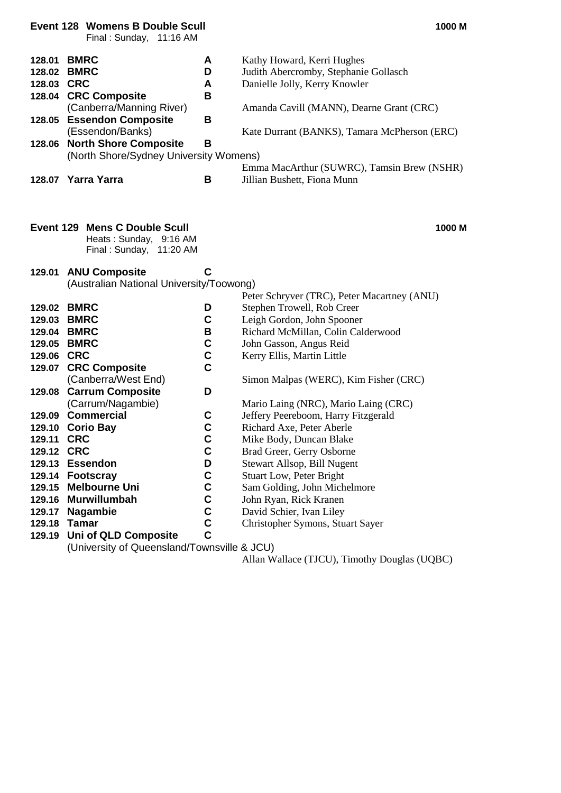|                                          | <b>Event 128 Womens B Double Scull</b><br>Final: Sunday, 11:16 AM                                                                                                                                                               |                                 | 1000 M                                                                                                                                                                                                                                                                        |
|------------------------------------------|---------------------------------------------------------------------------------------------------------------------------------------------------------------------------------------------------------------------------------|---------------------------------|-------------------------------------------------------------------------------------------------------------------------------------------------------------------------------------------------------------------------------------------------------------------------------|
| 128.01<br>128.03 CRC<br>128.05<br>128.06 | <b>BMRC</b><br>128.02 BMRC<br>128.04 CRC Composite<br>(Canberra/Manning River)<br><b>Essendon Composite</b><br>(Essendon/Banks)<br><b>North Shore Composite</b><br>(North Shore/Sydney University Womens)<br>128.07 Yarra Yarra | A<br>D<br>A<br>В<br>B<br>B<br>B | Kathy Howard, Kerri Hughes<br>Judith Abercromby, Stephanie Gollasch<br>Danielle Jolly, Kerry Knowler<br>Amanda Cavill (MANN), Dearne Grant (CRC)<br>Kate Durrant (BANKS), Tamara McPherson (ERC)<br>Emma MacArthur (SUWRC), Tamsin Brew (NSHR)<br>Jillian Bushett, Fiona Munn |
|                                          |                                                                                                                                                                                                                                 |                                 |                                                                                                                                                                                                                                                                               |
|                                          | <b>Event 129 Mens C Double Scull</b><br>Heats: Sunday, 9:16 AM<br>Final: Sunday, 11:20 AM                                                                                                                                       |                                 | 1000 M                                                                                                                                                                                                                                                                        |
| 129.01                                   | <b>ANU Composite</b>                                                                                                                                                                                                            | C                               |                                                                                                                                                                                                                                                                               |
|                                          | (Australian National University/Toowong)                                                                                                                                                                                        |                                 |                                                                                                                                                                                                                                                                               |
|                                          | 129.02 BMRC                                                                                                                                                                                                                     | D                               | Peter Schryver (TRC), Peter Macartney (ANU)<br>Stephen Trowell, Rob Creer                                                                                                                                                                                                     |
|                                          | 129.03 BMRC                                                                                                                                                                                                                     | C                               | Leigh Gordon, John Spooner                                                                                                                                                                                                                                                    |
|                                          | 129.04 BMRC                                                                                                                                                                                                                     | В                               | Richard McMillan, Colin Calderwood                                                                                                                                                                                                                                            |
|                                          | 129.05 BMRC                                                                                                                                                                                                                     | C                               | John Gasson, Angus Reid                                                                                                                                                                                                                                                       |
| 129.06 CRC                               |                                                                                                                                                                                                                                 | C                               | Kerry Ellis, Martin Little                                                                                                                                                                                                                                                    |
|                                          | 129.07 CRC Composite                                                                                                                                                                                                            | $\mathbf c$                     |                                                                                                                                                                                                                                                                               |
|                                          | (Canberra/West End)                                                                                                                                                                                                             |                                 | Simon Malpas (WERC), Kim Fisher (CRC)                                                                                                                                                                                                                                         |
| 129.08                                   | <b>Carrum Composite</b>                                                                                                                                                                                                         | D                               |                                                                                                                                                                                                                                                                               |
|                                          | (Carrum/Nagambie)                                                                                                                                                                                                               |                                 | Mario Laing (NRC), Mario Laing (CRC)                                                                                                                                                                                                                                          |
|                                          | 129.09 Commercial                                                                                                                                                                                                               | C                               | Jeffery Peereboom, Harry Fitzgerald                                                                                                                                                                                                                                           |
| 129.10                                   | <b>Corio Bay</b>                                                                                                                                                                                                                | C                               | Richard Axe, Peter Aberle                                                                                                                                                                                                                                                     |
| 129.11                                   | <b>CRC</b>                                                                                                                                                                                                                      | C                               | Mike Body, Duncan Blake                                                                                                                                                                                                                                                       |
| 129.12 CRC                               |                                                                                                                                                                                                                                 | C                               | Brad Greer, Gerry Osborne                                                                                                                                                                                                                                                     |
|                                          | 129.13 Essendon                                                                                                                                                                                                                 | D<br>$\mathbf C$                | Stewart Allsop, Bill Nugent                                                                                                                                                                                                                                                   |
| 129.15                                   | 129.14 Footscray<br><b>Melbourne Uni</b>                                                                                                                                                                                        | C                               | <b>Stuart Low, Peter Bright</b><br>Sam Golding, John Michelmore                                                                                                                                                                                                               |
| 129.16                                   | <b>Murwillumbah</b>                                                                                                                                                                                                             | C                               | John Ryan, Rick Kranen                                                                                                                                                                                                                                                        |
| 129.17                                   | <b>Nagambie</b>                                                                                                                                                                                                                 | C                               | David Schier, Ivan Liley                                                                                                                                                                                                                                                      |
| 129.18                                   | <b>Tamar</b>                                                                                                                                                                                                                    | $\mathbf C$                     | Christopher Symons, Stuart Sayer                                                                                                                                                                                                                                              |
| 129.19                                   | Uni of QLD Composite                                                                                                                                                                                                            | $\mathbf C$                     |                                                                                                                                                                                                                                                                               |
|                                          |                                                                                                                                                                                                                                 |                                 |                                                                                                                                                                                                                                                                               |

(University of Queensland/Townsville & JCU)

Allan Wallace (TJCU), Timothy Douglas (UQBC)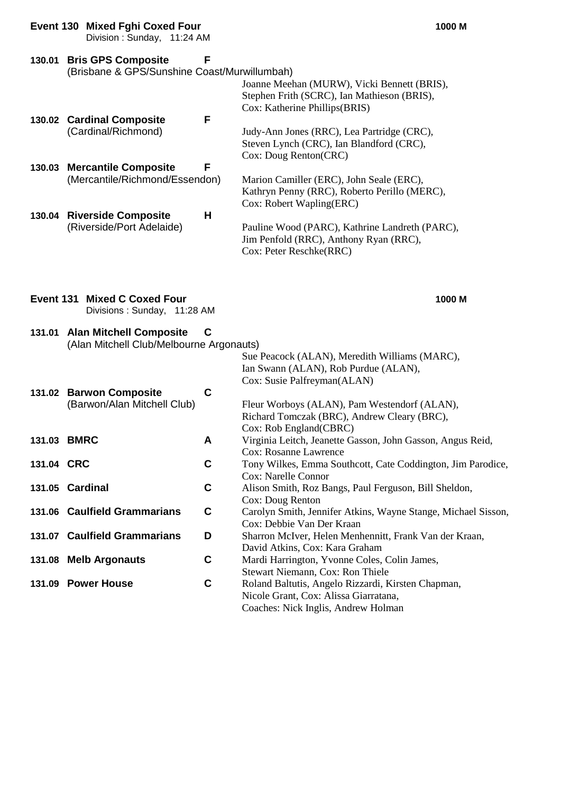|        | <b>Event 130 Mixed Fghi Coxed Four</b><br>Division: Sunday, 11:24 AM      |   |                                                                                                                             | 1000 M |
|--------|---------------------------------------------------------------------------|---|-----------------------------------------------------------------------------------------------------------------------------|--------|
| 130.01 | <b>Bris GPS Composite</b><br>(Brisbane & GPS/Sunshine Coast/Murwillumbah) | F | Joanne Meehan (MURW), Vicki Bennett (BRIS),<br>Stephen Frith (SCRC), Ian Mathieson (BRIS),<br>Cox: Katherine Phillips(BRIS) |        |
|        | 130.02 Cardinal Composite<br>(Cardinal/Richmond)                          | F | Judy-Ann Jones (RRC), Lea Partridge (CRC),<br>Steven Lynch (CRC), Ian Blandford (CRC),<br>Cox: Doug Renton(CRC)             |        |
| 130.03 | <b>Mercantile Composite</b><br>(Mercantile/Richmond/Essendon)             | F | Marion Camiller (ERC), John Seale (ERC),<br>Kathryn Penny (RRC), Roberto Perillo (MERC),<br>Cox: Robert Wapling(ERC)        |        |
|        | 130.04 Riverside Composite<br>(Riverside/Port Adelaide)                   | н | Pauline Wood (PARC), Kathrine Landreth (PARC),<br>Jim Penfold (RRC), Anthony Ryan (RRC),<br>Cox: Peter Reschke(RRC)         |        |
|        |                                                                           |   |                                                                                                                             |        |

**Event 131 Mixed C Coxed Four 1000 M** Divisions : Sunday, 11:28 AM

## **131.01 Alan Mitchell Composite C**

(Alan Mitchell Club/Melbourne Argonauts)

|            |                              |   | Sue Peacock (ALAN), Meredith Williams (MARC),                 |
|------------|------------------------------|---|---------------------------------------------------------------|
|            |                              |   | Ian Swann (ALAN), Rob Purdue (ALAN),                          |
|            |                              |   | Cox: Susie Palfreyman(ALAN)                                   |
|            | 131.02 Barwon Composite      | C |                                                               |
|            | (Barwon/Alan Mitchell Club)  |   | Fleur Worboys (ALAN), Pam Westendorf (ALAN),                  |
|            |                              |   | Richard Tomczak (BRC), Andrew Cleary (BRC),                   |
|            |                              |   | Cox: Rob England(CBRC)                                        |
|            | 131.03 BMRC                  | A | Virginia Leitch, Jeanette Gasson, John Gasson, Angus Reid,    |
|            |                              |   | Cox: Rosanne Lawrence                                         |
| 131.04 CRC |                              | C | Tony Wilkes, Emma Southcott, Cate Coddington, Jim Parodice,   |
|            |                              |   | <b>Cox: Narelle Connor</b>                                    |
| 131.05     | <b>Cardinal</b>              | C | Alison Smith, Roz Bangs, Paul Ferguson, Bill Sheldon,         |
|            |                              |   | Cox: Doug Renton                                              |
|            | 131.06 Caulfield Grammarians | C | Carolyn Smith, Jennifer Atkins, Wayne Stange, Michael Sisson, |
|            |                              |   | Cox: Debbie Van Der Kraan                                     |
|            | 131.07 Caulfield Grammarians | D | Sharron McIver, Helen Menhennitt, Frank Van der Kraan,        |
|            |                              |   | David Atkins, Cox: Kara Graham                                |
|            | 131.08 Melb Argonauts        | C | Mardi Harrington, Yvonne Coles, Colin James,                  |
|            |                              |   | Stewart Niemann, Cox: Ron Thiele                              |
|            | 131.09 Power House           | C | Roland Baltutis, Angelo Rizzardi, Kirsten Chapman,            |
|            |                              |   | Nicole Grant, Cox: Alissa Giarratana,                         |
|            |                              |   | Coaches: Nick Inglis, Andrew Holman                           |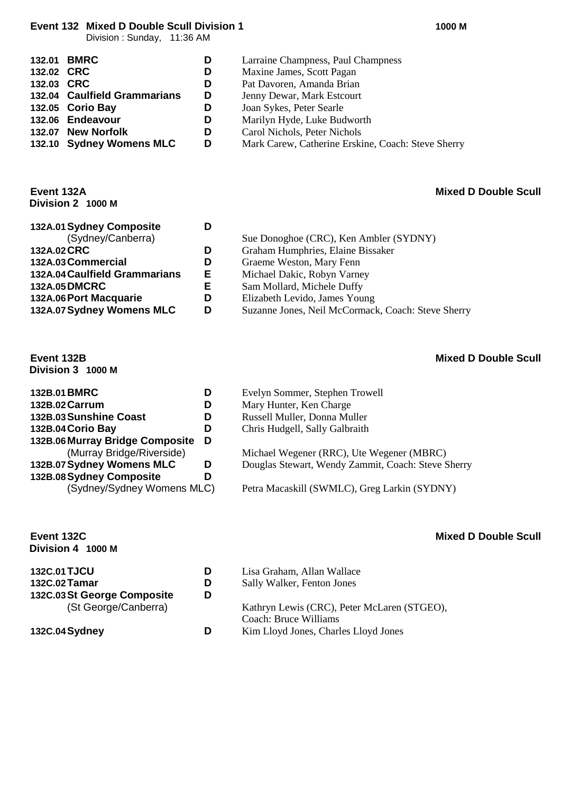**Event 132 Mixed D Double Scull Division 1 1000 M**

Division : Sunday, 11:36 AM

|            | 132.01 BMRC                  | D | Larraine Champness, Paul Champness                 |
|------------|------------------------------|---|----------------------------------------------------|
| 132.02 CRC |                              | D | Maxine James, Scott Pagan                          |
| 132.03 CRC |                              | D | Pat Davoren, Amanda Brian                          |
|            | 132.04 Caulfield Grammarians | D | Jenny Dewar, Mark Estcourt                         |
|            | 132.05 Corio Bay             | D | Joan Sykes, Peter Searle                           |
|            | 132.06 Endeavour             | D | Marilyn Hyde, Luke Budworth                        |
|            | 132.07 New Norfolk           | D | Carol Nichols, Peter Nichols                       |
|            | 132.10 Sydney Womens MLC     | D | Mark Carew, Catherine Erskine, Coach: Steve Sherry |

### **Event 132A Mixed D Double Scull Division 2 1000 M**

| 132A.01 Sydney Composite      |   |                                                    |
|-------------------------------|---|----------------------------------------------------|
| (Sydney/Canberra)             |   | Sue Donoghoe (CRC), Ken Ambler (SYDNY)             |
| 132A.02 CRC                   |   | Graham Humphries, Elaine Bissaker                  |
| 132A.03 Commercial            | D | Graeme Weston, Mary Fenn                           |
| 132A.04 Caulfield Grammarians | Е | Michael Dakic, Robyn Varney                        |
| <b>132A.05 DMCRC</b>          |   | Sam Mollard, Michele Duffy                         |
| 132A.06 Port Macquarie        |   | Elizabeth Levido, James Young                      |
| 132A.07 Sydney Womens MLC     | D | Suzanne Jones, Neil McCormack, Coach: Steve Sherry |

## **Event 132B Mixed D Double Scull**

**Division 3 1000 M**

| 132B.01 BMRC                    |   |
|---------------------------------|---|
| 132B.02 Carrum                  | n |
| 132B.03 Sunshine Coast          | D |
| 132B.04 Corio Bay               | D |
| 132B.06 Murray Bridge Composite | D |
| (Murray Bridge/Riverside)       |   |
| 132B.07 Sydney Womens MLC       | D |
| 132B.08 Sydney Composite        | n |
| (Sydney/Sydney Womens MLC)      |   |

# **Division 4 1000 M**

| 132C.01 TJCU                | D |
|-----------------------------|---|
| 132C.02 Tamar               | D |
| 132C.03 St George Composite | D |
| (St George/Canberra)        |   |

### **132C.04 Sydney**

- **Evelyn Sommer, Stephen Trowell**
- **Mary Hunter, Ken Charge**
- **132B.03Sunshine Coast D** Russell Muller, Donna Muller
- **132B.04Corio Bay D** Chris Hudgell, Sally Galbraith

Michael Wegener (RRC), Ute Wegener (MBRC) **Douglas Stewart, Wendy Zammit, Coach: Steve Sherry** 

() Petra Macaskill (SWMLC), Greg Larkin (SYDNY)

#### **Event 132C Mixed D Double Scull**

| <b>132C.01 TJCU</b>         | D | Lisa Graham, Allan Wallace                  |
|-----------------------------|---|---------------------------------------------|
| 132C.02 Tamar               | D | Sally Walker, Fenton Jones                  |
| 132C.03 St George Composite | D |                                             |
| (St George/Canberra)        |   | Kathryn Lewis (CRC), Peter McLaren (STGEO), |
|                             |   | Coach: Bruce Williams                       |
| 132C.04 Sydney              | D | Kim Lloyd Jones, Charles Lloyd Jones        |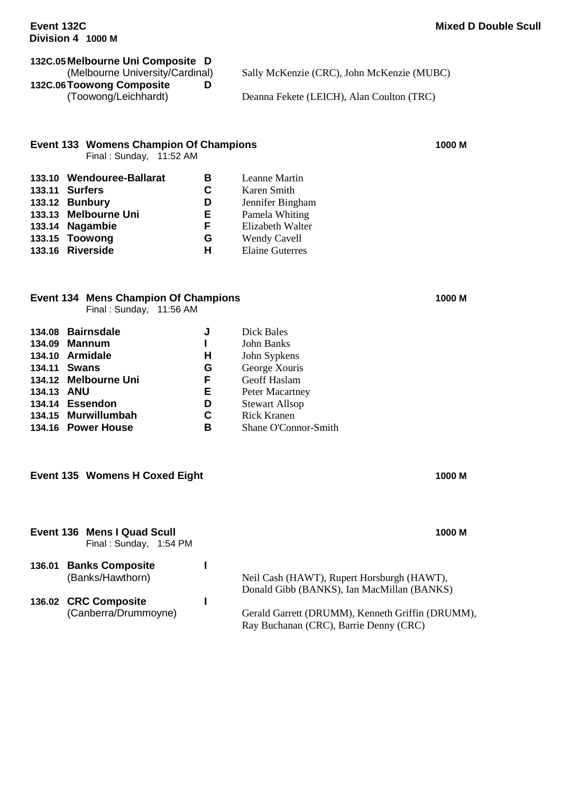# **132C.05Melbourne Uni Composite D**

**132C.06Toowong Composite D**

Sally McKenzie (CRC), John McKenzie (MUBC)

(Toowong/Leichhardt) Deanna Fekete (LEICH), Alan Coulton (TRC)

#### **Event 133 Womens Champion Of Champions 1000 M**

Final : Sunday, 11:52 AM

| 133.10 Wendouree-Ballarat | в | Leanne Martin          |
|---------------------------|---|------------------------|
| <b>133.11 Surfers</b>     | С | Karen Smith            |
| 133.12 Bunbury            | D | Jennifer Bingham       |
| 133.13 Melbourne Uni      | Е | Pamela Whiting         |
| 133.14 Nagambie           | F | Elizabeth Walter       |
| 133.15 Toowong            | G | Wendy Cavell           |
| 133.16 Riverside          | н | <b>Elaine Guterres</b> |
|                           |   |                        |

### **Event 134 Mens Champion Of Champions 1000 M**

Final : Sunday, 11:56 AM

|            | 134.08 Bairnsdale    | J  | <b>Dick Bales</b>     |
|------------|----------------------|----|-----------------------|
|            | 134.09 Mannum        |    | <b>John Banks</b>     |
|            | 134.10 Armidale      | н  | John Sypkens          |
|            | 134.11 Swans         | G  | George Xouris         |
|            | 134.12 Melbourne Uni | F  | Geoff Haslam          |
| 134.13 ANU |                      | Е. | Peter Macartney       |
|            | 134.14 Essendon      | D  | <b>Stewart Allsop</b> |
|            | 134.15 Murwillumbah  | C  | <b>Rick Kranen</b>    |
|            | 134.16 Power House   | в  | Shane O'Connor-Smith  |
|            |                      |    |                       |

#### **Event 135 Womens H Coxed Eight 1000 M**

|        | Event 136 Mens I Quad Scull<br>Final: Sunday, 1:54 PM | 1000 M                                                                                     |
|--------|-------------------------------------------------------|--------------------------------------------------------------------------------------------|
| 136.01 | <b>Banks Composite</b><br>(Banks/Hawthorn)            | Neil Cash (HAWT), Rupert Horsburgh (HAWT),<br>Donald Gibb (BANKS), Ian MacMillan (BANKS)   |
|        | 136.02 CRC Composite<br>(Canberra/Drummoyne)          | Gerald Garrett (DRUMM), Kenneth Griffin (DRUMM),<br>Ray Buchanan (CRC), Barrie Denny (CRC) |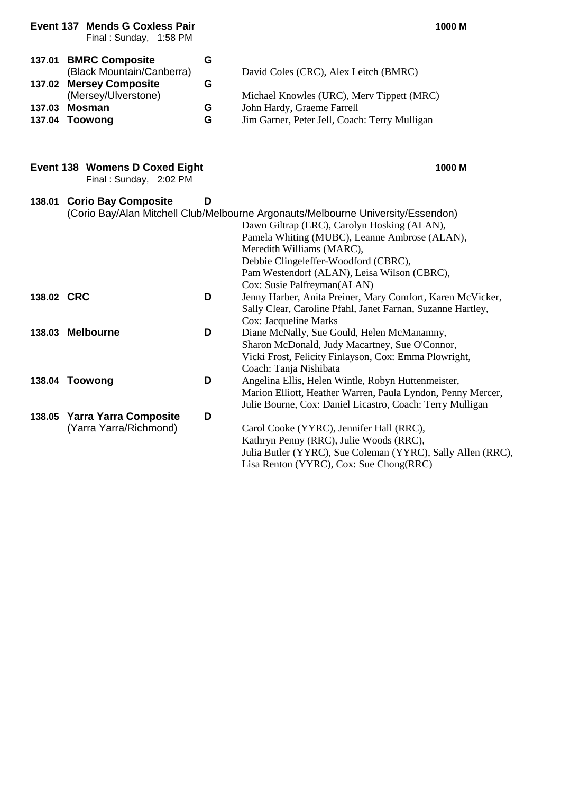| 137.01 BMRC Composite<br>(Black Mountain/Canberra)<br>137.02 Mersey Composite | G<br>G | David Coles (CRC), Alex Leitch (BMRC)         |
|-------------------------------------------------------------------------------|--------|-----------------------------------------------|
| (Mersey/Ulverstone)                                                           |        | Michael Knowles (URC), Merv Tippett (MRC)     |
| 137.03 Mosman                                                                 | G      | John Hardy, Graeme Farrell                    |
| 137.04 Toowong                                                                | G      | Jim Garner, Peter Jell, Coach: Terry Mulligan |

#### **Event 138 Womens D Coxed Eight 1000 M**

Final : Sunday, 2:02 PM

Final : Sunday, 1:58 PM

| 138.01     | <b>Corio Bay Composite</b>   | D |                                                                                  |
|------------|------------------------------|---|----------------------------------------------------------------------------------|
|            |                              |   | (Corio Bay/Alan Mitchell Club/Melbourne Argonauts/Melbourne University/Essendon) |
|            |                              |   | Dawn Giltrap (ERC), Carolyn Hosking (ALAN),                                      |
|            |                              |   | Pamela Whiting (MUBC), Leanne Ambrose (ALAN),                                    |
|            |                              |   | Meredith Williams (MARC),                                                        |
|            |                              |   | Debbie Clingeleffer-Woodford (CBRC),                                             |
|            |                              |   | Pam Westendorf (ALAN), Leisa Wilson (CBRC),                                      |
|            |                              |   | Cox: Susie Palfreyman(ALAN)                                                      |
| 138.02 CRC |                              | D | Jenny Harber, Anita Preiner, Mary Comfort, Karen McVicker,                       |
|            |                              |   | Sally Clear, Caroline Pfahl, Janet Farnan, Suzanne Hartley,                      |
|            |                              |   | Cox: Jacqueline Marks                                                            |
|            | 138.03 Melbourne             | D | Diane McNally, Sue Gould, Helen McManamny,                                       |
|            |                              |   | Sharon McDonald, Judy Macartney, Sue O'Connor,                                   |
|            |                              |   | Vicki Frost, Felicity Finlayson, Cox: Emma Plowright,                            |
|            |                              |   | Coach: Tanja Nishibata                                                           |
|            | 138.04 Toowong               | D | Angelina Ellis, Helen Wintle, Robyn Huttenmeister,                               |
|            |                              |   | Marion Elliott, Heather Warren, Paula Lyndon, Penny Mercer,                      |
|            |                              |   | Julie Bourne, Cox: Daniel Licastro, Coach: Terry Mulligan                        |
| 138.05     | <b>Yarra Yarra Composite</b> | D |                                                                                  |
|            | (Yarra Yarra/Richmond)       |   | Carol Cooke (YYRC), Jennifer Hall (RRC),                                         |
|            |                              |   | Kathryn Penny (RRC), Julie Woods (RRC),                                          |
|            |                              |   | Julia Butler (YYRC), Sue Coleman (YYRC), Sally Allen (RRC),                      |
|            |                              |   | Lisa Renton (YYRC), Cox: Sue Chong(RRC)                                          |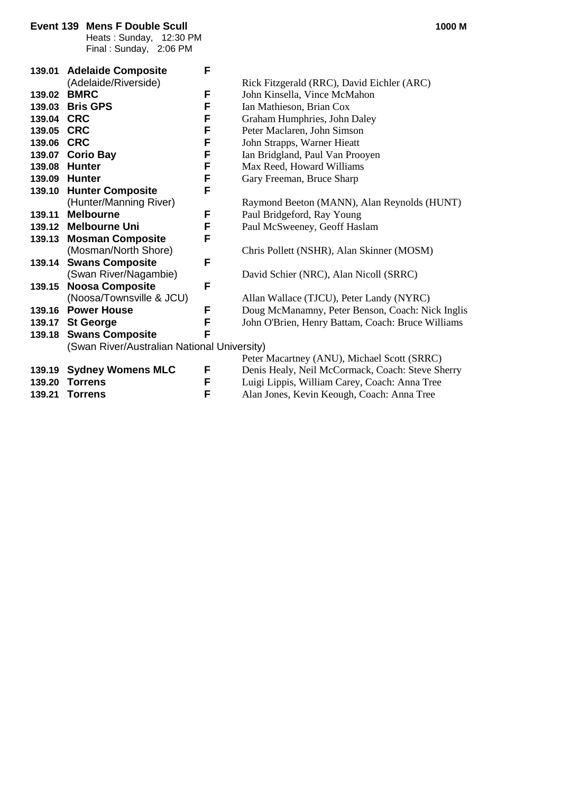|        | Event 139 Mens F Double Scull<br>Heats: Sunday, 12:30 PM<br>Final: Sunday, 2:06 PM |   | 1000 M                                            |
|--------|------------------------------------------------------------------------------------|---|---------------------------------------------------|
|        | 139.01 Adelaide Composite                                                          | F |                                                   |
|        | (Adelaide/Riverside)                                                               |   | Rick Fitzgerald (RRC), David Eichler (ARC)        |
| 139.02 | <b>BMRC</b>                                                                        | F | John Kinsella, Vince McMahon                      |
| 139.03 | <b>Bris GPS</b>                                                                    | F | Ian Mathieson, Brian Cox                          |
| 139.04 | <b>CRC</b>                                                                         | F | Graham Humphries, John Daley                      |
| 139.05 | <b>CRC</b>                                                                         | F | Peter Maclaren, John Simson                       |
| 139.06 | <b>CRC</b>                                                                         | F | John Strapps, Warner Hieatt                       |
| 139.07 | <b>Corio Bay</b>                                                                   | F | Ian Bridgland, Paul Van Prooyen                   |
| 139.08 | <b>Hunter</b>                                                                      | F | Max Reed, Howard Williams                         |
| 139.09 | <b>Hunter</b>                                                                      | F | Gary Freeman, Bruce Sharp                         |
| 139.10 | <b>Hunter Composite</b>                                                            | F |                                                   |
|        | (Hunter/Manning River)                                                             |   | Raymond Beeton (MANN), Alan Reynolds (HUNT)       |
| 139.11 | <b>Melbourne</b>                                                                   | F | Paul Bridgeford, Ray Young                        |
|        | 139.12 Melbourne Uni                                                               | F | Paul McSweeney, Geoff Haslam                      |
| 139.13 | <b>Mosman Composite</b>                                                            | F |                                                   |
|        | (Mosman/North Shore)                                                               |   | Chris Pollett (NSHR), Alan Skinner (MOSM)         |
| 139.14 | <b>Swans Composite</b>                                                             | F |                                                   |
|        | (Swan River/Nagambie)                                                              |   | David Schier (NRC), Alan Nicoll (SRRC)            |
| 139.15 | <b>Noosa Composite</b>                                                             | F |                                                   |
|        | (Noosa/Townsville & JCU)                                                           |   | Allan Wallace (TJCU), Peter Landy (NYRC)          |
| 139.16 | <b>Power House</b>                                                                 | F | Doug McManamny, Peter Benson, Coach: Nick Inglis  |
| 139.17 | <b>St George</b>                                                                   | F | John O'Brien, Henry Battam, Coach: Bruce Williams |
| 139.18 | <b>Swans Composite</b>                                                             | F |                                                   |
|        | (Swan River/Australian National University)                                        |   |                                                   |
|        |                                                                                    |   | Peter Macartney (ANU), Michael Scott (SRRC)       |
| 139.19 | <b>Sydney Womens MLC</b>                                                           | F | Denis Healy, Neil McCormack, Coach: Steve Sherry  |
| 139.20 | <b>Torrens</b>                                                                     | F | Luigi Lippis, William Carey, Coach: Anna Tree     |
| 139.21 | <b>Torrens</b>                                                                     | F | Alan Jones, Kevin Keough, Coach: Anna Tree        |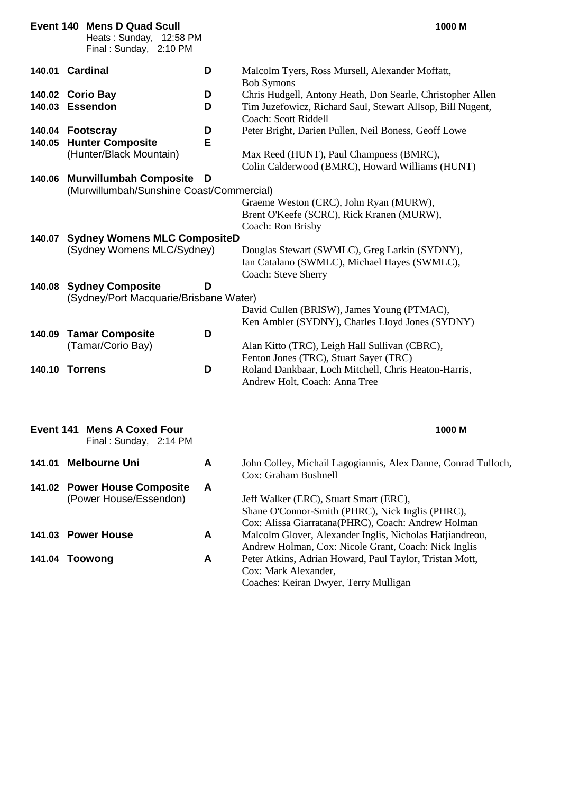|        | <b>Event 140 Mens D Quad Scull</b><br>Heats: Sunday, 12:58 PM<br>Final: Sunday, 2:10 PM |        | 1000 M                                                                                                                                                                 |
|--------|-----------------------------------------------------------------------------------------|--------|------------------------------------------------------------------------------------------------------------------------------------------------------------------------|
|        | 140.01 Cardinal                                                                         | D      | Malcolm Tyers, Ross Mursell, Alexander Moffatt,                                                                                                                        |
|        | 140.02 Corio Bay<br>140.03 Essendon                                                     | D<br>D | <b>Bob Symons</b><br>Chris Hudgell, Antony Heath, Don Searle, Christopher Allen<br>Tim Juzefowicz, Richard Saul, Stewart Allsop, Bill Nugent,<br>Coach: Scott Riddell  |
| 140.05 | 140.04 Footscray<br><b>Hunter Composite</b><br>(Hunter/Black Mountain)                  | D<br>Е | Peter Bright, Darien Pullen, Neil Boness, Geoff Lowe<br>Max Reed (HUNT), Paul Champness (BMRC),<br>Colin Calderwood (BMRC), Howard Williams (HUNT)                     |
| 140.06 | <b>Murwillumbah Composite</b><br>(Murwillumbah/Sunshine Coast/Commercial)               | D      |                                                                                                                                                                        |
|        |                                                                                         |        | Graeme Weston (CRC), John Ryan (MURW),<br>Brent O'Keefe (SCRC), Rick Kranen (MURW),<br>Coach: Ron Brisby                                                               |
|        | 140.07 Sydney Womens MLC CompositeD<br>(Sydney Womens MLC/Sydney)                       |        | Douglas Stewart (SWMLC), Greg Larkin (SYDNY),<br>Ian Catalano (SWMLC), Michael Hayes (SWMLC),<br>Coach: Steve Sherry                                                   |
| 140.08 | <b>Sydney Composite</b><br>(Sydney/Port Macquarie/Brisbane Water)                       | D      | David Cullen (BRISW), James Young (PTMAC),                                                                                                                             |
| 140.09 | <b>Tamar Composite</b><br>(Tamar/Corio Bay)                                             | D      | Ken Ambler (SYDNY), Charles Lloyd Jones (SYDNY)<br>Alan Kitto (TRC), Leigh Hall Sullivan (CBRC),<br>Fenton Jones (TRC), Stuart Sayer (TRC)                             |
|        | <b>140.10 Torrens</b>                                                                   | D      | Roland Dankbaar, Loch Mitchell, Chris Heaton-Harris,<br>Andrew Holt, Coach: Anna Tree                                                                                  |
|        | <b>Event 141 Mens A Coxed Four</b><br>Final: Sunday, 2:14 PM                            |        | 1000 M                                                                                                                                                                 |
| 141.01 | <b>Melbourne Uni</b>                                                                    | A      | John Colley, Michail Lagogiannis, Alex Danne, Conrad Tulloch,<br>Cox: Graham Bushnell                                                                                  |
|        | 141.02 Power House Composite<br>(Power House/Essendon)                                  | A      | Jeff Walker (ERC), Stuart Smart (ERC),<br>Shane O'Connor-Smith (PHRC), Nick Inglis (PHRC),                                                                             |
|        | 141.03 Power House                                                                      | A      | Cox: Alissa Giarratana(PHRC), Coach: Andrew Holman<br>Malcolm Glover, Alexander Inglis, Nicholas Hatjiandreou,<br>Andrew Holman, Cox: Nicole Grant, Coach: Nick Inglis |
|        | 141.04 Toowong                                                                          | A      | Peter Atkins, Adrian Howard, Paul Taylor, Tristan Mott,<br>Cox: Mark Alexander,<br>Coaches: Keiran Dwyer, Terry Mulligan                                               |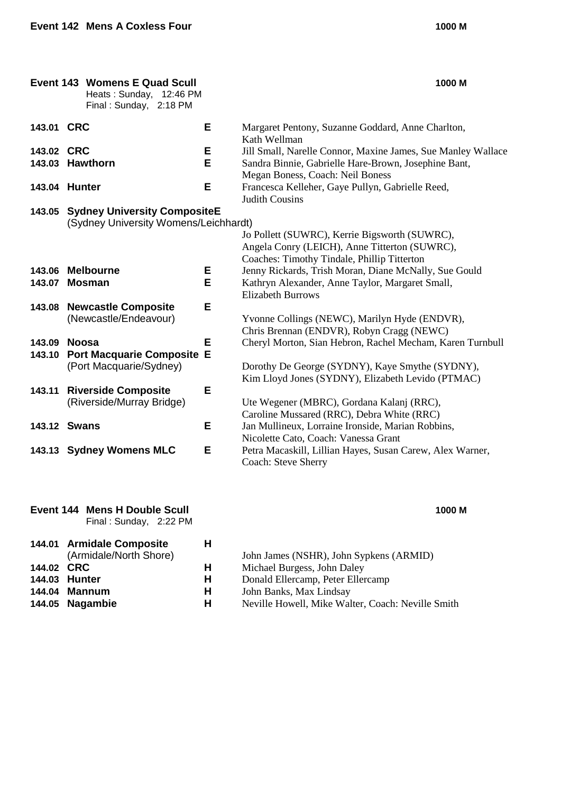#### **Event 143 Womens E Quad Scull 1000 M** Heats : Sunday, 12:46 PM Final : Sunday, 2:18 PM **143.01 CRC E** Margaret Pentony, Suzanne Goddard, Anne Charlton, Kath Wellman **143.02 CRC E** Jill Small, Narelle Connor, Maxine James, Sue Manley Wallace **143.03 Hawthorn E** Sandra Binnie, Gabrielle Hare-Brown, Josephine Bant, **143.03 E** Sandra Binnie, Gabrielle Hare-Brown, Josephine Bant, Megan Boness, Coach: Neil Boness **143.04 Hunter E** Francesca Kelleher, Gaye Pullyn, Gabrielle Reed, Judith Cousins **143.05 Sydney University CompositeE** (Sydney University Womens/Leichhardt) Jo Pollett (SUWRC), Kerrie Bigsworth (SUWRC), Angela Conry (LEICH), Anne Titterton (SUWRC), Coaches: Timothy Tindale, Phillip Titterton **143.06 Melbourne E** Jenny Rickards, Trish Moran, Diane McNally, Sue Gould **143.07 Mosman E** Kathryn Alexander, Anne Taylor, Margaret Small, Elizabeth Burrows **143.08 Newcastle Composite E** (Newcastle/Endeavour) Yvonne Collings (NEWC), Marilyn Hyde (ENDVR), Chris Brennan (ENDVR), Robyn Cragg (NEWC) **143.09 Noosa E** Cheryl Morton, Sian Hebron, Rachel Mecham, Karen Turnbull **143.10 Port Macquarie Composite E** (Port Macquarie/Sydney) Dorothy De George (SYDNY), Kaye Smythe (SYDNY), Kim Lloyd Jones (SYDNY), Elizabeth Levido (PTMAC) **143.11 Riverside Composite E** (Riverside/Murray Bridge) Ute Wegener (MBRC), Gordana Kalanj (RRC), Caroline Mussared (RRC), Debra White (RRC) **143.12 Swans E** Jan Mullineux, Lorraine Ironside, Marian Robbins, Nicolette Cato, Coach: Vanessa Grant **143.13 Sydney Womens MLC E** Petra Macaskill, Lillian Hayes, Susan Carew, Alex Warner, Coach: Steve Sherry

| Event 144 Mens H Double Scull |  | 1000 M |
|-------------------------------|--|--------|
| Final: Sunday, 2:22 PM        |  |        |
|                               |  |        |

|            | 144.01 Armidale Composite<br>(Armidale/North Shore) | н |
|------------|-----------------------------------------------------|---|
| 144.02 CRC |                                                     | н |
|            | 144.03 Hunter                                       | н |
|            | 144.04 Mannum                                       | н |
|            | 144.05 Nagambie                                     | н |

| (Armidale/North Shore) | John James (NSHR), John Sypkens (ARMID) |  |
|------------------------|-----------------------------------------|--|
|------------------------|-----------------------------------------|--|

- **144.02 H** Michael Burgess, John Daley
- **14 11** Donald Ellercamp, Peter Ellercamp<br>**H** John Banks, Max Lindsay
	- **144.04 Mannum H** John Banks, Max Lindsay
- **14** Neville Howell, Mike Walter, Coach: Neville Smith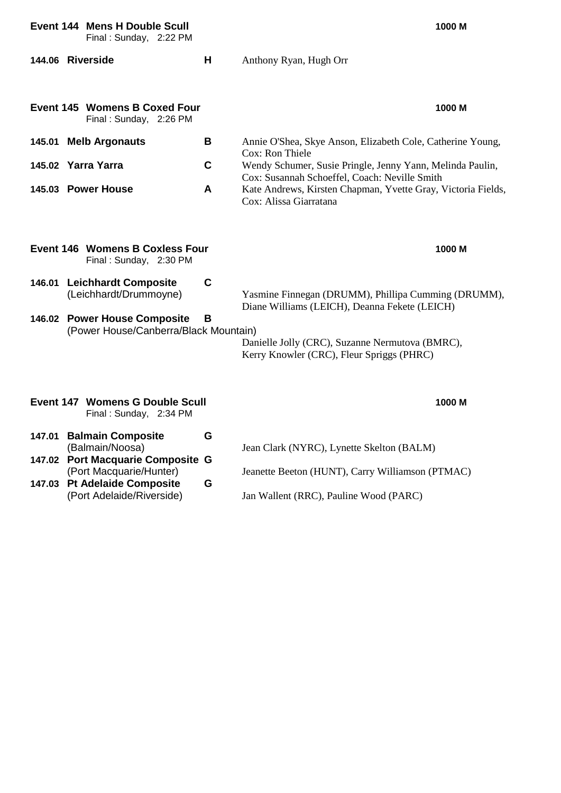|                                                                  | <b>Event 144 Mens H Double Scull</b><br>Final: Sunday, 2:22 PM        |             | 1000 M                                                                                                                                     |
|------------------------------------------------------------------|-----------------------------------------------------------------------|-------------|--------------------------------------------------------------------------------------------------------------------------------------------|
|                                                                  | 144.06 Riverside                                                      | н           | Anthony Ryan, Hugh Orr                                                                                                                     |
|                                                                  | <b>Event 145 Womens B Coxed Four</b><br>Final: Sunday, 2:26 PM        |             | 1000 M                                                                                                                                     |
|                                                                  | 145.01 Melb Argonauts<br>145.02 Yarra Yarra                           | B<br>C      | Annie O'Shea, Skye Anson, Elizabeth Cole, Catherine Young,<br>Cox: Ron Thiele<br>Wendy Schumer, Susie Pringle, Jenny Yann, Melinda Paulin, |
|                                                                  | 145.03 Power House                                                    | A           | Cox: Susannah Schoeffel, Coach: Neville Smith<br>Kate Andrews, Kirsten Chapman, Yvette Gray, Victoria Fields,<br>Cox: Alissa Giarratana    |
|                                                                  | <b>Event 146 Womens B Coxless Four</b><br>Final: Sunday, 2:30 PM      |             | 1000 M                                                                                                                                     |
|                                                                  | 146.01 Leichhardt Composite<br>(Leichhardt/Drummoyne)                 | $\mathbf C$ | Yasmine Finnegan (DRUMM), Phillipa Cumming (DRUMM),<br>Diane Williams (LEICH), Deanna Fekete (LEICH)                                       |
|                                                                  | 146.02 Power House Composite<br>(Power House/Canberra/Black Mountain) | В           | Danielle Jolly (CRC), Suzanne Nermutova (BMRC),<br>Kerry Knowler (CRC), Fleur Spriggs (PHRC)                                               |
| <b>Event 147 Womens G Double Scull</b><br>Final: Sunday, 2:34 PM |                                                                       |             | 1000 M                                                                                                                                     |
| 147.01                                                           | <b>Balmain Composite</b><br>(Balmain/Noosa)                           | G           | Jean Clark (NYRC), Lynette Skelton (BALM)                                                                                                  |
|                                                                  | 147.02 Port Macquarie Composite G<br>(Port Macquarie/Hunter)          |             | Jeanette Beeton (HUNT), Carry Williamson (PTMAC)                                                                                           |
|                                                                  | 147.03 Pt Adelaide Composite<br>(Port Adelaide/Riverside)             | G           | Jan Wallent (RRC), Pauline Wood (PARC)                                                                                                     |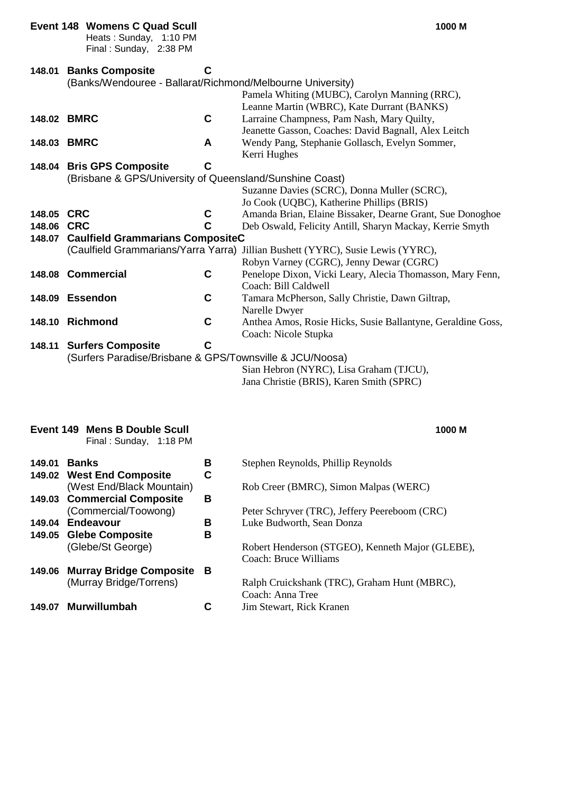|             | <b>Event 148 Womens C Quad Scull</b><br>Heats: Sunday, 1:10 PM<br>Final: Sunday, 2:38 PM |             | 1000 M                                                                                      |
|-------------|------------------------------------------------------------------------------------------|-------------|---------------------------------------------------------------------------------------------|
| 148.01      | <b>Banks Composite</b>                                                                   | С           |                                                                                             |
|             | (Banks/Wendouree - Ballarat/Richmond/Melbourne University)                               |             |                                                                                             |
|             |                                                                                          |             | Pamela Whiting (MUBC), Carolyn Manning (RRC),<br>Leanne Martin (WBRC), Kate Durrant (BANKS) |
|             | 148.02 BMRC                                                                              | $\mathbf c$ | Larraine Champness, Pam Nash, Mary Quilty,                                                  |
|             |                                                                                          |             | Jeanette Gasson, Coaches: David Bagnall, Alex Leitch                                        |
| 148.03 BMRC |                                                                                          | A           | Wendy Pang, Stephanie Gollasch, Evelyn Sommer,                                              |
|             |                                                                                          |             | Kerri Hughes                                                                                |
|             | 148.04 Bris GPS Composite                                                                | C           |                                                                                             |
|             | (Brisbane & GPS/University of Queensland/Sunshine Coast)                                 |             |                                                                                             |
|             |                                                                                          |             | Suzanne Davies (SCRC), Donna Muller (SCRC),                                                 |
|             |                                                                                          |             | Jo Cook (UQBC), Katherine Phillips (BRIS)                                                   |
| 148.05      | <b>CRC</b>                                                                               | C           | Amanda Brian, Elaine Bissaker, Dearne Grant, Sue Donoghoe                                   |
| 148.06      | <b>CRC</b>                                                                               | C           | Deb Oswald, Felicity Antill, Sharyn Mackay, Kerrie Smyth                                    |
| 148.07      | <b>Caulfield Grammarians CompositeC</b>                                                  |             |                                                                                             |
|             |                                                                                          |             | (Caulfield Grammarians/Yarra Yarra) Jillian Bushett (YYRC), Susie Lewis (YYRC),             |
|             |                                                                                          |             | Robyn Varney (CGRC), Jenny Dewar (CGRC)                                                     |
|             | 148.08 Commercial                                                                        | C           | Penelope Dixon, Vicki Leary, Alecia Thomasson, Mary Fenn,                                   |
|             |                                                                                          |             | Coach: Bill Caldwell                                                                        |
|             | 148.09 Essendon                                                                          | C           | Tamara McPherson, Sally Christie, Dawn Giltrap,                                             |
|             | 148.10 Richmond                                                                          | $\mathbf c$ | Narelle Dwyer<br>Anthea Amos, Rosie Hicks, Susie Ballantyne, Geraldine Goss,                |
|             |                                                                                          |             | Coach: Nicole Stupka                                                                        |
|             | 148.11 Surfers Composite                                                                 | $\mathbf C$ |                                                                                             |
|             | (Surfers Paradise/Brisbane & GPS/Townsville & JCU/Noosa)                                 |             |                                                                                             |
|             |                                                                                          |             | Sian Hebron (NYRC), Lisa Graham (TJCU),                                                     |
|             |                                                                                          |             | Jana Christie (BRIS), Karen Smith (SPRC)                                                    |
|             |                                                                                          |             |                                                                                             |

#### **Event 149 Mens B Double Scull 1000 M** Final : Sunday, 1:18 PM

#### **149.01 Banks B** Stephen Reynolds, Phillip Reynolds **149.02 West End Composite C** (West End/Black Mountain) Rob Creer (BMRC), Simon Malpas (WERC) **149.03 Commercial Composite B** (Commercial/Toowong)<br> **Example:** Peter Schryver (TRC), Jeffery Peereboom (CRC)<br> **Endeavour** B Luke Budworth, Sean Donza **149.04 Endeavour B** Luke Budworth, Sean Donza **149.05 Glebe Composite B** (Glebe/St George) Robert Henderson (STGEO), Kenneth Major (GLEBE), Coach: Bruce Williams **149.06 Murray Bridge Composite B** Ralph Cruickshank (TRC), Graham Hunt (MBRC), Coach: Anna Tree **149.07 Murwillumbah C** Jim Stewart, Rick Kranen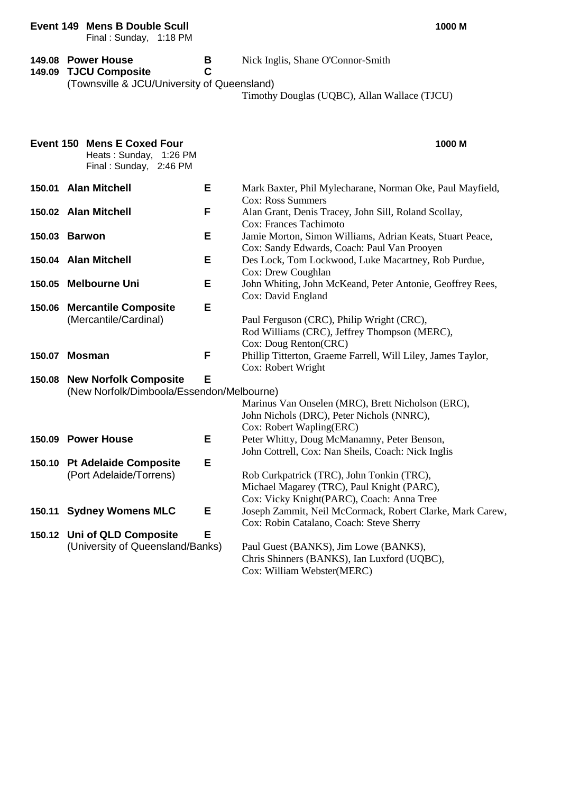|        | Event 149 Mens B Double Scull<br>Final: Sunday, 1:18 PM                                |        | 1000 M                                                                                                                               |
|--------|----------------------------------------------------------------------------------------|--------|--------------------------------------------------------------------------------------------------------------------------------------|
| 149.09 | 149.08 Power House<br><b>TJCU Composite</b>                                            | В<br>C | Nick Inglis, Shane O'Connor-Smith                                                                                                    |
|        | (Townsville & JCU/University of Queensland)                                            |        | Timothy Douglas (UQBC), Allan Wallace (TJCU)                                                                                         |
|        | <b>Event 150 Mens E Coxed Four</b><br>Heats: Sunday, 1:26 PM<br>Final: Sunday, 2:46 PM |        | 1000 M                                                                                                                               |
|        | 150.01 Alan Mitchell                                                                   | Е      | Mark Baxter, Phil Mylecharane, Norman Oke, Paul Mayfield,<br>Cox: Ross Summers                                                       |
|        | 150.02 Alan Mitchell                                                                   | F      | Alan Grant, Denis Tracey, John Sill, Roland Scollay,<br>Cox: Frances Tachimoto                                                       |
|        | 150.03 Barwon                                                                          | Е      | Jamie Morton, Simon Williams, Adrian Keats, Stuart Peace,<br>Cox: Sandy Edwards, Coach: Paul Van Prooyen                             |
|        | 150.04 Alan Mitchell                                                                   | Е      | Des Lock, Tom Lockwood, Luke Macartney, Rob Purdue,<br>Cox: Drew Coughlan                                                            |
|        | 150.05 Melbourne Uni                                                                   | Е      | John Whiting, John McKeand, Peter Antonie, Geoffrey Rees,<br>Cox: David England                                                      |
| 150.06 | <b>Mercantile Composite</b><br>(Mercantile/Cardinal)                                   | Е      | Paul Ferguson (CRC), Philip Wright (CRC),<br>Rod Williams (CRC), Jeffrey Thompson (MERC),<br>Cox: Doug Renton(CRC)                   |
| 150.07 | <b>Mosman</b>                                                                          | F      | Phillip Titterton, Graeme Farrell, Will Liley, James Taylor,<br>Cox: Robert Wright                                                   |
| 150.08 | <b>New Norfolk Composite</b><br>(New Norfolk/Dimboola/Essendon/Melbourne)              | Е      | Marinus Van Onselen (MRC), Brett Nicholson (ERC),<br>John Nichols (DRC), Peter Nichols (NNRC),<br>Cox: Robert Wapling(ERC)           |
| 150.09 | <b>Power House</b>                                                                     | Ε      | Peter Whitty, Doug McManamny, Peter Benson,<br>John Cottrell, Cox: Nan Sheils, Coach: Nick Inglis                                    |
|        | 150.10 Pt Adelaide Composite<br>(Port Adelaide/Torrens)                                | Е      | Rob Curkpatrick (TRC), John Tonkin (TRC),<br>Michael Magarey (TRC), Paul Knight (PARC),<br>Cox: Vicky Knight(PARC), Coach: Anna Tree |
| 150.11 | <b>Sydney Womens MLC</b>                                                               | Е      | Joseph Zammit, Neil McCormack, Robert Clarke, Mark Carew,<br>Cox: Robin Catalano, Coach: Steve Sherry                                |
|        | 150.12 Uni of QLD Composite<br>(University of Queensland/Banks)                        | Е      | Paul Guest (BANKS), Jim Lowe (BANKS),<br>Chris Shinners (BANKS), Ian Luxford (UQBC),<br>Cox: William Webster(MERC)                   |